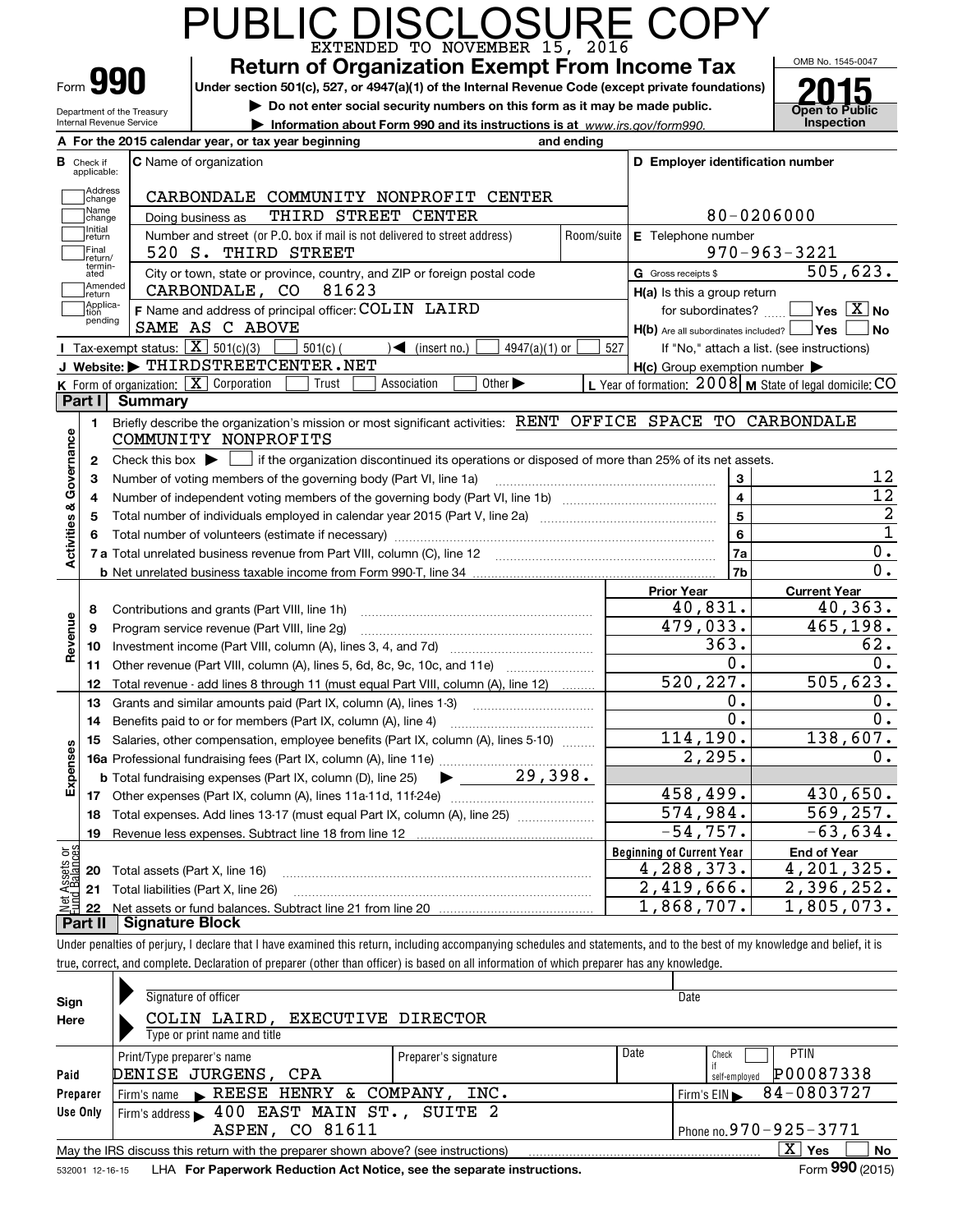|                                                                                                                                     |                                                        | PUBLIC DISCLOSURE COPY                                                                                                                                                     |                |                                                     |                                                           |  |  |  |  |  |  |
|-------------------------------------------------------------------------------------------------------------------------------------|--------------------------------------------------------|----------------------------------------------------------------------------------------------------------------------------------------------------------------------------|----------------|-----------------------------------------------------|-----------------------------------------------------------|--|--|--|--|--|--|
|                                                                                                                                     | Form 990                                               | <b>Return of Organization Exempt From Income Tax</b><br>Under section 501(c), 527, or 4947(a)(1) of the Internal Revenue Code (except private foundations)                 |                |                                                     | OMB No. 1545-0047                                         |  |  |  |  |  |  |
|                                                                                                                                     |                                                        | Do not enter social security numbers on this form as it may be made public.                                                                                                |                |                                                     |                                                           |  |  |  |  |  |  |
|                                                                                                                                     | Department of the Treasury<br>Internal Revenue Service | Information about Form 990 and its instructions is at www.irs.gov/form990.                                                                                                 |                |                                                     | <b>Open to Public</b><br>Inspection                       |  |  |  |  |  |  |
|                                                                                                                                     |                                                        | A For the 2015 calendar year, or tax year beginning<br>and ending                                                                                                          |                |                                                     |                                                           |  |  |  |  |  |  |
|                                                                                                                                     | <b>B</b> Check if                                      | C Name of organization                                                                                                                                                     |                | D Employer identification number                    |                                                           |  |  |  |  |  |  |
|                                                                                                                                     | applicable:                                            |                                                                                                                                                                            |                |                                                     |                                                           |  |  |  |  |  |  |
|                                                                                                                                     | Address<br>change                                      | CARBONDALE COMMUNITY NONPROFIT CENTER                                                                                                                                      |                |                                                     |                                                           |  |  |  |  |  |  |
| Name<br>80-0206000<br>THIRD STREET CENTER<br>Doing business as<br>change                                                            |                                                        |                                                                                                                                                                            |                |                                                     |                                                           |  |  |  |  |  |  |
| Initial<br>Number and street (or P.O. box if mail is not delivered to street address)<br>Room/suite<br>E Telephone number<br>return |                                                        |                                                                                                                                                                            |                |                                                     |                                                           |  |  |  |  |  |  |
|                                                                                                                                     | Final<br>return/                                       | 520 S. THIRD STREET                                                                                                                                                        |                |                                                     | $970 - 963 - 3221$                                        |  |  |  |  |  |  |
|                                                                                                                                     | termin-<br>ated                                        | City or town, state or province, country, and ZIP or foreign postal code                                                                                                   |                | G Gross receipts \$                                 | 505,623.                                                  |  |  |  |  |  |  |
|                                                                                                                                     | Amended<br>return                                      | CARBONDALE, CO<br>81623                                                                                                                                                    |                | H(a) Is this a group return                         |                                                           |  |  |  |  |  |  |
|                                                                                                                                     | Applica-<br>tion                                       | F Name and address of principal officer: COLIN LAIRD                                                                                                                       |                |                                                     | for subordinates? $\Box$ Yes $\boxed{X}$ No               |  |  |  |  |  |  |
|                                                                                                                                     | pending                                                | SAME AS C ABOVE                                                                                                                                                            |                | $H(b)$ Are all subordinates included? $\Box$ Yes    | <b>No</b>                                                 |  |  |  |  |  |  |
|                                                                                                                                     |                                                        | <b>I</b> Tax-exempt status: $\overline{X}$ 501(c)(3)<br>$501(c)$ (<br>$\blacktriangleleft$ (insert no.)<br>4947(a)(1) or                                                   | 527            |                                                     | If "No," attach a list. (see instructions)                |  |  |  |  |  |  |
|                                                                                                                                     |                                                        | J Website: FHIRDSTREETCENTER.NET                                                                                                                                           |                | $H(c)$ Group exemption number $\blacktriangleright$ |                                                           |  |  |  |  |  |  |
|                                                                                                                                     |                                                        | K Form of organization: X Corporation<br>Association<br>Other $\blacktriangleright$<br>Trust                                                                               |                |                                                     | L Year of formation: $2008$ M State of legal domicile: CO |  |  |  |  |  |  |
|                                                                                                                                     | Part I                                                 | <b>Summary</b>                                                                                                                                                             |                |                                                     |                                                           |  |  |  |  |  |  |
|                                                                                                                                     | 1.                                                     | Briefly describe the organization's mission or most significant activities: RENT OFFICE SPACE TO CARBONDALE                                                                |                |                                                     |                                                           |  |  |  |  |  |  |
|                                                                                                                                     |                                                        | COMMUNITY NONPROFITS                                                                                                                                                       |                |                                                     |                                                           |  |  |  |  |  |  |
| Activities & Governance                                                                                                             |                                                        | 2 Check this box $\blacktriangleright \Box$ if the organization discontinued its operations or disposed of more than 25% of its net assets.                                |                |                                                     |                                                           |  |  |  |  |  |  |
|                                                                                                                                     | 3                                                      | Number of voting members of the governing body (Part VI, line 1a)                                                                                                          |                | 3                                                   | 12                                                        |  |  |  |  |  |  |
|                                                                                                                                     | 4                                                      |                                                                                                                                                                            | $\overline{4}$ | $\overline{12}$                                     |                                                           |  |  |  |  |  |  |
|                                                                                                                                     | 5                                                      |                                                                                                                                                                            |                | 5                                                   | $\overline{2}$                                            |  |  |  |  |  |  |
|                                                                                                                                     | 6                                                      |                                                                                                                                                                            |                | 6                                                   | $\overline{1}$                                            |  |  |  |  |  |  |
|                                                                                                                                     |                                                        |                                                                                                                                                                            |                | 7a                                                  | 0.                                                        |  |  |  |  |  |  |
|                                                                                                                                     |                                                        |                                                                                                                                                                            |                | 7b                                                  | $\overline{0}$ .                                          |  |  |  |  |  |  |
|                                                                                                                                     |                                                        |                                                                                                                                                                            |                | <b>Prior Year</b>                                   | <b>Current Year</b>                                       |  |  |  |  |  |  |
|                                                                                                                                     | 8                                                      | Contributions and grants (Part VIII, line 1h)                                                                                                                              |                | 40,831.                                             | 40, 363.                                                  |  |  |  |  |  |  |
| Revenue                                                                                                                             | 9                                                      | Program service revenue (Part VIII, line 2g)                                                                                                                               |                | 479,033.                                            | 465,198.                                                  |  |  |  |  |  |  |
|                                                                                                                                     | 10                                                     |                                                                                                                                                                            |                | $\overline{363}$ .                                  | 62.                                                       |  |  |  |  |  |  |
|                                                                                                                                     | 11                                                     | Other revenue (Part VIII, column (A), lines 5, 6d, 8c, 9c, 10c, and 11e)                                                                                                   |                | 0.                                                  | $\overline{0}$ .                                          |  |  |  |  |  |  |
|                                                                                                                                     |                                                        | 12 Total revenue - add lines 8 through 11 (must equal Part VIII, column (A), line 12)                                                                                      |                | 520, 227.                                           | 505,623.                                                  |  |  |  |  |  |  |
|                                                                                                                                     | 13                                                     | Grants and similar amounts paid (Part IX, column (A), lines 1-3)                                                                                                           |                | 0.                                                  | υ.                                                        |  |  |  |  |  |  |
|                                                                                                                                     | 14                                                     | Benefits paid to or for members (Part IX, column (A), line 4)                                                                                                              |                | $\overline{0}$ .                                    | $\overline{0}$ .                                          |  |  |  |  |  |  |
|                                                                                                                                     | 15                                                     | Salaries, other compensation, employee benefits (Part IX, column (A), lines 5-10)                                                                                          |                | 114, 190.                                           | 138,607.                                                  |  |  |  |  |  |  |
|                                                                                                                                     |                                                        |                                                                                                                                                                            |                | 2,295.                                              | 0.                                                        |  |  |  |  |  |  |
| Expenses                                                                                                                            |                                                        | $\blacktriangleright$ 29,398.<br><b>b</b> Total fundraising expenses (Part IX, column (D), line 25)                                                                        |                |                                                     |                                                           |  |  |  |  |  |  |
|                                                                                                                                     |                                                        |                                                                                                                                                                            |                | 458,499.                                            | 430,650.                                                  |  |  |  |  |  |  |
|                                                                                                                                     | 18                                                     | Total expenses. Add lines 13-17 (must equal Part IX, column (A), line 25)                                                                                                  |                | 574,984.                                            | 569, 257.                                                 |  |  |  |  |  |  |
|                                                                                                                                     | 19                                                     |                                                                                                                                                                            |                | $-54,757.$                                          | $-63,634.$                                                |  |  |  |  |  |  |
| Net Assets or<br>Eund Balances                                                                                                      |                                                        |                                                                                                                                                                            |                | <b>Beginning of Current Year</b>                    | <b>End of Year</b>                                        |  |  |  |  |  |  |
|                                                                                                                                     | 20                                                     | Total assets (Part X, line 16)                                                                                                                                             |                | 4,288,373.                                          | 4,201,325.                                                |  |  |  |  |  |  |
|                                                                                                                                     | 21                                                     | Total liabilities (Part X, line 26)                                                                                                                                        |                | 2,419,666.                                          | 2,396,252.                                                |  |  |  |  |  |  |
|                                                                                                                                     | 22                                                     |                                                                                                                                                                            |                | 1,868,707.                                          | 1,805,073.                                                |  |  |  |  |  |  |
|                                                                                                                                     | Part II                                                | <b>Signature Block</b>                                                                                                                                                     |                |                                                     |                                                           |  |  |  |  |  |  |
|                                                                                                                                     |                                                        | Under penalties of perjury, I declare that I have examined this return, including accompanying schedules and statements, and to the best of my knowledge and belief, it is |                |                                                     |                                                           |  |  |  |  |  |  |

| Sign            | Signature of officer                                                              |                      |      | Date                       |
|-----------------|-----------------------------------------------------------------------------------|----------------------|------|----------------------------|
| Here            | COLIN LAIRD, EXECUTIVE DIRECTOR                                                   |                      |      |                            |
|                 | Type or print name and title                                                      |                      |      |                            |
|                 | Print/Type preparer's name                                                        | Preparer's signature | Date | <b>PTIN</b><br>Check       |
| Paid            | DENISE JURGENS, CPA                                                               |                      |      | P00087338<br>self-employed |
| Preparer        | Firm's name REESE HENRY & COMPANY,                                                | INC.                 |      | 84-0803727<br>Firm's EIN   |
| Use Only        | Firm's address $\blacktriangleright$ 400 EAST MAIN ST., SUITE 2                   |                      |      |                            |
|                 | ASPEN, CO 81611                                                                   |                      |      | Phone no. 970 - 925 - 3771 |
|                 | May the IRS discuss this return with the preparer shown above? (see instructions) |                      |      | $X \vert Y$ es<br>No       |
| 532001 12-16-15 | LHA For Paperwork Reduction Act Notice, see the separate instructions.            |                      |      | Form 990 (2015)            |

true, correct, and complete. Declaration of preparer (other than officer) is based on all information of which preparer has any knowledge.

532001 12-16-15 LHA **For Paperwork Reduction Act Notice, see the separate instructions.**<br> **Same Contract Contract Contract Contract Contract Contract Contract Contract Contract Contract Contract Contr**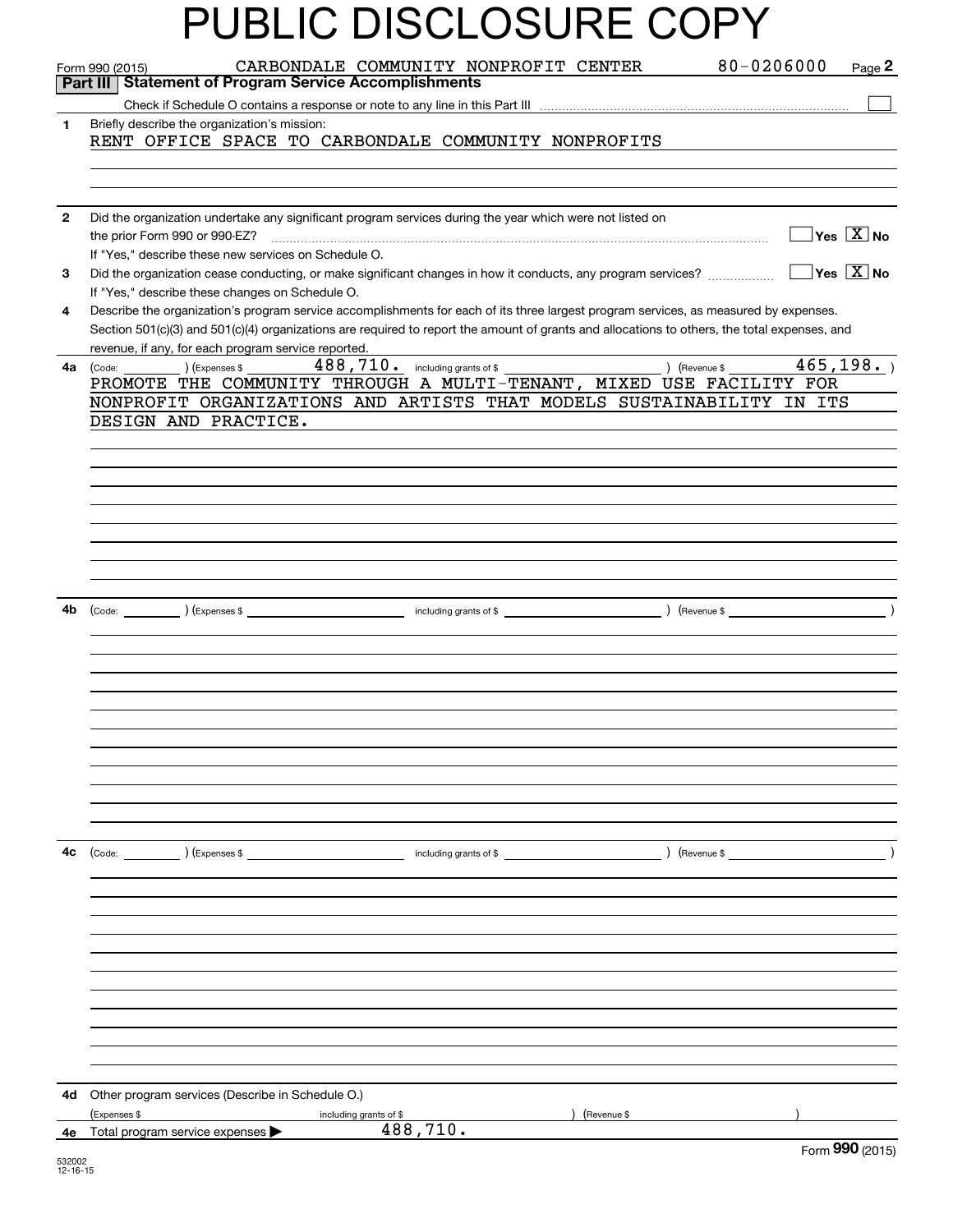|              | PUBLIC DISCLOSURE COPY                                                                                                                                                                                                                                                                                                                      |
|--------------|---------------------------------------------------------------------------------------------------------------------------------------------------------------------------------------------------------------------------------------------------------------------------------------------------------------------------------------------|
|              | 80-0206000<br>CARBONDALE COMMUNITY NONPROFIT CENTER<br>Page 2<br>Form 990 (2015)<br><b>Statement of Program Service Accomplishments</b><br>Part III                                                                                                                                                                                         |
| 1            | Briefly describe the organization's mission:<br>RENT OFFICE SPACE TO CARBONDALE COMMUNITY NONPROFITS                                                                                                                                                                                                                                        |
|              |                                                                                                                                                                                                                                                                                                                                             |
| $\mathbf{2}$ | Did the organization undertake any significant program services during the year which were not listed on<br>$\overline{\ }$ Yes $\overline{\phantom{X}}$ No<br>the prior Form 990 or 990-EZ?<br>If "Yes," describe these new services on Schedule O.                                                                                        |
| 3            | Did the organization cease conducting, or make significant changes in how it conducts, any program services? $\ldots$ $\ldots$ $\ldots$<br>If "Yes," describe these changes on Schedule O.                                                                                                                                                  |
| 4            | Describe the organization's program service accomplishments for each of its three largest program services, as measured by expenses.<br>Section 501(c)(3) and 501(c)(4) organizations are required to report the amount of grants and allocations to others, the total expenses, and<br>revenue, if any, for each program service reported. |
| 4a           | 488, 710. including grants of \$<br>465, 198.<br>$($ Revenue \$<br>) (Expenses \$<br>(Code:<br>PROMOTE THE COMMUNITY THROUGH A MULTI-TENANT, MIXED USE FACILITY FOR<br>NONPROFIT ORGANIZATIONS AND ARTISTS THAT MODELS SUSTAINABILITY IN ITS<br>DESIGN AND PRACTICE.                                                                        |
|              |                                                                                                                                                                                                                                                                                                                                             |
|              |                                                                                                                                                                                                                                                                                                                                             |
|              |                                                                                                                                                                                                                                                                                                                                             |
| 4b           |                                                                                                                                                                                                                                                                                                                                             |
|              |                                                                                                                                                                                                                                                                                                                                             |
|              |                                                                                                                                                                                                                                                                                                                                             |
|              |                                                                                                                                                                                                                                                                                                                                             |
|              |                                                                                                                                                                                                                                                                                                                                             |
| 4с           |                                                                                                                                                                                                                                                                                                                                             |
|              |                                                                                                                                                                                                                                                                                                                                             |
|              |                                                                                                                                                                                                                                                                                                                                             |
|              |                                                                                                                                                                                                                                                                                                                                             |
|              |                                                                                                                                                                                                                                                                                                                                             |
|              |                                                                                                                                                                                                                                                                                                                                             |
| 4d -         | Other program services (Describe in Schedule O.)<br>) (Revenue \$<br>(Expenses \$<br>including grants of \$<br>488,710.                                                                                                                                                                                                                     |
| 4e           | Total program service expenses<br>$F_{\text{OCD}}$ 990 (2015)                                                                                                                                                                                                                                                                               |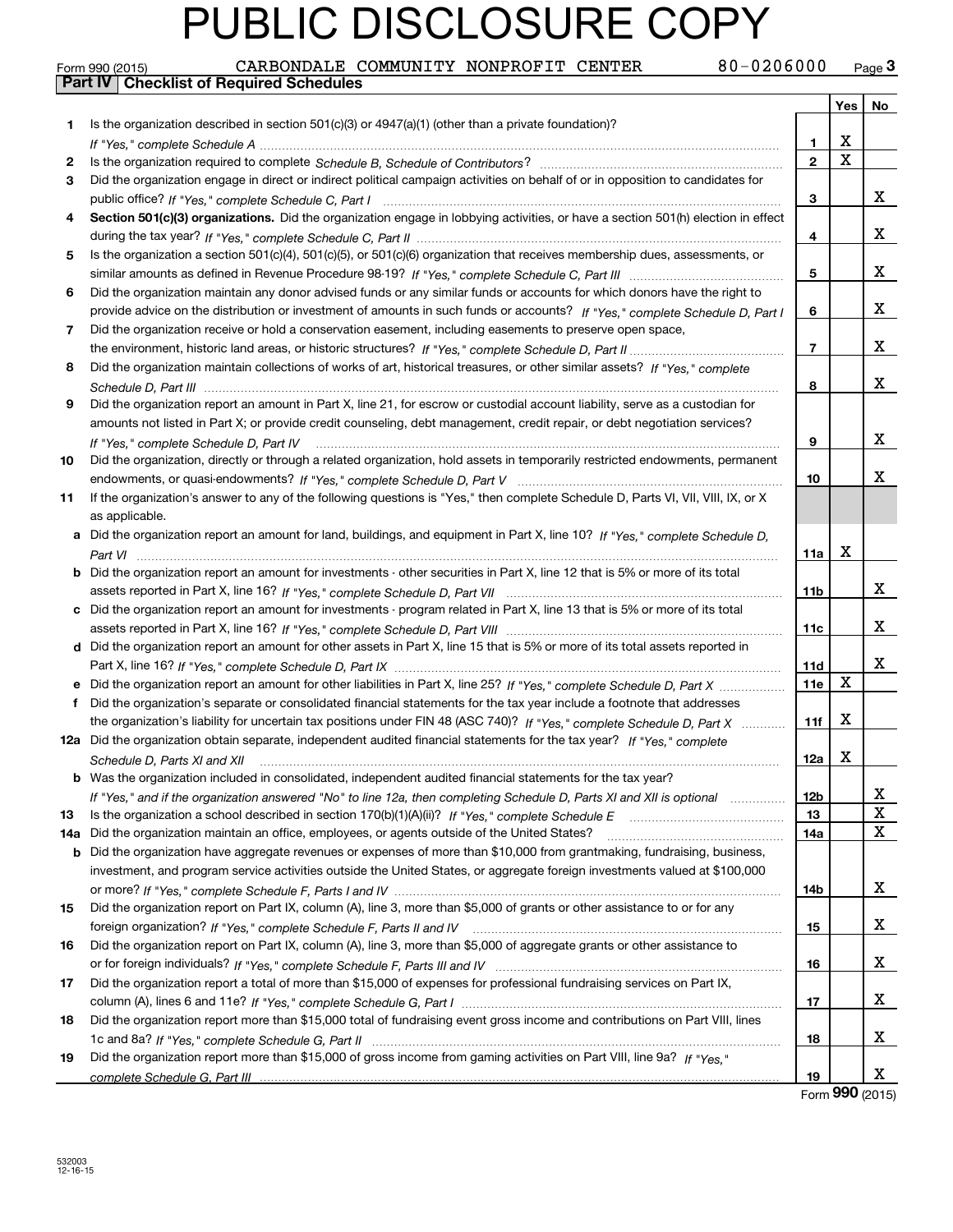| Form 990 (2015) |                                                  |  | CARBONDALE COMMUNITY NONPROFIT CENTER | 80-0206000 | نة Page |
|-----------------|--------------------------------------------------|--|---------------------------------------|------------|---------|
|                 | <b>Part IV   Checklist of Required Schedules</b> |  |                                       |            |         |

|     |                                                                                                                                                                                                                                                       |                 | Yes         | No                           |
|-----|-------------------------------------------------------------------------------------------------------------------------------------------------------------------------------------------------------------------------------------------------------|-----------------|-------------|------------------------------|
| 1   | Is the organization described in section $501(c)(3)$ or $4947(a)(1)$ (other than a private foundation)?                                                                                                                                               |                 |             |                              |
|     |                                                                                                                                                                                                                                                       | 1               | х           |                              |
| 2   |                                                                                                                                                                                                                                                       | $\overline{2}$  | $\mathbf X$ |                              |
| З   | Did the organization engage in direct or indirect political campaign activities on behalf of or in opposition to candidates for                                                                                                                       |                 |             |                              |
|     |                                                                                                                                                                                                                                                       | з               |             | x                            |
| 4   | Section 501(c)(3) organizations. Did the organization engage in lobbying activities, or have a section 501(h) election in effect                                                                                                                      |                 |             |                              |
|     |                                                                                                                                                                                                                                                       | 4               |             | x                            |
| 5   | Is the organization a section 501(c)(4), 501(c)(5), or 501(c)(6) organization that receives membership dues, assessments, or                                                                                                                          |                 |             |                              |
|     |                                                                                                                                                                                                                                                       | 5               |             | x                            |
| 6   | Did the organization maintain any donor advised funds or any similar funds or accounts for which donors have the right to                                                                                                                             |                 |             |                              |
|     | provide advice on the distribution or investment of amounts in such funds or accounts? If "Yes," complete Schedule D, Part I                                                                                                                          | 6               |             | x                            |
| 7   | Did the organization receive or hold a conservation easement, including easements to preserve open space,                                                                                                                                             |                 |             |                              |
|     |                                                                                                                                                                                                                                                       | $\overline{7}$  |             | x                            |
| 8   | Did the organization maintain collections of works of art, historical treasures, or other similar assets? If "Yes," complete                                                                                                                          |                 |             |                              |
|     |                                                                                                                                                                                                                                                       | 8               |             | x                            |
| 9   | Did the organization report an amount in Part X, line 21, for escrow or custodial account liability, serve as a custodian for                                                                                                                         |                 |             |                              |
|     | amounts not listed in Part X; or provide credit counseling, debt management, credit repair, or debt negotiation services?                                                                                                                             |                 |             |                              |
|     | If "Yes," complete Schedule D, Part IV                                                                                                                                                                                                                | 9               |             | x                            |
| 10  | Did the organization, directly or through a related organization, hold assets in temporarily restricted endowments, permanent                                                                                                                         |                 |             |                              |
|     |                                                                                                                                                                                                                                                       | 10              |             | x.                           |
| 11  | If the organization's answer to any of the following questions is "Yes," then complete Schedule D, Parts VI, VII, VIII, IX, or X                                                                                                                      |                 |             |                              |
|     | as applicable.                                                                                                                                                                                                                                        |                 |             |                              |
|     | a Did the organization report an amount for land, buildings, and equipment in Part X, line 10? If "Yes," complete Schedule D,                                                                                                                         |                 |             |                              |
|     |                                                                                                                                                                                                                                                       | 11a             | х           |                              |
|     | <b>b</b> Did the organization report an amount for investments - other securities in Part X, line 12 that is 5% or more of its total                                                                                                                  |                 |             |                              |
|     |                                                                                                                                                                                                                                                       | 11 <sub>b</sub> |             | x                            |
|     | c Did the organization report an amount for investments - program related in Part X, line 13 that is 5% or more of its total                                                                                                                          |                 |             |                              |
|     |                                                                                                                                                                                                                                                       | 11c             |             | x                            |
|     | d Did the organization report an amount for other assets in Part X, line 15 that is 5% or more of its total assets reported in                                                                                                                        |                 |             |                              |
|     |                                                                                                                                                                                                                                                       | <b>11d</b>      |             | x                            |
|     |                                                                                                                                                                                                                                                       | 11e             | X           |                              |
|     | f Did the organization's separate or consolidated financial statements for the tax year include a footnote that addresses                                                                                                                             |                 |             |                              |
|     | the organization's liability for uncertain tax positions under FIN 48 (ASC 740)? If "Yes," complete Schedule D, Part X                                                                                                                                | 11f             | x           |                              |
|     | 12a Did the organization obtain separate, independent audited financial statements for the tax year? If "Yes," complete                                                                                                                               |                 |             |                              |
|     | Schedule D, Parts XI and XII                                                                                                                                                                                                                          | 12a             | x           |                              |
|     | <b>b</b> Was the organization included in consolidated, independent audited financial statements for the tax year?                                                                                                                                    |                 |             |                              |
|     | If "Yes," and if the organization answered "No" to line 12a, then completing Schedule D, Parts XI and XII is optional                                                                                                                                 | <b>12b</b>      |             | х<br>$\overline{\textbf{X}}$ |
| 13  | Did the organization maintain an office, employees, or agents outside of the United States?                                                                                                                                                           | 13<br>14a       |             | $\mathbf x$                  |
| 14a |                                                                                                                                                                                                                                                       |                 |             |                              |
| b   | Did the organization have aggregate revenues or expenses of more than \$10,000 from grantmaking, fundraising, business,<br>investment, and program service activities outside the United States, or aggregate foreign investments valued at \$100,000 |                 |             |                              |
|     |                                                                                                                                                                                                                                                       | 14b             |             | X                            |
| 15  | Did the organization report on Part IX, column (A), line 3, more than \$5,000 of grants or other assistance to or for any                                                                                                                             |                 |             |                              |
|     |                                                                                                                                                                                                                                                       | 15              |             | X                            |
| 16  | Did the organization report on Part IX, column (A), line 3, more than \$5,000 of aggregate grants or other assistance to                                                                                                                              |                 |             |                              |
|     |                                                                                                                                                                                                                                                       | 16              |             | x                            |
| 17  | Did the organization report a total of more than \$15,000 of expenses for professional fundraising services on Part IX,                                                                                                                               |                 |             |                              |
|     |                                                                                                                                                                                                                                                       | 17              |             | x                            |
| 18  | Did the organization report more than \$15,000 total of fundraising event gross income and contributions on Part VIII, lines                                                                                                                          |                 |             |                              |
|     |                                                                                                                                                                                                                                                       | 18              |             | x                            |
| 19  | Did the organization report more than \$15,000 of gross income from gaming activities on Part VIII, line 9a? If "Yes."                                                                                                                                |                 |             |                              |
|     |                                                                                                                                                                                                                                                       | 19              |             | x                            |
|     |                                                                                                                                                                                                                                                       |                 |             |                              |

Form (2015) **990**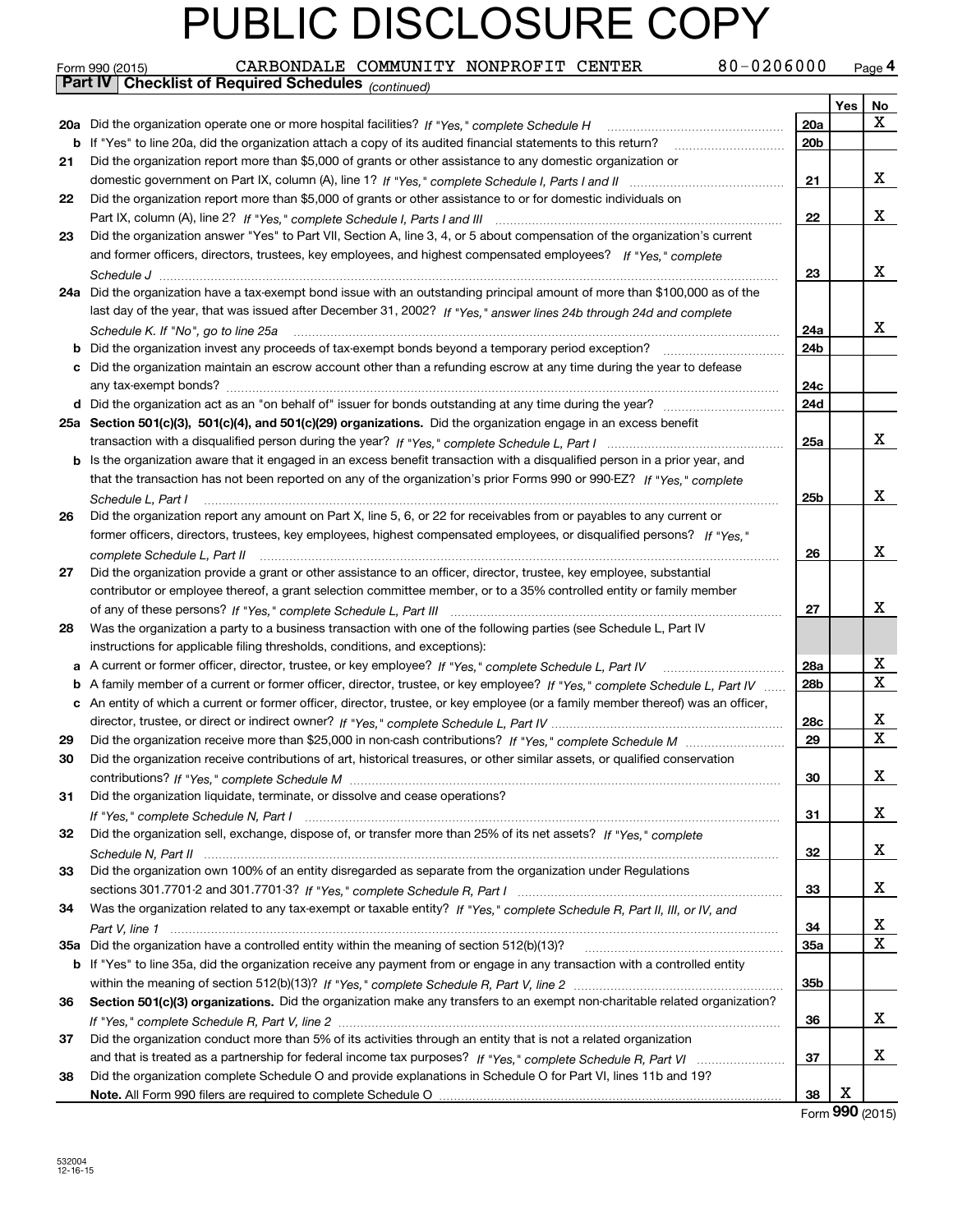|     | 80-0206000<br>CARBONDALE COMMUNITY NONPROFIT CENTER<br>Form 990 (2015)                                                                                                                                                         |                 |     | Page 4                      |
|-----|--------------------------------------------------------------------------------------------------------------------------------------------------------------------------------------------------------------------------------|-----------------|-----|-----------------------------|
|     | Part IV Checklist of Required Schedules (continued)                                                                                                                                                                            |                 |     |                             |
|     |                                                                                                                                                                                                                                |                 | Yes | No                          |
|     | 20a Did the organization operate one or more hospital facilities? If "Yes," complete Schedule H                                                                                                                                | 20a             |     | x                           |
|     | <b>b</b> If "Yes" to line 20a, did the organization attach a copy of its audited financial statements to this return?                                                                                                          | 20 <sub>b</sub> |     |                             |
| 21  | Did the organization report more than \$5,000 of grants or other assistance to any domestic organization or                                                                                                                    |                 |     |                             |
|     |                                                                                                                                                                                                                                | 21              |     | х                           |
| 22  | Did the organization report more than \$5,000 of grants or other assistance to or for domestic individuals on                                                                                                                  |                 |     |                             |
|     |                                                                                                                                                                                                                                | 22              |     | x                           |
| 23  | Did the organization answer "Yes" to Part VII, Section A, line 3, 4, or 5 about compensation of the organization's current                                                                                                     |                 |     |                             |
|     | and former officers, directors, trustees, key employees, and highest compensated employees? If "Yes," complete                                                                                                                 |                 |     |                             |
|     |                                                                                                                                                                                                                                | 23              |     | X                           |
|     | 24a Did the organization have a tax-exempt bond issue with an outstanding principal amount of more than \$100,000 as of the                                                                                                    |                 |     |                             |
|     | last day of the year, that was issued after December 31, 2002? If "Yes," answer lines 24b through 24d and complete                                                                                                             |                 |     |                             |
|     | Schedule K. If "No", go to line 25a                                                                                                                                                                                            | 24a             |     | x                           |
|     | <b>b</b> Did the organization invest any proceeds of tax-exempt bonds beyond a temporary period exception?                                                                                                                     | 24b             |     |                             |
|     | c Did the organization maintain an escrow account other than a refunding escrow at any time during the year to defease                                                                                                         |                 |     |                             |
|     |                                                                                                                                                                                                                                | 24c             |     |                             |
|     |                                                                                                                                                                                                                                | 24d             |     |                             |
|     | 25a Section 501(c)(3), 501(c)(4), and 501(c)(29) organizations. Did the organization engage in an excess benefit                                                                                                               |                 |     |                             |
|     |                                                                                                                                                                                                                                | 25a             |     | x                           |
|     | b Is the organization aware that it engaged in an excess benefit transaction with a disqualified person in a prior year, and                                                                                                   |                 |     |                             |
|     | that the transaction has not been reported on any of the organization's prior Forms 990 or 990-EZ? If "Yes," complete                                                                                                          |                 |     |                             |
|     | Schedule L, Part I                                                                                                                                                                                                             | 25b             |     | x                           |
| 26  | Did the organization report any amount on Part X, line 5, 6, or 22 for receivables from or payables to any current or                                                                                                          |                 |     |                             |
|     | former officers, directors, trustees, key employees, highest compensated employees, or disqualified persons? If "Yes."                                                                                                         |                 |     |                             |
|     | complete Schedule L, Part II material complete schedule L, Part II material complete Schedule L, Part II material complete schedule L, Part II material contract the state of the state of the state of the state of the state | 26              |     | x                           |
| 27  | Did the organization provide a grant or other assistance to an officer, director, trustee, key employee, substantial                                                                                                           |                 |     |                             |
|     | contributor or employee thereof, a grant selection committee member, or to a 35% controlled entity or family member                                                                                                            |                 |     |                             |
|     |                                                                                                                                                                                                                                | 27              |     | х                           |
| 28  | Was the organization a party to a business transaction with one of the following parties (see Schedule L, Part IV                                                                                                              |                 |     |                             |
|     | instructions for applicable filing thresholds, conditions, and exceptions):                                                                                                                                                    |                 |     |                             |
|     | a A current or former officer, director, trustee, or key employee? If "Yes," complete Schedule L, Part IV                                                                                                                      | <b>28a</b>      |     | Х<br>х                      |
|     | b A family member of a current or former officer, director, trustee, or key employee? If "Yes," complete Schedule L, Part IV                                                                                                   | 28b             |     |                             |
|     | c An entity of which a current or former officer, director, trustee, or key employee (or a family member thereof) was an officer,                                                                                              |                 |     | х                           |
|     |                                                                                                                                                                                                                                | 28c             |     | х                           |
| 29  |                                                                                                                                                                                                                                | 29              |     |                             |
| 30  | Did the organization receive contributions of art, historical treasures, or other similar assets, or qualified conservation                                                                                                    |                 |     | X                           |
|     | Did the organization liquidate, terminate, or dissolve and cease operations?                                                                                                                                                   | 30              |     |                             |
| 31  |                                                                                                                                                                                                                                | 31              |     | x                           |
|     | Did the organization sell, exchange, dispose of, or transfer more than 25% of its net assets? If "Yes." complete                                                                                                               |                 |     |                             |
| 32  |                                                                                                                                                                                                                                | 32              |     | х                           |
| 33  | Did the organization own 100% of an entity disregarded as separate from the organization under Regulations                                                                                                                     |                 |     |                             |
|     |                                                                                                                                                                                                                                | 33              |     | х                           |
| 34  | Was the organization related to any tax-exempt or taxable entity? If "Yes," complete Schedule R, Part II, III, or IV, and                                                                                                      |                 |     |                             |
|     |                                                                                                                                                                                                                                | 34              |     | х                           |
| 35a | Did the organization have a controlled entity within the meaning of section 512(b)(13)?                                                                                                                                        | <b>35a</b>      |     | X                           |
|     | b If "Yes" to line 35a, did the organization receive any payment from or engage in any transaction with a controlled entity                                                                                                    |                 |     |                             |
|     |                                                                                                                                                                                                                                | 35b             |     |                             |
| 36  | Section 501(c)(3) organizations. Did the organization make any transfers to an exempt non-charitable related organization?                                                                                                     |                 |     |                             |
|     |                                                                                                                                                                                                                                | 36              |     | x                           |
| 37  | Did the organization conduct more than 5% of its activities through an entity that is not a related organization                                                                                                               |                 |     |                             |
|     |                                                                                                                                                                                                                                | 37              |     | x                           |
| 38  | Did the organization complete Schedule O and provide explanations in Schedule O for Part VI, lines 11b and 19?                                                                                                                 |                 |     |                             |
|     |                                                                                                                                                                                                                                | 38              | х   |                             |
|     |                                                                                                                                                                                                                                |                 |     | $F_{\text{arm}}$ 990 (2015) |

Form (2015) **990**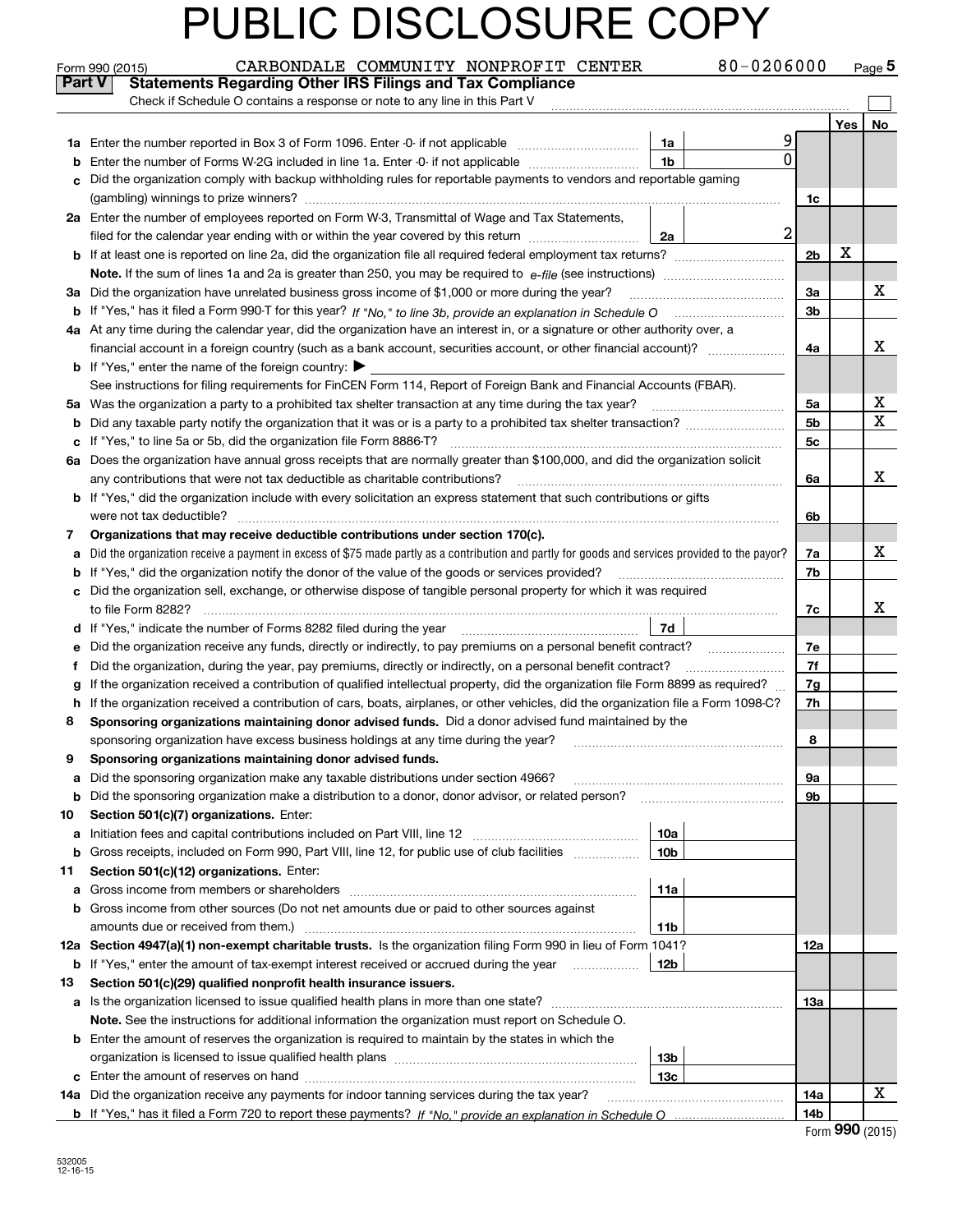|               | CARBONDALE COMMUNITY NONPROFIT CENTER<br>Form 990 (2015)                                                                                        |                 | 80-0206000     |                |     | Page $5$    |
|---------------|-------------------------------------------------------------------------------------------------------------------------------------------------|-----------------|----------------|----------------|-----|-------------|
| <b>Part V</b> | <b>Statements Regarding Other IRS Filings and Tax Compliance</b>                                                                                |                 |                |                |     |             |
|               | Check if Schedule O contains a response or note to any line in this Part V                                                                      |                 |                |                |     |             |
|               |                                                                                                                                                 |                 |                |                | Yes | No          |
|               |                                                                                                                                                 | 1a              |                |                |     |             |
| b             | Enter the number of Forms W-2G included in line 1a. Enter -0- if not applicable                                                                 | 1 <sub>b</sub>  | 0              |                |     |             |
| c             | Did the organization comply with backup withholding rules for reportable payments to vendors and reportable gaming                              |                 |                |                |     |             |
|               |                                                                                                                                                 |                 |                | 1c             |     |             |
|               | 2a Enter the number of employees reported on Form W-3, Transmittal of Wage and Tax Statements,                                                  |                 |                |                |     |             |
|               | filed for the calendar year ending with or within the year covered by this return                                                               | 2a              | $\overline{a}$ |                |     |             |
|               |                                                                                                                                                 |                 |                | 2 <sub>b</sub> | X   |             |
|               | <b>Note.</b> If the sum of lines 1a and 2a is greater than 250, you may be required to $e$ - <i>file</i> (see instructions)                     |                 |                |                |     |             |
|               | 3a Did the organization have unrelated business gross income of \$1,000 or more during the year?                                                |                 |                | 3a             |     | х           |
|               |                                                                                                                                                 |                 |                | 3 <sub>b</sub> |     |             |
|               | 4a At any time during the calendar year, did the organization have an interest in, or a signature or other authority over, a                    |                 |                |                |     |             |
|               |                                                                                                                                                 |                 |                | 4a             |     | х           |
|               | <b>b</b> If "Yes," enter the name of the foreign country: $\blacktriangleright$                                                                 |                 |                |                |     |             |
|               | See instructions for filing requirements for FinCEN Form 114, Report of Foreign Bank and Financial Accounts (FBAR).                             |                 |                |                |     |             |
|               | 5a Was the organization a party to a prohibited tax shelter transaction at any time during the tax year?                                        |                 |                | 5a             |     | х           |
|               |                                                                                                                                                 |                 |                | 5 <sub>b</sub> |     | $\mathbf X$ |
|               | c If "Yes," to line 5a or 5b, did the organization file Form 8886-T?                                                                            |                 |                | 5 <sub>c</sub> |     |             |
|               | 6a Does the organization have annual gross receipts that are normally greater than \$100,000, and did the organization solicit                  |                 |                |                |     |             |
|               | any contributions that were not tax deductible as charitable contributions?                                                                     |                 |                | 6a             |     | х           |
|               | b If "Yes," did the organization include with every solicitation an express statement that such contributions or gifts                          |                 |                |                |     |             |
|               | were not tax deductible?                                                                                                                        |                 |                | 6b             |     |             |
| 7             | Organizations that may receive deductible contributions under section 170(c).                                                                   |                 |                |                |     |             |
| a             | Did the organization receive a payment in excess of \$75 made partly as a contribution and partly for goods and services provided to the payor? |                 |                | 7a             |     | х           |
|               | <b>b</b> If "Yes," did the organization notify the donor of the value of the goods or services provided?                                        |                 |                | 7b             |     |             |
|               | c Did the organization sell, exchange, or otherwise dispose of tangible personal property for which it was required                             |                 |                |                |     |             |
|               | to file Form 8282?                                                                                                                              |                 |                | 7c             |     | х           |
|               | <b>d</b> If "Yes," indicate the number of Forms 8282 filed during the year                                                                      | 7d              |                |                |     |             |
|               | e Did the organization receive any funds, directly or indirectly, to pay premiums on a personal benefit contract?                               |                 |                | 7e             |     |             |
| Ť             | Did the organization, during the year, pay premiums, directly or indirectly, on a personal benefit contract?                                    |                 |                | 7f             |     |             |
| g             | If the organization received a contribution of qualified intellectual property, did the organization file Form 8899 as required?                |                 |                | 7g             |     |             |
|               | h If the organization received a contribution of cars, boats, airplanes, or other vehicles, did the organization file a Form 1098-C?            |                 |                | 7h             |     |             |
| 8             | Sponsoring organizations maintaining donor advised funds. Did a donor advised fund maintained by the                                            |                 |                |                |     |             |
|               | sponsoring organization have excess business holdings at any time during the year?                                                              |                 |                | 8              |     |             |
| 9             | Sponsoring organizations maintaining donor advised funds.                                                                                       |                 |                |                |     |             |
| а             | Did the sponsoring organization make any taxable distributions under section 4966?                                                              |                 |                | 9а             |     |             |
| b             | Did the sponsoring organization make a distribution to a donor, donor advisor, or related person?                                               |                 |                | 9b             |     |             |
| 10            | Section 501(c)(7) organizations. Enter:                                                                                                         |                 |                |                |     |             |
| а             |                                                                                                                                                 | 10a             |                |                |     |             |
| b             | Gross receipts, included on Form 990, Part VIII, line 12, for public use of club facilities                                                     | 10 <sub>b</sub> |                |                |     |             |
| 11            | Section 501(c)(12) organizations. Enter:                                                                                                        |                 |                |                |     |             |
| а             |                                                                                                                                                 | 11a             |                |                |     |             |
|               | <b>b</b> Gross income from other sources (Do not net amounts due or paid to other sources against                                               |                 |                |                |     |             |
|               | amounts due or received from them.)                                                                                                             | 11b             |                |                |     |             |
|               | 12a Section 4947(a)(1) non-exempt charitable trusts. Is the organization filing Form 990 in lieu of Form 1041?                                  |                 |                | 12a            |     |             |
|               | <b>b</b> If "Yes," enter the amount of tax-exempt interest received or accrued during the year                                                  | 12b             |                |                |     |             |
| 13            | Section 501(c)(29) qualified nonprofit health insurance issuers.                                                                                |                 |                |                |     |             |
|               | a Is the organization licensed to issue qualified health plans in more than one state?                                                          |                 |                | 13а            |     |             |
|               | Note. See the instructions for additional information the organization must report on Schedule O.                                               |                 |                |                |     |             |
|               | <b>b</b> Enter the amount of reserves the organization is required to maintain by the states in which the                                       |                 |                |                |     |             |
|               |                                                                                                                                                 | 13b             |                |                |     |             |
|               |                                                                                                                                                 | 13с             |                |                |     | х           |
|               | 14a Did the organization receive any payments for indoor tanning services during the tax year?                                                  |                 |                | 14a<br>14b     |     |             |
|               |                                                                                                                                                 |                 |                |                |     |             |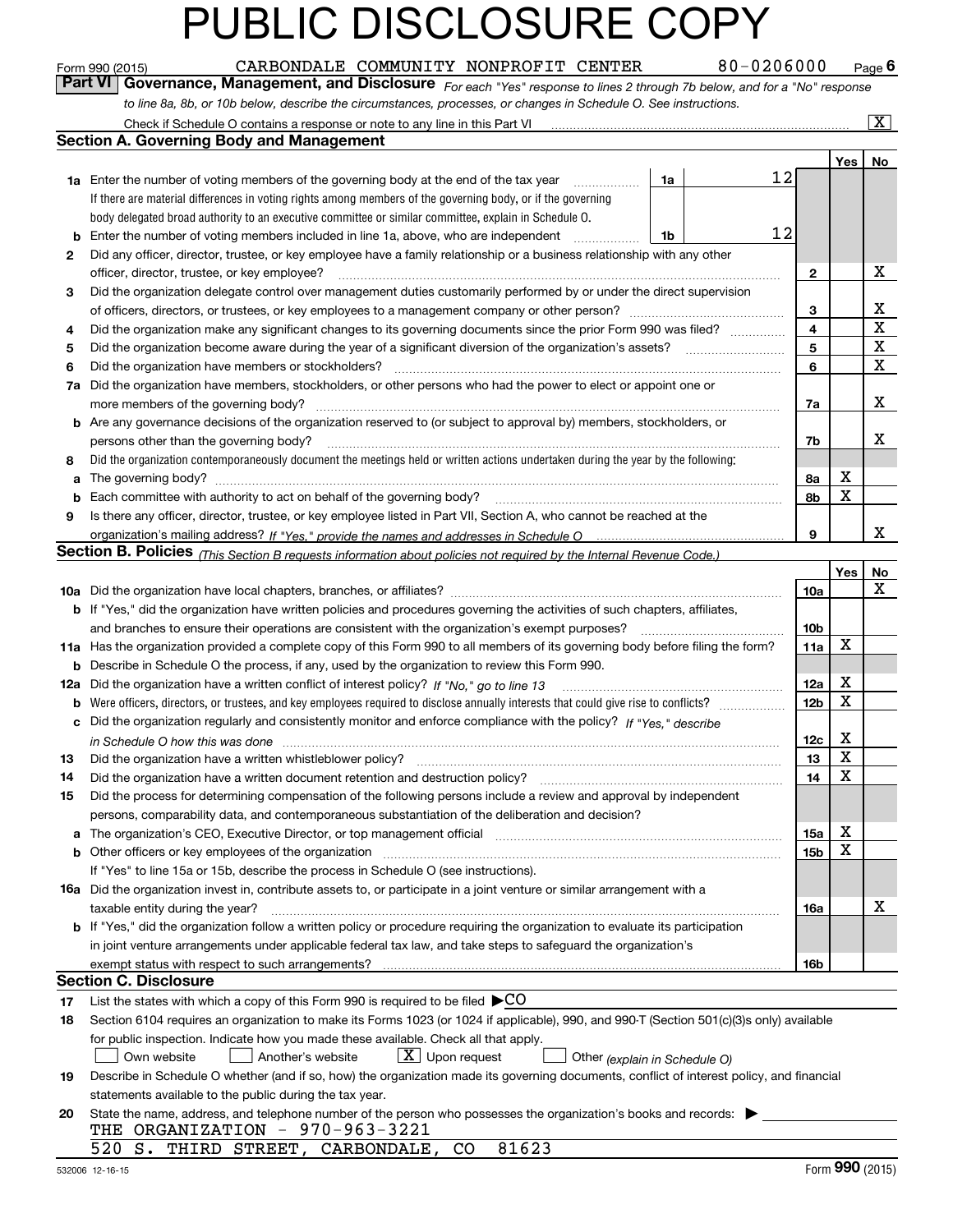|    | 80-0206000<br>CARBONDALE COMMUNITY NONPROFIT CENTER<br>Form 990 (2015)                                                                                                |                 |     | $Page$ <sup>6</sup>     |
|----|-----------------------------------------------------------------------------------------------------------------------------------------------------------------------|-----------------|-----|-------------------------|
|    | Governance, Management, and Disclosure For each "Yes" response to lines 2 through 7b below, and for a "No" response<br><b>Part VI</b>                                 |                 |     |                         |
|    | to line 8a, 8b, or 10b below, describe the circumstances, processes, or changes in Schedule O. See instructions.                                                      |                 |     |                         |
|    |                                                                                                                                                                       |                 |     | $\overline{\mathbf{X}}$ |
|    | <b>Section A. Governing Body and Management</b>                                                                                                                       |                 |     |                         |
|    |                                                                                                                                                                       |                 | Yes | No                      |
|    | 12<br>1a<br><b>1a</b> Enter the number of voting members of the governing body at the end of the tax year <i>manumum</i>                                              |                 |     |                         |
|    | If there are material differences in voting rights among members of the governing body, or if the governing                                                           |                 |     |                         |
|    | body delegated broad authority to an executive committee or similar committee, explain in Schedule O.                                                                 |                 |     |                         |
| b  | 12<br>Enter the number of voting members included in line 1a, above, who are independent<br>1b                                                                        |                 |     |                         |
| 2  | Did any officer, director, trustee, or key employee have a family relationship or a business relationship with any other                                              |                 |     |                         |
|    | officer, director, trustee, or key employee?                                                                                                                          | $\mathbf{2}$    |     | х                       |
| 3  | Did the organization delegate control over management duties customarily performed by or under the direct supervision                                                 |                 |     |                         |
|    | of officers, directors, or trustees, or key employees to a management company or other person?                                                                        | 3               |     | х                       |
| 4  | Did the organization make any significant changes to its governing documents since the prior Form 990 was filed?                                                      | 4               |     | $\mathbf X$             |
| 5  |                                                                                                                                                                       | 5               |     | X                       |
| 6  | Did the organization have members or stockholders?                                                                                                                    | 6               |     | $\mathbf X$             |
|    | 7a Did the organization have members, stockholders, or other persons who had the power to elect or appoint one or                                                     |                 |     |                         |
|    |                                                                                                                                                                       | 7a              |     | x                       |
|    | <b>b</b> Are any governance decisions of the organization reserved to (or subject to approval by) members, stockholders, or                                           |                 |     |                         |
|    | persons other than the governing body?                                                                                                                                | 7b              |     | x                       |
| 8  | Did the organization contemporaneously document the meetings held or written actions undertaken during the year by the following:                                     |                 |     |                         |
|    |                                                                                                                                                                       | 8a              | X   |                         |
| b  | Each committee with authority to act on behalf of the governing body?                                                                                                 | 8b              | X   |                         |
| 9  | Is there any officer, director, trustee, or key employee listed in Part VII, Section A, who cannot be reached at the                                                  |                 |     |                         |
|    |                                                                                                                                                                       | 9               |     | x                       |
|    | Section B. Policies (This Section B requests information about policies not required by the Internal Revenue Code.)                                                   |                 |     |                         |
|    |                                                                                                                                                                       |                 | Yes | No                      |
|    |                                                                                                                                                                       | 10a             |     | x                       |
|    | b If "Yes," did the organization have written policies and procedures governing the activities of such chapters, affiliates,                                          |                 |     |                         |
|    | and branches to ensure their operations are consistent with the organization's exempt purposes?                                                                       | 10 <sub>b</sub> |     |                         |
|    | 11a Has the organization provided a complete copy of this Form 990 to all members of its governing body before filing the form?                                       | 11a             | X   |                         |
|    | <b>b</b> Describe in Schedule O the process, if any, used by the organization to review this Form 990.                                                                |                 |     |                         |
|    | 12a Did the organization have a written conflict of interest policy? If "No," go to line 13                                                                           | 12a             | х   |                         |
|    | <b>b</b> Were officers, directors, or trustees, and key employees required to disclose annually interests that could give rise to conflicts?                          | 12 <sub>b</sub> | X   |                         |
|    | c Did the organization regularly and consistently monitor and enforce compliance with the policy? If "Yes," describe                                                  |                 |     |                         |
|    | in Schedule O how this was done manufactured and contain an according to the state of the state of the state o                                                        | 12c             | х   |                         |
| 13 | Did the organization have a written whistleblower policy?                                                                                                             | 13              | Y,  |                         |
| 14 | Did the organization have a written document retention and destruction policy?                                                                                        | 14              | X   |                         |
| 15 | Did the process for determining compensation of the following persons include a review and approval by independent                                                    |                 |     |                         |
|    | persons, comparability data, and contemporaneous substantiation of the deliberation and decision?                                                                     |                 |     |                         |
| а  | The organization's CEO, Executive Director, or top management official manufactured content of the organization's CEO, Executive Director, or top management official | 15a             | х   |                         |
|    |                                                                                                                                                                       | 15 <sub>b</sub> | X   |                         |
|    | If "Yes" to line 15a or 15b, describe the process in Schedule O (see instructions).                                                                                   |                 |     |                         |
|    | <b>16a</b> Did the organization invest in, contribute assets to, or participate in a joint venture or similar arrangement with a                                      |                 |     |                         |
|    | taxable entity during the year?                                                                                                                                       | 16a             |     | х                       |
|    | <b>b</b> If "Yes," did the organization follow a written policy or procedure requiring the organization to evaluate its participation                                 |                 |     |                         |
|    | in joint venture arrangements under applicable federal tax law, and take steps to safeguard the organization's                                                        |                 |     |                         |
|    | exempt status with respect to such arrangements?                                                                                                                      | 16b             |     |                         |
|    | <b>Section C. Disclosure</b>                                                                                                                                          |                 |     |                         |
| 17 | List the states with which a copy of this Form 990 is required to be filed $\blacktriangleright$ CO                                                                   |                 |     |                         |
| 18 | Section 6104 requires an organization to make its Forms 1023 (or 1024 if applicable), 990, and 990-T (Section 501(c)(3)s only) available                              |                 |     |                         |
|    | for public inspection. Indicate how you made these available. Check all that apply.                                                                                   |                 |     |                         |
|    | $\lfloor x \rfloor$ Upon request<br>Another's website<br>Own website<br>Other (explain in Schedule O)                                                                 |                 |     |                         |
| 19 | Describe in Schedule O whether (and if so, how) the organization made its governing documents, conflict of interest policy, and financial                             |                 |     |                         |
|    | statements available to the public during the tax year.                                                                                                               |                 |     |                         |
| 20 | State the name, address, and telephone number of the person who possesses the organization's books and records:                                                       |                 |     |                         |

| THE ORGANIZATION | 970-963-3221 |
|------------------|--------------|
|                  |              |

| 520 S. THIRD STREET, CARBONDALE, CO |  |  | 81623 |  |
|-------------------------------------|--|--|-------|--|
|-------------------------------------|--|--|-------|--|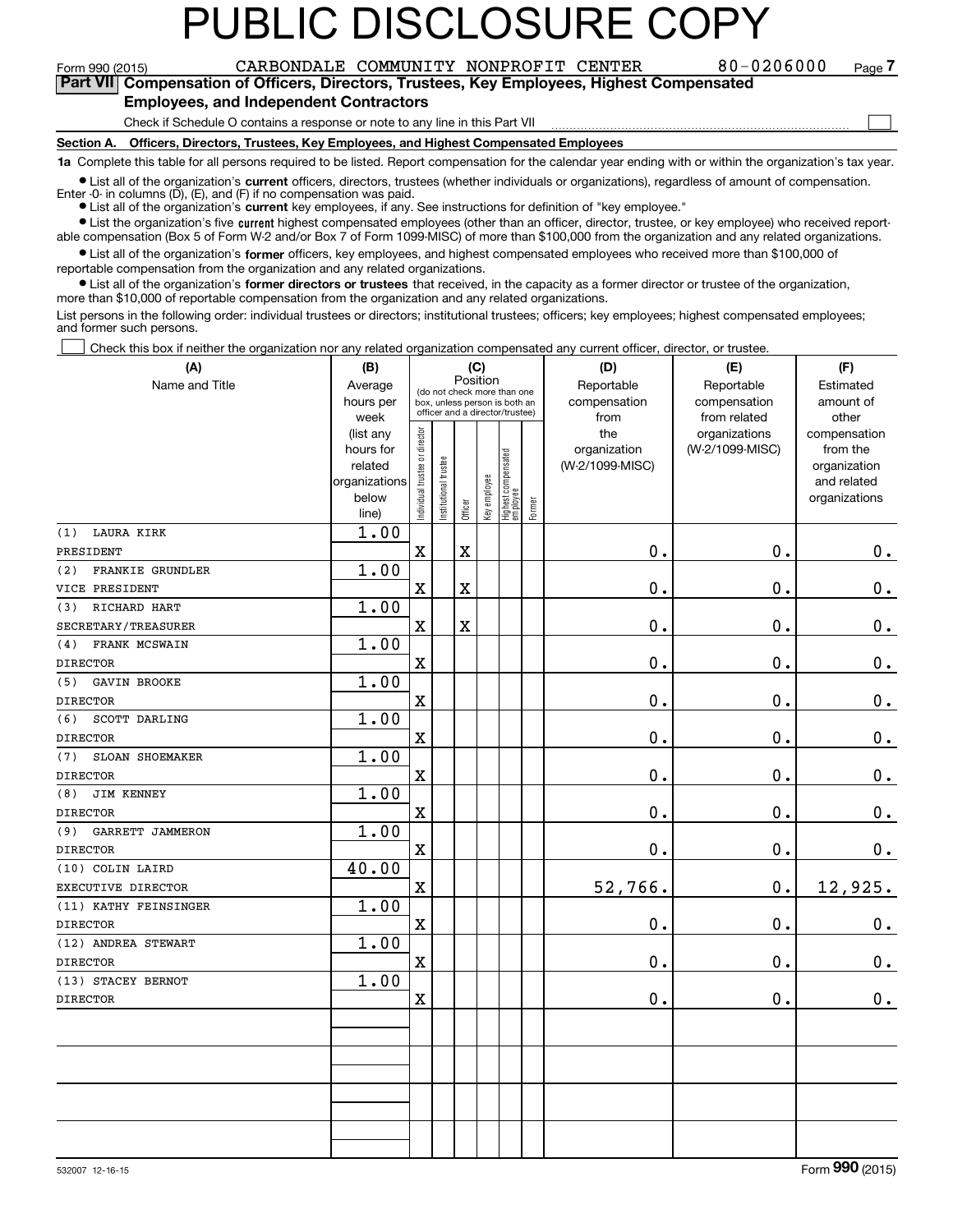### **IC DISCLOSURE**

Form 990 (2015) CARBONDALE COMMUNITY NONPROFIT CENTER 8 0 – 0 2 0 6 0 0 0 page<br>Part VIII Compensation of Officers Directors Trustees Key Employees\_Highest Compensated **7Part VII Compensation of Officers, Directors, Trustees, Key Employees, Highest Compensated**

 $\mathcal{L}^{\text{max}}$ 

#### **Employees, and Independent Contractors**

Check if Schedule O contains a response or note to any line in this Part VII

**Section A. Officers, Directors, Trustees, Key Employees, and Highest Compensated Employees**

**1a**  Complete this table for all persons required to be listed. Report compensation for the calendar year ending with or within the organization's tax year.

**•** List all of the organization's current officers, directors, trustees (whether individuals or organizations), regardless of amount of compensation.

● List all of the organization's **current** key employees, if any. See instructions for definition of "key employee." Enter -0- in columns  $(D)$ ,  $(E)$ , and  $(F)$  if no compensation was paid.

**In List the organization's five current highest compensated employees (other than an officer, director, trustee, or key employee) who received report-**■ List the organization's five current highest compensated employees (other than an officer, director, trustee, or key employee) who received report-<br>able compensation (Box 5 of Form W-2 and/or Box 7 of Form 1099-MISC) of

 $\bullet$  List all of the organization's **former** officers, key employees, and highest compensated employees who received more than \$100,000 of

reportable compensation from the organization and any related organizations.

**•** List all of the organization's former directors or trustees that received, in the capacity as a former director or trustee of the organization, more than \$10,000 of reportable compensation from the organization and any related organizations.

List persons in the following order: individual trustees or directors; institutional trustees; officers; key employees; highest compensated employees; and former such persons.

Check this box if neither the organization nor any related organization compensated any current officer, director, or trustee.  $\mathcal{L}^{\text{max}}$ 

| (A)                      | (B)                                                                          | (C)                            |                                                                                                 |                         |              |                                   |        | (D)                                            | (E)                                              | (F)                                                                               |
|--------------------------|------------------------------------------------------------------------------|--------------------------------|-------------------------------------------------------------------------------------------------|-------------------------|--------------|-----------------------------------|--------|------------------------------------------------|--------------------------------------------------|-----------------------------------------------------------------------------------|
| Name and Title           | Average<br>hours per                                                         |                                | (do not check more than one<br>box, unless person is both an<br>officer and a director/trustee) | Position                |              |                                   |        | Reportable<br>compensation                     | Reportable<br>compensation                       | Estimated<br>amount of                                                            |
|                          | week<br>(list any<br>hours for<br>related<br>organizations<br>below<br>line) | Individual trustee or director | In stitutional trustee                                                                          | Officer                 | Key employee | Highest compensated<br>  employee | Former | from<br>the<br>organization<br>(W-2/1099-MISC) | from related<br>organizations<br>(W-2/1099-MISC) | other<br>compensation<br>from the<br>organization<br>and related<br>organizations |
| <b>LAURA KIRK</b><br>(1) | 1.00                                                                         |                                |                                                                                                 |                         |              |                                   |        |                                                |                                                  |                                                                                   |
| PRESIDENT                |                                                                              | $\mathbf X$                    |                                                                                                 | X                       |              |                                   |        | $\mathbf 0$ .                                  | 0.                                               | $0_{.}$                                                                           |
| (2)<br>FRANKIE GRUNDLER  | 1.00                                                                         |                                |                                                                                                 |                         |              |                                   |        |                                                |                                                  |                                                                                   |
| VICE PRESIDENT           |                                                                              | $\mathbf X$                    |                                                                                                 | $\overline{\textbf{X}}$ |              |                                   |        | $0$ .                                          | $\mathbf 0$ .                                    | $\mathbf 0$ .                                                                     |
| RICHARD HART<br>(3)      | 1.00                                                                         |                                |                                                                                                 |                         |              |                                   |        |                                                |                                                  |                                                                                   |
| SECRETARY/TREASURER      |                                                                              | $\mathbf x$                    |                                                                                                 | X                       |              |                                   |        | $\mathbf 0$ .                                  | $\mathbf 0$ .                                    | $\mathbf 0$ .                                                                     |
| (4)<br>FRANK MCSWAIN     | 1.00                                                                         |                                |                                                                                                 |                         |              |                                   |        |                                                |                                                  |                                                                                   |
| <b>DIRECTOR</b>          |                                                                              | $\mathbf X$                    |                                                                                                 |                         |              |                                   |        | $0$ .                                          | 0.                                               | 0.                                                                                |
| GAVIN BROOKE<br>(5)      | 1.00                                                                         |                                |                                                                                                 |                         |              |                                   |        |                                                |                                                  |                                                                                   |
| <b>DIRECTOR</b>          |                                                                              | $\mathbf x$                    |                                                                                                 |                         |              |                                   |        | $\mathbf 0$ .                                  | $\mathbf 0$ .                                    | $0_{.}$                                                                           |
| (6)<br>SCOTT DARLING     | 1.00                                                                         |                                |                                                                                                 |                         |              |                                   |        |                                                |                                                  |                                                                                   |
| <b>DIRECTOR</b>          |                                                                              | $\mathbf x$                    |                                                                                                 |                         |              |                                   |        | $\mathbf 0$ .                                  | 0.                                               | $\mathbf 0$ .                                                                     |
| SLOAN SHOEMAKER<br>(7)   | 1.00                                                                         |                                |                                                                                                 |                         |              |                                   |        |                                                |                                                  |                                                                                   |
| <b>DIRECTOR</b>          |                                                                              | $\mathbf X$                    |                                                                                                 |                         |              |                                   |        | $\mathbf 0$ .                                  | $\mathbf 0$ .                                    | $\mathbf 0$ .                                                                     |
| (8)<br><b>JIM KENNEY</b> | 1.00                                                                         |                                |                                                                                                 |                         |              |                                   |        |                                                |                                                  |                                                                                   |
| <b>DIRECTOR</b>          |                                                                              | $\mathbf X$                    |                                                                                                 |                         |              |                                   |        | 0.                                             | 0.                                               | $0_{.}$                                                                           |
| (9)<br>GARRETT JAMMERON  | 1.00                                                                         |                                |                                                                                                 |                         |              |                                   |        |                                                |                                                  |                                                                                   |
| <b>DIRECTOR</b>          |                                                                              | $\mathbf x$                    |                                                                                                 |                         |              |                                   |        | $\mathbf 0$ .                                  | 0.                                               | 0.                                                                                |
| (10) COLIN LAIRD         | 40.00                                                                        |                                |                                                                                                 |                         |              |                                   |        |                                                |                                                  |                                                                                   |
| EXECUTIVE DIRECTOR       |                                                                              | $\mathbf X$                    |                                                                                                 |                         |              |                                   |        | 52,766.                                        | 0.                                               | 12,925.                                                                           |
| (11) KATHY FEINSINGER    | 1.00                                                                         |                                |                                                                                                 |                         |              |                                   |        |                                                |                                                  |                                                                                   |
| <b>DIRECTOR</b>          |                                                                              | $\mathbf x$                    |                                                                                                 |                         |              |                                   |        | $\mathbf 0$ .                                  | $\mathbf 0$ .                                    | $\mathbf 0$ .                                                                     |
| (12) ANDREA STEWART      | 1.00                                                                         |                                |                                                                                                 |                         |              |                                   |        |                                                |                                                  |                                                                                   |
| <b>DIRECTOR</b>          |                                                                              | $\mathbf X$                    |                                                                                                 |                         |              |                                   |        | 0.                                             | $\mathbf 0$ .                                    | $\mathbf 0$ .                                                                     |
| (13) STACEY BERNOT       | 1.00                                                                         |                                |                                                                                                 |                         |              |                                   |        |                                                |                                                  |                                                                                   |
| <b>DIRECTOR</b>          |                                                                              | $\mathbf x$                    |                                                                                                 |                         |              |                                   |        | $\mathbf 0$ .                                  | 0.                                               | 0.                                                                                |
|                          |                                                                              |                                |                                                                                                 |                         |              |                                   |        |                                                |                                                  |                                                                                   |
|                          |                                                                              |                                |                                                                                                 |                         |              |                                   |        |                                                |                                                  |                                                                                   |
|                          |                                                                              |                                |                                                                                                 |                         |              |                                   |        |                                                |                                                  |                                                                                   |
|                          |                                                                              |                                |                                                                                                 |                         |              |                                   |        |                                                |                                                  |                                                                                   |
|                          |                                                                              |                                |                                                                                                 |                         |              |                                   |        |                                                |                                                  |                                                                                   |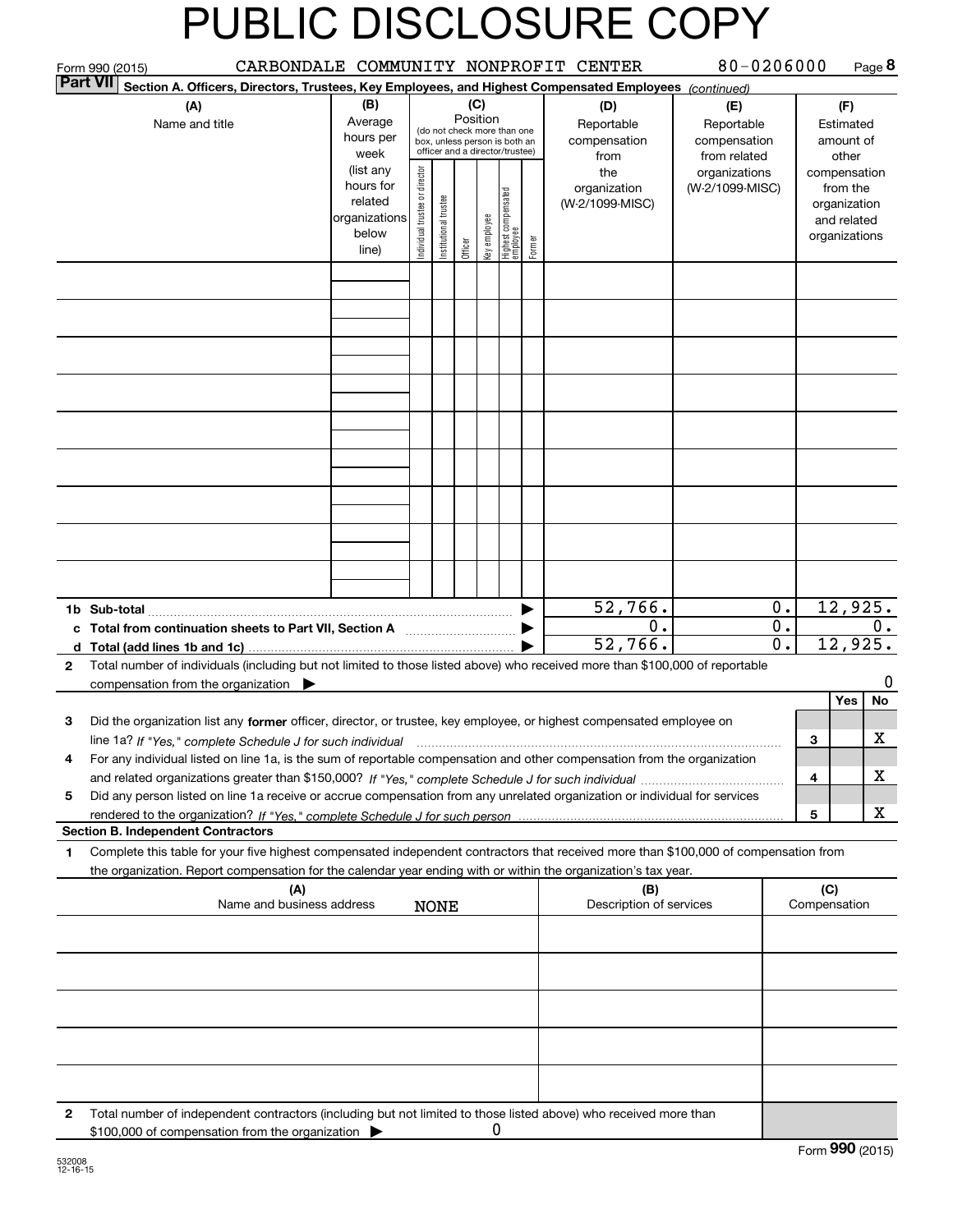|              | Form 990 (2015)                                                                                                                                                                                                                                        |                                                                                                                                                                                                                                                                                            |  |             |  |                                                                                                                    |  |                               | CARBONDALE COMMUNITY NONPROFIT CENTER     | 80-0206000                                        |                                      |                               |                                        | Page 8         |
|--------------|--------------------------------------------------------------------------------------------------------------------------------------------------------------------------------------------------------------------------------------------------------|--------------------------------------------------------------------------------------------------------------------------------------------------------------------------------------------------------------------------------------------------------------------------------------------|--|-------------|--|--------------------------------------------------------------------------------------------------------------------|--|-------------------------------|-------------------------------------------|---------------------------------------------------|--------------------------------------|-------------------------------|----------------------------------------|----------------|
|              | <b>Part VII</b><br>Section A. Officers, Directors, Trustees, Key Employees, and Highest Compensated Employees (continued)                                                                                                                              |                                                                                                                                                                                                                                                                                            |  |             |  |                                                                                                                    |  |                               |                                           |                                                   |                                      |                               |                                        |                |
|              | (A)<br>Name and title                                                                                                                                                                                                                                  | (B)<br>Average<br>hours per<br>week                                                                                                                                                                                                                                                        |  |             |  | (C)<br>Position<br>(do not check more than one<br>box, unless person is both an<br>officer and a director/trustee) |  |                               | (D)<br>Reportable<br>compensation<br>from | (E)<br>Reportable<br>compensation<br>from related |                                      |                               | (F)<br>Estimated<br>amount of<br>other |                |
|              |                                                                                                                                                                                                                                                        | (list any<br>Individual trustee or director<br>the<br>organizations<br>hours for<br>organization<br>(W-2/1099-MISC)<br>  Highest compensated<br>  employee<br>In stitutional trustee<br>related<br>(W-2/1099-MISC)<br>organizations<br>Key employee<br>below<br>Former<br>Officer<br>line) |  |             |  |                                                                                                                    |  | compensation<br>organizations | from the<br>organization<br>and related   |                                                   |                                      |                               |                                        |                |
|              |                                                                                                                                                                                                                                                        |                                                                                                                                                                                                                                                                                            |  |             |  |                                                                                                                    |  |                               |                                           |                                                   |                                      |                               |                                        |                |
|              |                                                                                                                                                                                                                                                        |                                                                                                                                                                                                                                                                                            |  |             |  |                                                                                                                    |  |                               |                                           |                                                   |                                      |                               |                                        |                |
|              |                                                                                                                                                                                                                                                        |                                                                                                                                                                                                                                                                                            |  |             |  |                                                                                                                    |  |                               |                                           |                                                   |                                      |                               |                                        |                |
|              |                                                                                                                                                                                                                                                        |                                                                                                                                                                                                                                                                                            |  |             |  |                                                                                                                    |  |                               |                                           |                                                   |                                      |                               |                                        |                |
|              |                                                                                                                                                                                                                                                        |                                                                                                                                                                                                                                                                                            |  |             |  |                                                                                                                    |  |                               |                                           |                                                   |                                      |                               |                                        |                |
|              |                                                                                                                                                                                                                                                        |                                                                                                                                                                                                                                                                                            |  |             |  |                                                                                                                    |  |                               |                                           |                                                   |                                      |                               |                                        |                |
|              |                                                                                                                                                                                                                                                        |                                                                                                                                                                                                                                                                                            |  |             |  |                                                                                                                    |  |                               |                                           |                                                   |                                      |                               |                                        |                |
|              |                                                                                                                                                                                                                                                        |                                                                                                                                                                                                                                                                                            |  |             |  |                                                                                                                    |  |                               |                                           |                                                   |                                      |                               |                                        |                |
|              | 1b Sub-total                                                                                                                                                                                                                                           |                                                                                                                                                                                                                                                                                            |  |             |  |                                                                                                                    |  |                               | 52,766.                                   |                                                   | $0$ .                                |                               | 12,925.                                |                |
|              | c Total from continuation sheets to Part VII, Section A                                                                                                                                                                                                |                                                                                                                                                                                                                                                                                            |  |             |  |                                                                                                                    |  |                               | 0.<br>52,766.                             |                                                   | $\overline{0}$ .<br>$\overline{0}$ . |                               | 12,925.                                | 0.             |
| $\mathbf{2}$ | Total number of individuals (including but not limited to those listed above) who received more than \$100,000 of reportable                                                                                                                           |                                                                                                                                                                                                                                                                                            |  |             |  |                                                                                                                    |  |                               |                                           |                                                   |                                      |                               |                                        |                |
|              | compensation from the organization $\blacktriangleright$                                                                                                                                                                                               |                                                                                                                                                                                                                                                                                            |  |             |  |                                                                                                                    |  |                               |                                           |                                                   |                                      |                               | Yes                                    | $\Omega$<br>No |
| 3            | Did the organization list any former officer, director, or trustee, key employee, or highest compensated employee on                                                                                                                                   |                                                                                                                                                                                                                                                                                            |  |             |  |                                                                                                                    |  |                               |                                           |                                                   |                                      |                               |                                        |                |
|              |                                                                                                                                                                                                                                                        |                                                                                                                                                                                                                                                                                            |  |             |  |                                                                                                                    |  |                               |                                           |                                                   |                                      | 3                             |                                        | x              |
| 4            | For any individual listed on line 1a, is the sum of reportable compensation and other compensation from the organization                                                                                                                               |                                                                                                                                                                                                                                                                                            |  |             |  |                                                                                                                    |  |                               |                                           |                                                   |                                      | 4                             |                                        | х              |
| 5            | Did any person listed on line 1a receive or accrue compensation from any unrelated organization or individual for services                                                                                                                             |                                                                                                                                                                                                                                                                                            |  |             |  |                                                                                                                    |  |                               |                                           |                                                   |                                      |                               |                                        |                |
|              | <b>Section B. Independent Contractors</b>                                                                                                                                                                                                              |                                                                                                                                                                                                                                                                                            |  |             |  |                                                                                                                    |  |                               |                                           |                                                   |                                      | $\sqrt{5}$                    |                                        | x              |
| 1            | Complete this table for your five highest compensated independent contractors that received more than \$100,000 of compensation from<br>the organization. Report compensation for the calendar year ending with or within the organization's tax year. |                                                                                                                                                                                                                                                                                            |  |             |  |                                                                                                                    |  |                               |                                           |                                                   |                                      |                               |                                        |                |
|              | (A)<br>Name and business address                                                                                                                                                                                                                       |                                                                                                                                                                                                                                                                                            |  | <b>NONE</b> |  |                                                                                                                    |  |                               | (B)<br>Description of services            |                                                   |                                      | (C)<br>Compensation           |                                        |                |
|              |                                                                                                                                                                                                                                                        |                                                                                                                                                                                                                                                                                            |  |             |  |                                                                                                                    |  |                               |                                           |                                                   |                                      |                               |                                        |                |
|              |                                                                                                                                                                                                                                                        |                                                                                                                                                                                                                                                                                            |  |             |  |                                                                                                                    |  |                               |                                           |                                                   |                                      |                               |                                        |                |
|              |                                                                                                                                                                                                                                                        |                                                                                                                                                                                                                                                                                            |  |             |  |                                                                                                                    |  |                               |                                           |                                                   |                                      |                               |                                        |                |
|              |                                                                                                                                                                                                                                                        |                                                                                                                                                                                                                                                                                            |  |             |  |                                                                                                                    |  |                               |                                           |                                                   |                                      |                               |                                        |                |
|              |                                                                                                                                                                                                                                                        |                                                                                                                                                                                                                                                                                            |  |             |  |                                                                                                                    |  |                               |                                           |                                                   |                                      |                               |                                        |                |
| 2            | Total number of independent contractors (including but not limited to those listed above) who received more than<br>\$100,000 of compensation from the organization                                                                                    |                                                                                                                                                                                                                                                                                            |  |             |  | U                                                                                                                  |  |                               |                                           |                                                   |                                      | $F_{\text{arm}}$ 990 $(2015)$ |                                        |                |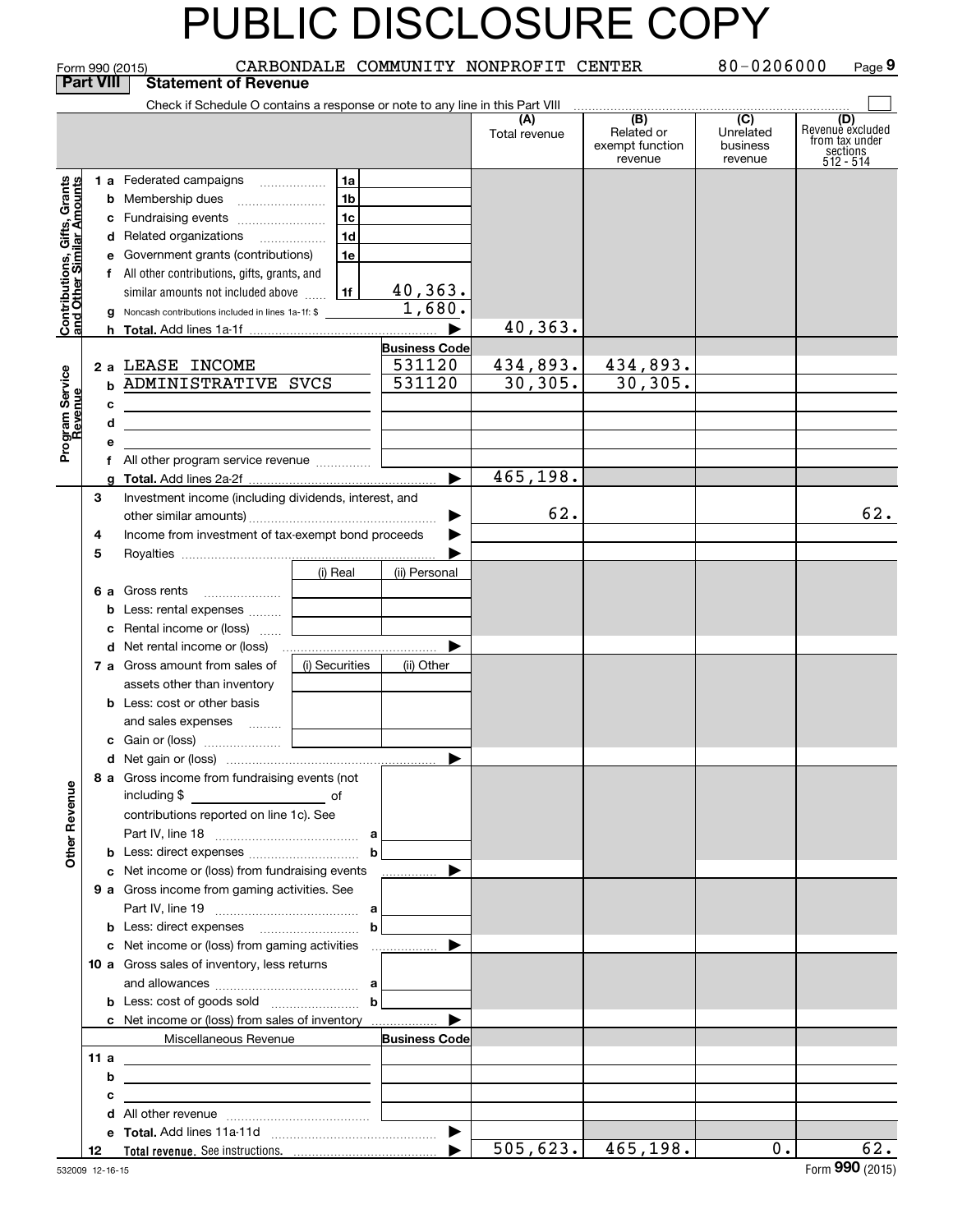| 80-0206000<br>CARBONDALE COMMUNITY NONPROFIT CENTER<br>Page 9<br>Form 990 (2015) |                                                 |                                                                                                                             |                |                       |                      |                                                              |                                                    |                                                                    |  |
|----------------------------------------------------------------------------------|-------------------------------------------------|-----------------------------------------------------------------------------------------------------------------------------|----------------|-----------------------|----------------------|--------------------------------------------------------------|----------------------------------------------------|--------------------------------------------------------------------|--|
|                                                                                  | <b>Part VIII</b><br><b>Statement of Revenue</b> |                                                                                                                             |                |                       |                      |                                                              |                                                    |                                                                    |  |
|                                                                                  |                                                 | Check if Schedule O contains a response or note to any line in this Part VIII                                               |                |                       |                      |                                                              |                                                    |                                                                    |  |
|                                                                                  |                                                 |                                                                                                                             |                |                       | (A)<br>Total revenue | $\overline{(B)}$<br>Related or<br>exempt function<br>revenue | $\overline{C}$<br>Unrelated<br>business<br>revenue | (D)<br>Revenue excluded<br>from tax under<br>sections<br>512 - 514 |  |
|                                                                                  |                                                 | <b>1 a</b> Federated campaigns                                                                                              | 1a             |                       |                      |                                                              |                                                    |                                                                    |  |
|                                                                                  |                                                 | <b>b</b> Membership dues                                                                                                    | 1 <sub>b</sub> |                       |                      |                                                              |                                                    |                                                                    |  |
|                                                                                  |                                                 | c Fundraising events                                                                                                        | 1 <sub>c</sub> |                       |                      |                                                              |                                                    |                                                                    |  |
|                                                                                  |                                                 | d Related organizations                                                                                                     | 1 <sub>d</sub> |                       |                      |                                                              |                                                    |                                                                    |  |
|                                                                                  |                                                 | e Government grants (contributions)                                                                                         | 1e             |                       |                      |                                                              |                                                    |                                                                    |  |
|                                                                                  |                                                 | f All other contributions, gifts, grants, and                                                                               |                |                       |                      |                                                              |                                                    |                                                                    |  |
|                                                                                  |                                                 | similar amounts not included above                                                                                          | 1f             | 40,363.               |                      |                                                              |                                                    |                                                                    |  |
| Contributions, Gifts, Grants<br>and Other Similar Amounts                        |                                                 | g Noncash contributions included in lines 1a-1f: \$                                                                         |                | 1,680.                |                      |                                                              |                                                    |                                                                    |  |
|                                                                                  |                                                 |                                                                                                                             |                |                       | 40,363.              |                                                              |                                                    |                                                                    |  |
|                                                                                  |                                                 |                                                                                                                             |                | <b>Business Code</b>  |                      |                                                              |                                                    |                                                                    |  |
|                                                                                  |                                                 | 2 a LEASE INCOME                                                                                                            |                | 531120                | 434,893.             | 434,893.                                                     |                                                    |                                                                    |  |
|                                                                                  |                                                 | <b>b ADMINISTRATIVE SVCS</b>                                                                                                |                | 531120                | 30, 305.             | 30, 305.                                                     |                                                    |                                                                    |  |
|                                                                                  |                                                 | c<br><u> 1989 - Johann Harry Harry Harry Harry Harry Harry Harry Harry Harry Harry Harry Harry Harry Harry Harry Harry</u>  |                |                       |                      |                                                              |                                                    |                                                                    |  |
|                                                                                  |                                                 | d<br><u> 1989 - Johann Barn, mars ann an t-Amhain ann an t-Amhain an t-Amhain an t-Amhain an t-Amhain an t-Amhain an t-</u> |                |                       |                      |                                                              |                                                    |                                                                    |  |
| Program Service<br>Revenue                                                       |                                                 | е                                                                                                                           |                |                       |                      |                                                              |                                                    |                                                                    |  |
|                                                                                  |                                                 | f All other program service revenue                                                                                         |                |                       |                      |                                                              |                                                    |                                                                    |  |
|                                                                                  |                                                 |                                                                                                                             |                |                       | 465,198.             |                                                              |                                                    |                                                                    |  |
|                                                                                  | 3                                               | Investment income (including dividends, interest, and                                                                       |                |                       |                      |                                                              |                                                    |                                                                    |  |
|                                                                                  |                                                 |                                                                                                                             |                | 62.                   |                      |                                                              | 62.                                                |                                                                    |  |
|                                                                                  | 4                                               | Income from investment of tax-exempt bond proceeds                                                                          |                |                       |                      |                                                              |                                                    |                                                                    |  |
|                                                                                  | 5                                               |                                                                                                                             |                |                       |                      |                                                              |                                                    |                                                                    |  |
|                                                                                  |                                                 |                                                                                                                             | (i) Real       | (ii) Personal         |                      |                                                              |                                                    |                                                                    |  |
|                                                                                  |                                                 | 6 a Gross rents                                                                                                             |                |                       |                      |                                                              |                                                    |                                                                    |  |
|                                                                                  |                                                 | <b>b</b> Less: rental expenses                                                                                              |                |                       |                      |                                                              |                                                    |                                                                    |  |
|                                                                                  |                                                 | c Rental income or (loss)                                                                                                   |                |                       |                      |                                                              |                                                    |                                                                    |  |
|                                                                                  |                                                 |                                                                                                                             |                |                       |                      |                                                              |                                                    |                                                                    |  |
|                                                                                  |                                                 | 7 a Gross amount from sales of                                                                                              | (i) Securities | (ii) Other            |                      |                                                              |                                                    |                                                                    |  |
|                                                                                  |                                                 | assets other than inventory                                                                                                 |                |                       |                      |                                                              |                                                    |                                                                    |  |
|                                                                                  |                                                 | <b>b</b> Less: cost or other basis                                                                                          |                |                       |                      |                                                              |                                                    |                                                                    |  |
|                                                                                  |                                                 | and sales expenses                                                                                                          |                |                       |                      |                                                              |                                                    |                                                                    |  |
|                                                                                  |                                                 | c Gain or (loss)                                                                                                            |                |                       |                      |                                                              |                                                    |                                                                    |  |
|                                                                                  |                                                 | 8 a Gross income from fundraising events (not                                                                               |                |                       |                      |                                                              |                                                    |                                                                    |  |
| <b>Other Revenue</b>                                                             |                                                 |                                                                                                                             |                |                       |                      |                                                              |                                                    |                                                                    |  |
|                                                                                  |                                                 | contributions reported on line 1c). See                                                                                     |                |                       |                      |                                                              |                                                    |                                                                    |  |
|                                                                                  |                                                 |                                                                                                                             |                |                       |                      |                                                              |                                                    |                                                                    |  |
|                                                                                  |                                                 | <b>b</b> Less: direct expenses <b>manually b</b>                                                                            |                |                       |                      |                                                              |                                                    |                                                                    |  |
|                                                                                  |                                                 | c Net income or (loss) from fundraising events                                                                              |                | <u></u> ▶             |                      |                                                              |                                                    |                                                                    |  |
|                                                                                  |                                                 | <b>9 a</b> Gross income from gaming activities. See                                                                         |                |                       |                      |                                                              |                                                    |                                                                    |  |
|                                                                                  |                                                 |                                                                                                                             |                |                       |                      |                                                              |                                                    |                                                                    |  |
|                                                                                  |                                                 | <b>b</b> Less: direct expenses <b>contained b</b>                                                                           |                |                       |                      |                                                              |                                                    |                                                                    |  |
|                                                                                  |                                                 |                                                                                                                             |                |                       |                      |                                                              |                                                    |                                                                    |  |
|                                                                                  |                                                 | 10 a Gross sales of inventory, less returns                                                                                 |                |                       |                      |                                                              |                                                    |                                                                    |  |
|                                                                                  |                                                 |                                                                                                                             |                |                       |                      |                                                              |                                                    |                                                                    |  |
|                                                                                  |                                                 | <b>b</b> Less: cost of goods sold $\begin{bmatrix} b & b \end{bmatrix}$                                                     |                |                       |                      |                                                              |                                                    |                                                                    |  |
|                                                                                  |                                                 | <b>c</b> Net income or (loss) from sales of inventory                                                                       |                |                       |                      |                                                              |                                                    |                                                                    |  |
|                                                                                  |                                                 | Miscellaneous Revenue                                                                                                       |                | <b>Business Code</b>  |                      |                                                              |                                                    |                                                                    |  |
|                                                                                  | 11 a                                            | <u> 1989 - Andrea Stadt Britain, amerikansk politiker (</u>                                                                 |                |                       |                      |                                                              |                                                    |                                                                    |  |
|                                                                                  |                                                 | b<br><u> 1989 - Johann Barbara, martxa eta idazlea (h. 1989).</u>                                                           |                |                       |                      |                                                              |                                                    |                                                                    |  |
|                                                                                  |                                                 | с                                                                                                                           |                |                       |                      |                                                              |                                                    |                                                                    |  |
|                                                                                  |                                                 |                                                                                                                             |                |                       |                      |                                                              |                                                    |                                                                    |  |
|                                                                                  |                                                 |                                                                                                                             |                |                       | 505, 623.            |                                                              |                                                    | 62.                                                                |  |
|                                                                                  | 12                                              |                                                                                                                             |                | $\blacktriangleright$ |                      | 465, 198.                                                    | $0$ .                                              | $000 \, \text{cm}$                                                 |  |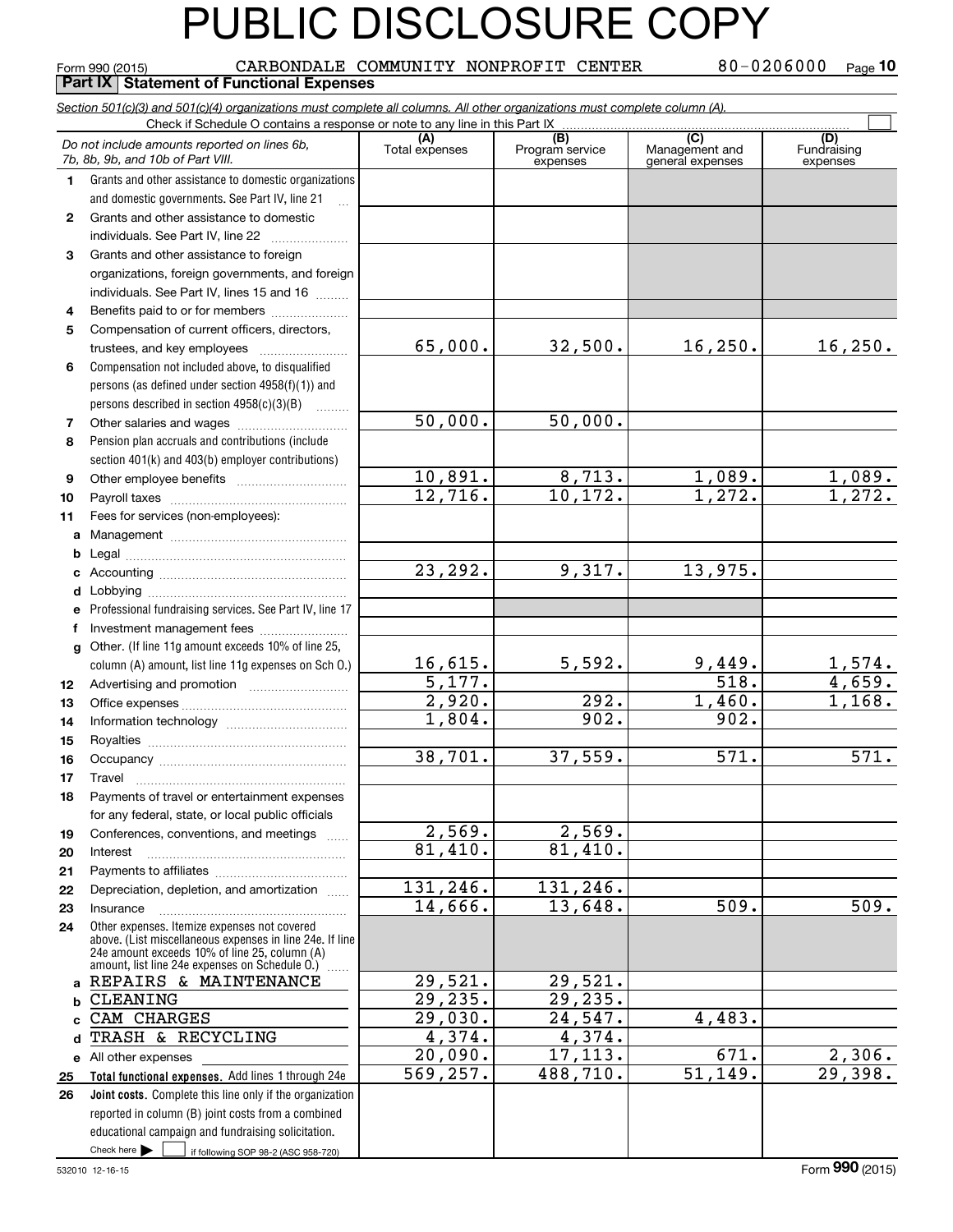|              | CARBONDALE COMMUNITY NONPROFIT CENTER<br>Form 990 (2015)<br><b>Part IX   Statement of Functional Expenses</b>                                                 |                   |                             | 80-0206000                         | Page $10$                      |
|--------------|---------------------------------------------------------------------------------------------------------------------------------------------------------------|-------------------|-----------------------------|------------------------------------|--------------------------------|
|              | Section 501(c)(3) and 501(c)(4) organizations must complete all columns. All other organizations must complete column (A).                                    |                   |                             |                                    |                                |
|              |                                                                                                                                                               |                   |                             |                                    |                                |
|              | Do not include amounts reported on lines 6b,<br>7b, 8b, 9b, and 10b of Part VIII.                                                                             | Total expenses    | Program service<br>expenses | Management and<br>general expenses | (D)<br>Fundraising<br>expenses |
| 1.           | Grants and other assistance to domestic organizations                                                                                                         |                   |                             |                                    |                                |
|              | and domestic governments. See Part IV, line 21                                                                                                                |                   |                             |                                    |                                |
| $\mathbf{2}$ | Grants and other assistance to domestic                                                                                                                       |                   |                             |                                    |                                |
|              | individuals. See Part IV, line 22<br><u> 1986 - Johann Stoff, Amerikaansk politiker (</u>                                                                     |                   |                             |                                    |                                |
| 3            | Grants and other assistance to foreign                                                                                                                        |                   |                             |                                    |                                |
|              | organizations, foreign governments, and foreign                                                                                                               |                   |                             |                                    |                                |
|              | individuals. See Part IV, lines 15 and 16                                                                                                                     |                   |                             |                                    |                                |
| 4            | Benefits paid to or for members                                                                                                                               |                   |                             |                                    |                                |
| 5            | Compensation of current officers, directors,                                                                                                                  |                   |                             |                                    |                                |
|              | trustees, and key employees                                                                                                                                   | 65,000.           | 32,500.                     | 16, 250.                           | 16, 250.                       |
| 6            | Compensation not included above, to disqualified                                                                                                              |                   |                             |                                    |                                |
|              | persons (as defined under section 4958(f)(1)) and                                                                                                             |                   |                             |                                    |                                |
|              | persons described in section 4958(c)(3)(B)                                                                                                                    | 50,000.           | 50,000.                     |                                    |                                |
| 7            |                                                                                                                                                               |                   |                             |                                    |                                |
| 8            | Pension plan accruals and contributions (include                                                                                                              |                   |                             |                                    |                                |
| 9            | section 401(k) and 403(b) employer contributions)                                                                                                             | 10,891.           | 8,713.                      | 1,089.                             | 1,089.                         |
| 10           |                                                                                                                                                               | 12,716.           | 10, 172.                    | $\overline{1,272}$ .               | $\overline{1,272.}$            |
| 11           | Fees for services (non-employees):                                                                                                                            |                   |                             |                                    |                                |
| a            |                                                                                                                                                               |                   |                             |                                    |                                |
| b            |                                                                                                                                                               |                   |                             |                                    |                                |
| c            |                                                                                                                                                               | 23,292.           | 9,317.                      | 13,975.                            |                                |
| d            |                                                                                                                                                               |                   |                             |                                    |                                |
|              | Professional fundraising services. See Part IV, line 17                                                                                                       |                   |                             |                                    |                                |
| f            | Investment management fees                                                                                                                                    |                   |                             |                                    |                                |
| q            | Other. (If line 11g amount exceeds 10% of line 25,                                                                                                            |                   |                             |                                    |                                |
|              | column (A) amount, list line 11g expenses on Sch O.)                                                                                                          | 16,615.           | 5,592.                      | 9,449.                             |                                |
| 12           |                                                                                                                                                               | 5,177.            |                             | $\overline{518}$ .                 | $\frac{1,574.}{4,659.}$        |
| 13           |                                                                                                                                                               | 2,920.            | 292.                        | 1,460.                             | 1,168.                         |
| 14           |                                                                                                                                                               | 1,804.            | 902.                        | 902.                               |                                |
| 15           |                                                                                                                                                               |                   |                             |                                    |                                |
|              |                                                                                                                                                               | 38,701.           | 37,559.                     | $\overline{571}$ .                 | $\overline{571}$ .             |
| 17           | Travel                                                                                                                                                        |                   |                             |                                    |                                |
| 18           | Payments of travel or entertainment expenses                                                                                                                  |                   |                             |                                    |                                |
|              | for any federal, state, or local public officials                                                                                                             |                   |                             |                                    |                                |
| 19           | Conferences, conventions, and meetings                                                                                                                        | 2,569.<br>81,410. | 2,569.<br>81,410.           |                                    |                                |
| 20           | Interest                                                                                                                                                      |                   |                             |                                    |                                |
| 21           | Depreciation, depletion, and amortization                                                                                                                     | 131, 246.         | 131,246.                    |                                    |                                |
| 22<br>23     | Insurance                                                                                                                                                     | 14,666.           | 13,648.                     | 509.                               | 509.                           |
| 24           | Other expenses. Itemize expenses not covered                                                                                                                  |                   |                             |                                    |                                |
|              | above. (List miscellaneous expenses in line 24e. If line<br>24e amount exceeds 10% of line 25, column (A)<br>amount, list line 24e expenses on Schedule O.) [ |                   |                             |                                    |                                |
|              | a REPAIRS & MAINTENANCE                                                                                                                                       | 29,521.           | 29,521.                     |                                    |                                |
| b            | <b>CLEANING</b>                                                                                                                                               | 29, 235.          | 29,235.                     |                                    |                                |
| c.           | CAM CHARGES                                                                                                                                                   | 29,030.           | 24,547.                     | 4,483.                             |                                |
| d            | TRASH & RECYCLING                                                                                                                                             | 4,374.            | 4,374.                      |                                    |                                |
|              | e All other expenses                                                                                                                                          | 20,090.           | 17,113.                     | 671.                               | 2,306.                         |
| 25           | Total functional expenses. Add lines 1 through 24e                                                                                                            | 569, 257.         | 488,710.                    | $\overline{51,149}$ .              | 29,398.                        |
| 26           | Joint costs. Complete this line only if the organization                                                                                                      |                   |                             |                                    |                                |
|              | reported in column (B) joint costs from a combined                                                                                                            |                   |                             |                                    |                                |
|              | educational campaign and fundraising solicitation.                                                                                                            |                   |                             |                                    |                                |
|              | Check here $\blacktriangleright$<br>if following SOP 98-2 (ASC 958-720)                                                                                       |                   |                             |                                    |                                |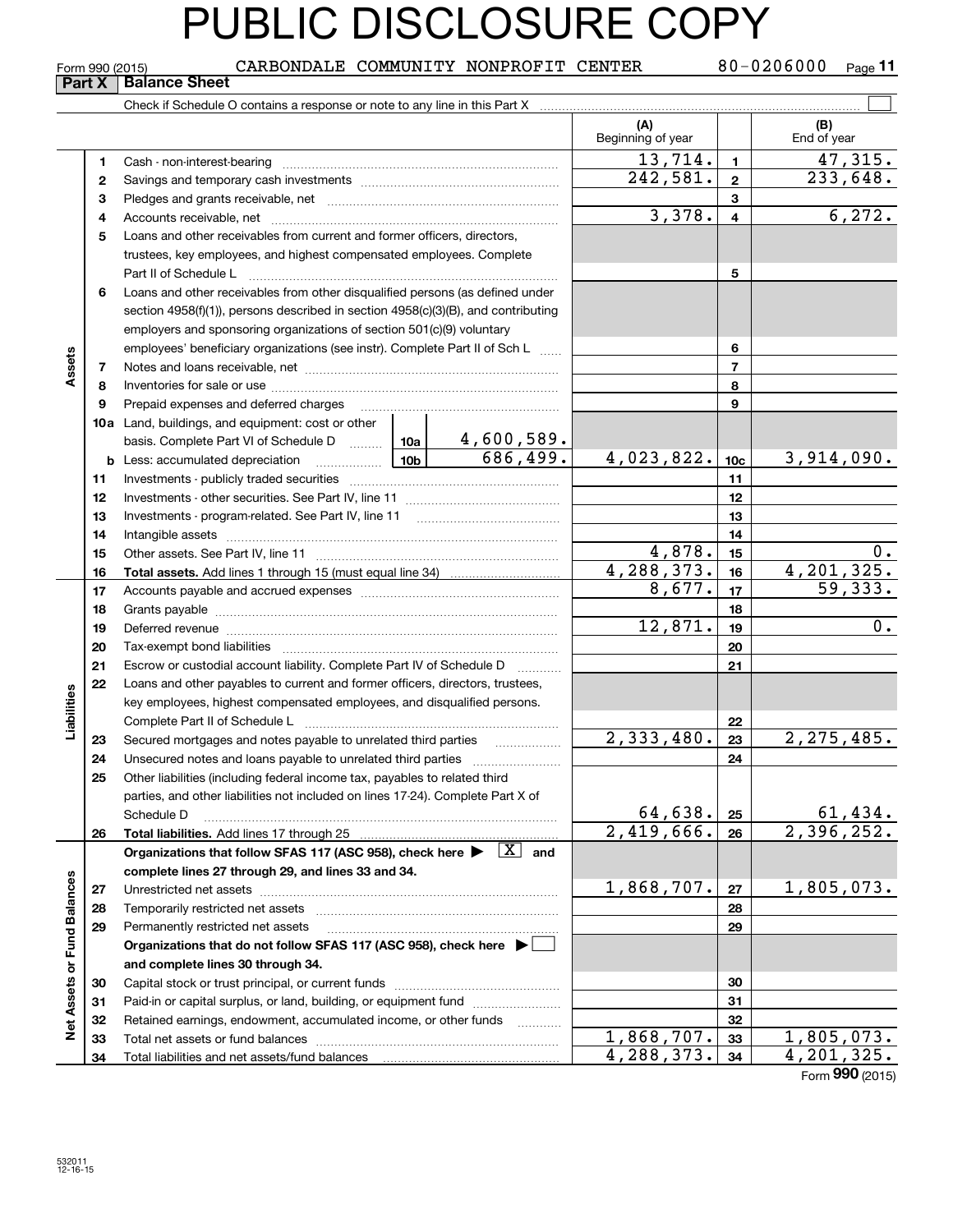80-0206000 Page 11  $_{\rm Form}$ 990 (2015) CARBONDALE COMMUNITY NONPROFIT CENTER  $_{\rm 80-0206000~_{\rm Page}}$ **Part X** | Balance Sheet  $\mathcal{L}^{\text{max}}$ Check if Schedule O contains a response or note to any line in this Part X **(A) (B)** Beginning of year | | End of year  $13,714.$  1 47,315. **11**Cash - non-interest-bearing ~~~~~~~~~~~~~~~~~~~~~~~~~  $242,581. | z | 233,648.$ **22**Savings and temporary cash investments ~~~~~~~~~~~~~~~~~~**33**Pledges and grants receivable, net ~~~~~~~~~~~~~~~~~~~~~ $3,378. 4 6,272.$ Accounts receivable, net ~~~~~~~~~~~~~~~~~~~~~~~~~~ **445**Loans and other receivables from current and former officers, directors, trustees, key employees, and highest compensated employees. Complete Part II of Schedule L ~~~~~~~~~~~~~~~~~~~~~~~~~~~~ **56**Loans and other receivables from other disqualified persons (as defined under section 4958(f)(1)), persons described in section 4958(c)(3)(B), and contributing employers and sponsoring organizations of section 501(c)(9) voluntary employees' beneficiary organizations (see instr). Complete Part II of Sch L ...... **6Assets 77**Notes and loans receivable, net ~~~~~~~~~~~~~~~~~~~~~~~ **88**Inventories for sale or use ~~~~~~~~~~~~~~~~~~~~~~~~~~ Prepaid expenses and deferred charges **9910a**Land, buildings, and equipment: cost or other 4,600,589. basis. Complete Part VI of Schedule D will aller  $686,499.$  4,023,822. 10c 3,914,090. **10cb** Less: accumulated depreciation  $\ldots$  **10b 1111**Investments - publicly traded securities ~~~~~~~~~~~~~~~~~~~ **1212**Investments - other securities. See Part IV, line 11 ~~~~~~~~~~~~~~**13**Investments - program-related. See Part IV, line 11 **131414**Intangible assets ~~~~~~~~~~~~~~~~~~~~~~~~~~~~~~  $4,878.$  | 15 | 0. **15**Other assets. See Part IV, line 11 ~~~~~~~~~~~~~~~~~~~~~~ **15** $\frac{4,288,373. | 16 |}{8,677. | 17 |}$   $\frac{4,201,325.}{59,333.}$ **1616Total assets.**  Add lines 1 through 15 (must equal line 34)  $8,677.$ **1717**Accounts payable and accrued expenses ~~~~~~~~~~~~~~~~~~**1818**Grants payable ~~~~~~~~~~~~~~~~~~~~~~~~~~~~~~~  $12,871.$  19 0. **1919**Deferred revenue et al. **Deferred** revenue et al. **Deferred** revenue et al. **Deferred** revenue **2020**Tax-exempt bond liabilities …………………………………………………………… **21**Escrow or custodial account liability. Complete Part IV of Schedule D **21**Loans and other payables to current and former officers, directors, trustees, **22**Liabilities **Liabilities** key employees, highest compensated employees, and disqualified persons. Complete Part II of Schedule L <sub>…………………………………………………………</sub> **22** $2,333,480.$  2, 275, 485. **2323**Secured mortgages and notes payable to unrelated third parties ~~~~~~~~~~~~~~~~<br>Unecoured notes and loops payable to unrelated third parties **2424**Unsecured notes and loans payable to unrelated third parties ~~~~~~~~~~~~~~~~~~~<br>Other ligbilities (including federal income tox, payables to related third **25**Other liabilities (including federal income tax, payables to related third parties, and other liabilities not included on lines 17-24). Complete Part X of  $64,638. |25|$  61,434. Schedule D ~~~~~~~~~~~~~~~~~~~~~~~~~~~~~~~~ **25** $2,419,666$ .  $26$  2,396,252. **Total liabilities. 2626Organizations that follow SFAS 117 (ASC 958), check here and** Add lines 17 through 25 | X **complete lines 27 through 29, and lines 33 and 34. Net Assets or Fund Balances Net Assets or Fund Balances**  $1,868,707.$  |  $27$  | 1,805,073. **2727**Unrestricted net assets ~~~~~~~~~~~~~~~~~~~~~~~~~~~ **2828**Temporarily restricted net assets ~~~~~~~~~~~~~~~~~~~~~~ **2929**Permanently restricted net assets …………………………………………………… **Organizations that do not follow SFAS 117 (ASC 958), check here** | **and complete lines 30 through 34. 3030**Capital stock or trust principal, or current funds ~~~~~~~~~~~~~~~ **3131**Paid-in or capital surplus, or land, building, or equipment fund will concurred. **3232**Retained earnings, endowment, accumulated income, or other funds www.com Total net assets or fund balances ~~~~~~~~~~~~~~~~~~~~~~  $\frac{1,868,707.$  33 1,805,073.<br>4,288,373. 34 4,201,325. **3333**Total liabilities and net assets/fund balances **34**4,288,373. 4,201,325. **34**

Form (2015) **990**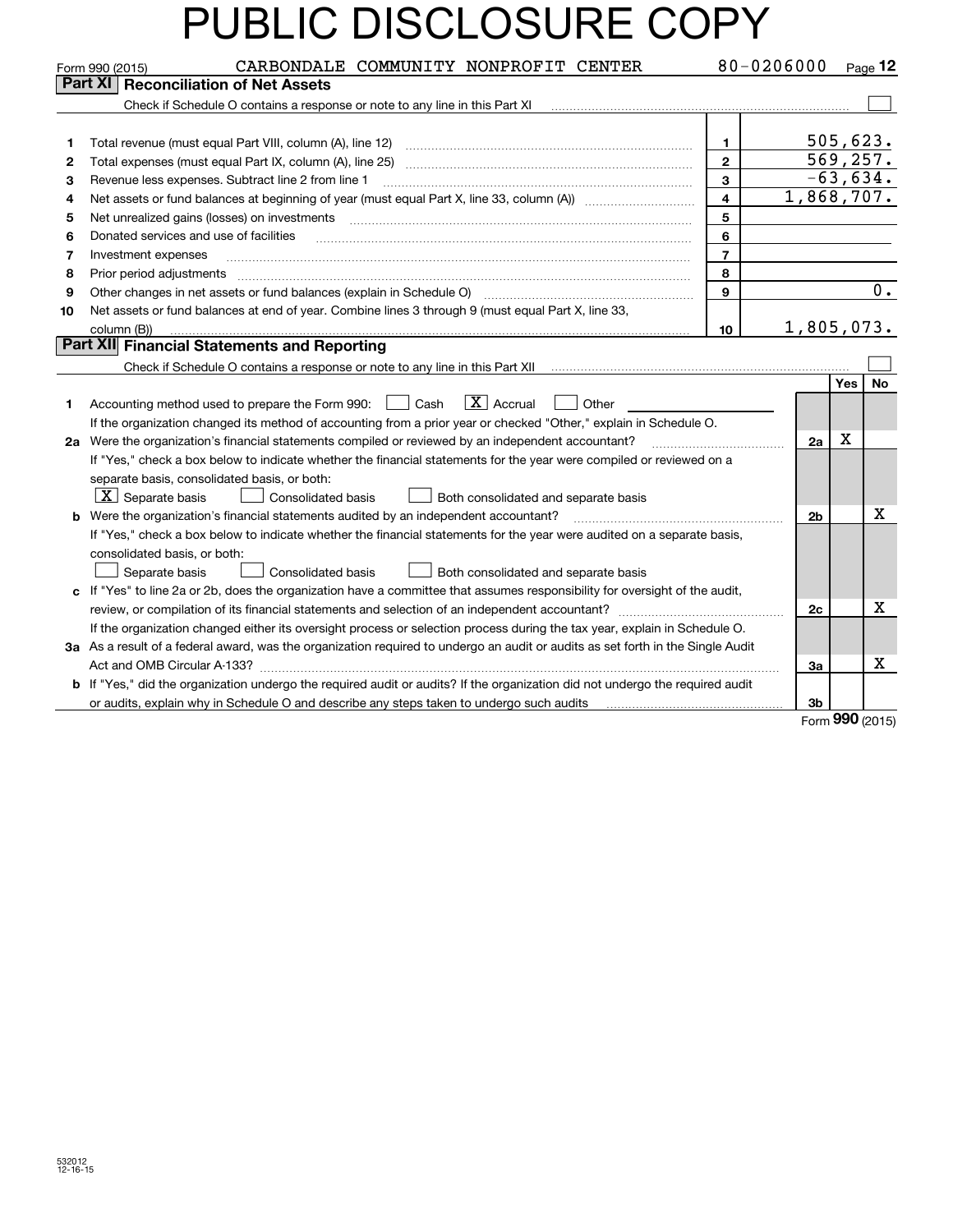|    | CARBONDALE COMMUNITY NONPROFIT CENTER<br>Form 990 (2015)                                                                        | 80-0206000              |                |            | Page 12 |
|----|---------------------------------------------------------------------------------------------------------------------------------|-------------------------|----------------|------------|---------|
|    | <b>Part XI   Reconciliation of Net Assets</b>                                                                                   |                         |                |            |         |
|    | Check if Schedule O contains a response or note to any line in this Part XI                                                     |                         |                |            |         |
|    |                                                                                                                                 |                         |                |            |         |
| 1  | Total revenue (must equal Part VIII, column (A), line 12)                                                                       | 1                       |                | 505,623.   |         |
| 2  |                                                                                                                                 | $\mathbf{2}$            |                | 569, 257.  |         |
| З  | Revenue less expenses. Subtract line 2 from line 1                                                                              | 3                       |                | $-63,634.$ |         |
| 4  |                                                                                                                                 | $\overline{\mathbf{4}}$ | 1,868,707.     |            |         |
| 5  |                                                                                                                                 | 5                       |                |            |         |
| 6  | Donated services and use of facilities                                                                                          | 6                       |                |            |         |
| 7  | Investment expenses                                                                                                             | $\overline{7}$          |                |            |         |
| 8  | Prior period adjustments                                                                                                        | 8                       |                |            |         |
| 9  |                                                                                                                                 | $\mathbf{9}$            |                |            | $0$ .   |
| 10 | Net assets or fund balances at end of year. Combine lines 3 through 9 (must equal Part X, line 33,                              |                         |                |            |         |
|    | column (B))                                                                                                                     | 10                      | 1,805,073.     |            |         |
|    | <b>Part XII</b> Financial Statements and Reporting                                                                              |                         |                |            |         |
|    |                                                                                                                                 |                         |                |            |         |
|    |                                                                                                                                 |                         |                | Yes        | No      |
| 1. | $ X $ Accrual<br>Accounting method used to prepare the Form 990: <u>I</u> Cash<br>Other                                         |                         |                |            |         |
|    | If the organization changed its method of accounting from a prior year or checked "Other," explain in Schedule O.               |                         |                |            |         |
|    | 2a Were the organization's financial statements compiled or reviewed by an independent accountant?                              |                         | 2a             | X          |         |
|    | If "Yes," check a box below to indicate whether the financial statements for the year were compiled or reviewed on a            |                         |                |            |         |
|    | separate basis, consolidated basis, or both:                                                                                    |                         |                |            |         |
|    | $X$ Separate basis<br><b>Consolidated basis</b><br>Both consolidated and separate basis                                         |                         |                |            |         |
| b  | Were the organization's financial statements audited by an independent accountant?                                              |                         | 2 <sub>b</sub> |            | x       |
|    | If "Yes," check a box below to indicate whether the financial statements for the year were audited on a separate basis,         |                         |                |            |         |
|    | consolidated basis, or both:                                                                                                    |                         |                |            |         |
|    | Separate basis<br><b>Consolidated basis</b><br>Both consolidated and separate basis                                             |                         |                |            |         |
|    | c If "Yes" to line 2a or 2b, does the organization have a committee that assumes responsibility for oversight of the audit,     |                         |                |            |         |
|    |                                                                                                                                 |                         | 2c             |            | X       |
|    | If the organization changed either its oversight process or selection process during the tax year, explain in Schedule O.       |                         |                |            |         |
|    | 3a As a result of a federal award, was the organization required to undergo an audit or audits as set forth in the Single Audit |                         |                |            |         |
|    |                                                                                                                                 |                         | За             |            | Х       |
|    | b If "Yes," did the organization undergo the required audit or audits? If the organization did not undergo the required audit   |                         |                |            |         |
|    | or audits, explain why in Schedule O and describe any steps taken to undergo such audits                                        |                         | 3b             |            |         |

Form (2015) **990**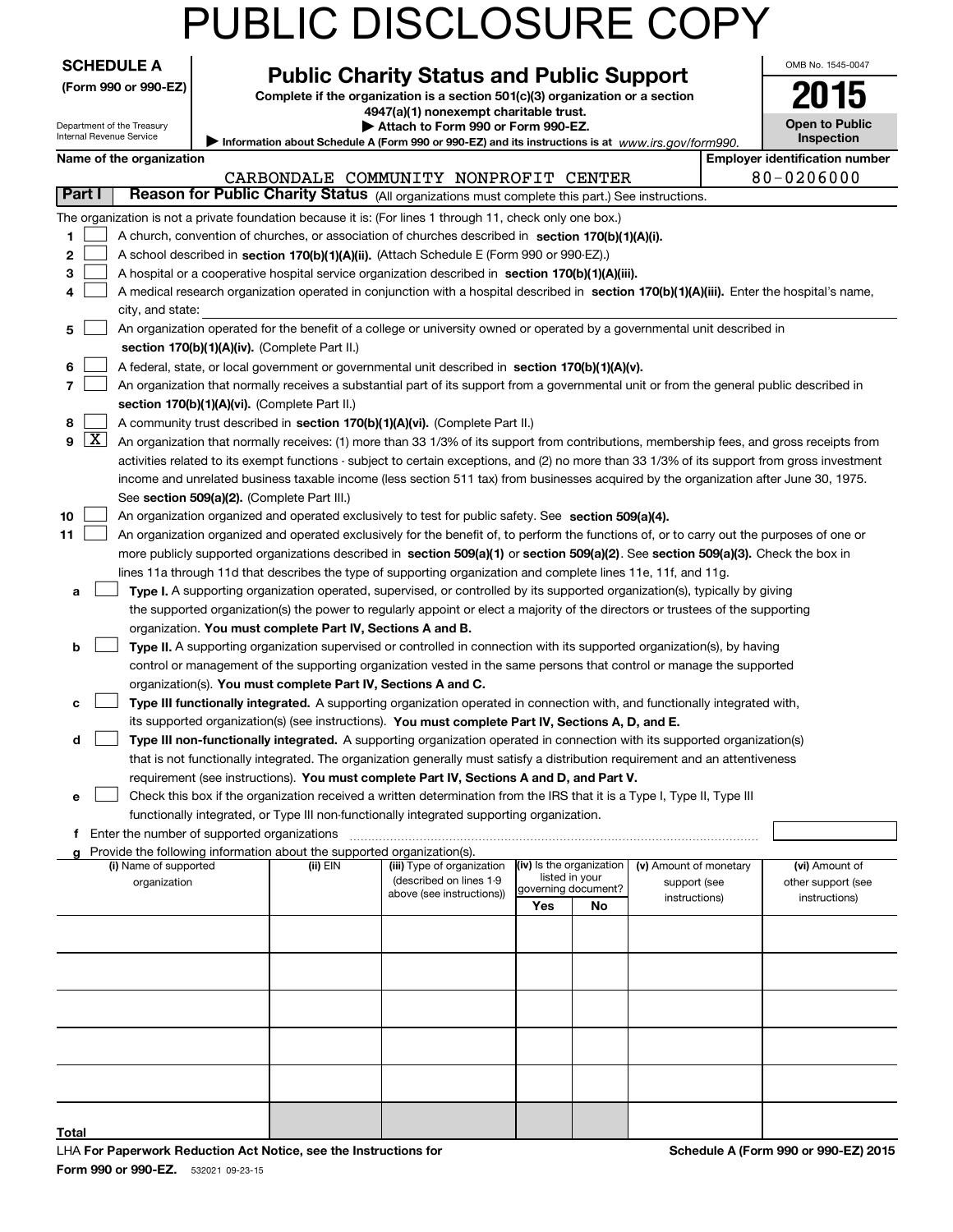| <b>SCHEDULE A</b><br>(Form 990 or 990-EZ) |                                                        | <b>Public Charity Status and Public Support</b><br>Complete if the organization is a section 501(c)(3) organization or a section |                                        |                                                                                                                                               |                                       |    |                        |  | OMB No. 1545-0047                                   |
|-------------------------------------------|--------------------------------------------------------|----------------------------------------------------------------------------------------------------------------------------------|----------------------------------------|-----------------------------------------------------------------------------------------------------------------------------------------------|---------------------------------------|----|------------------------|--|-----------------------------------------------------|
|                                           |                                                        |                                                                                                                                  | 4947(a)(1) nonexempt charitable trust. |                                                                                                                                               |                                       |    |                        |  |                                                     |
|                                           | Department of the Treasury<br>Internal Revenue Service |                                                                                                                                  |                                        | Attach to Form 990 or Form 990-EZ.                                                                                                            | <b>Open to Public</b>                 |    |                        |  |                                                     |
|                                           | Name of the organization                               |                                                                                                                                  |                                        | Information about Schedule A (Form 990 or 990-EZ) and its instructions is at www.irs.gov/form990.                                             |                                       |    |                        |  | Inspection<br><b>Employer identification number</b> |
|                                           |                                                        |                                                                                                                                  |                                        | CARBONDALE COMMUNITY NONPROFIT CENTER                                                                                                         |                                       |    |                        |  | 80-0206000                                          |
| Part I                                    |                                                        |                                                                                                                                  |                                        | Reason for Public Charity Status (All organizations must complete this part.) See instructions.                                               |                                       |    |                        |  |                                                     |
|                                           |                                                        |                                                                                                                                  |                                        | The organization is not a private foundation because it is: (For lines 1 through 11, check only one box.)                                     |                                       |    |                        |  |                                                     |
| 1                                         |                                                        |                                                                                                                                  |                                        | A church, convention of churches, or association of churches described in section 170(b)(1)(A)(i).                                            |                                       |    |                        |  |                                                     |
| 2                                         |                                                        |                                                                                                                                  |                                        | A school described in section 170(b)(1)(A)(ii). (Attach Schedule E (Form 990 or 990-EZ).)                                                     |                                       |    |                        |  |                                                     |
| 3                                         |                                                        |                                                                                                                                  |                                        | A hospital or a cooperative hospital service organization described in section $170(b)(1)(A)(iii)$ .                                          |                                       |    |                        |  |                                                     |
| 4                                         |                                                        |                                                                                                                                  |                                        | A medical research organization operated in conjunction with a hospital described in section 170(b)(1)(A)(iii). Enter the hospital's name,    |                                       |    |                        |  |                                                     |
|                                           | city, and state:                                       |                                                                                                                                  |                                        |                                                                                                                                               |                                       |    |                        |  |                                                     |
| 5                                         |                                                        |                                                                                                                                  |                                        | An organization operated for the benefit of a college or university owned or operated by a governmental unit described in                     |                                       |    |                        |  |                                                     |
|                                           |                                                        | section 170(b)(1)(A)(iv). (Complete Part II.)                                                                                    |                                        |                                                                                                                                               |                                       |    |                        |  |                                                     |
| 6                                         |                                                        |                                                                                                                                  |                                        | A federal, state, or local government or governmental unit described in section 170(b)(1)(A)(v).                                              |                                       |    |                        |  |                                                     |
| 7                                         |                                                        |                                                                                                                                  |                                        | An organization that normally receives a substantial part of its support from a governmental unit or from the general public described in     |                                       |    |                        |  |                                                     |
|                                           |                                                        | section 170(b)(1)(A)(vi). (Complete Part II.)                                                                                    |                                        |                                                                                                                                               |                                       |    |                        |  |                                                     |
| 8                                         |                                                        |                                                                                                                                  |                                        | A community trust described in section 170(b)(1)(A)(vi). (Complete Part II.)                                                                  |                                       |    |                        |  |                                                     |
| 9                                         | $\boxed{\text{X}}$                                     |                                                                                                                                  |                                        | An organization that normally receives: (1) more than 33 1/3% of its support from contributions, membership fees, and gross receipts from     |                                       |    |                        |  |                                                     |
|                                           |                                                        |                                                                                                                                  |                                        | activities related to its exempt functions - subject to certain exceptions, and (2) no more than 33 1/3% of its support from gross investment |                                       |    |                        |  |                                                     |
|                                           |                                                        |                                                                                                                                  |                                        | income and unrelated business taxable income (less section 511 tax) from businesses acquired by the organization after June 30, 1975.         |                                       |    |                        |  |                                                     |
|                                           |                                                        | See section 509(a)(2). (Complete Part III.)                                                                                      |                                        |                                                                                                                                               |                                       |    |                        |  |                                                     |
| 10                                        |                                                        |                                                                                                                                  |                                        | An organization organized and operated exclusively to test for public safety. See section 509(a)(4).                                          |                                       |    |                        |  |                                                     |
| 11                                        |                                                        |                                                                                                                                  |                                        | An organization organized and operated exclusively for the benefit of, to perform the functions of, or to carry out the purposes of one or    |                                       |    |                        |  |                                                     |
|                                           |                                                        |                                                                                                                                  |                                        | more publicly supported organizations described in section 509(a)(1) or section 509(a)(2). See section 509(a)(3). Check the box in            |                                       |    |                        |  |                                                     |
|                                           |                                                        |                                                                                                                                  |                                        | lines 11a through 11d that describes the type of supporting organization and complete lines 11e, 11f, and 11g.                                |                                       |    |                        |  |                                                     |
| a                                         |                                                        |                                                                                                                                  |                                        | Type I. A supporting organization operated, supervised, or controlled by its supported organization(s), typically by giving                   |                                       |    |                        |  |                                                     |
|                                           |                                                        |                                                                                                                                  |                                        | the supported organization(s) the power to regularly appoint or elect a majority of the directors or trustees of the supporting               |                                       |    |                        |  |                                                     |
|                                           |                                                        | organization. You must complete Part IV, Sections A and B.                                                                       |                                        |                                                                                                                                               |                                       |    |                        |  |                                                     |
| b                                         |                                                        |                                                                                                                                  |                                        | Type II. A supporting organization supervised or controlled in connection with its supported organization(s), by having                       |                                       |    |                        |  |                                                     |
|                                           |                                                        |                                                                                                                                  |                                        | control or management of the supporting organization vested in the same persons that control or manage the supported                          |                                       |    |                        |  |                                                     |
|                                           |                                                        | organization(s). You must complete Part IV, Sections A and C.                                                                    |                                        |                                                                                                                                               |                                       |    |                        |  |                                                     |
| c                                         |                                                        |                                                                                                                                  |                                        | Type III functionally integrated. A supporting organization operated in connection with, and functionally integrated with,                    |                                       |    |                        |  |                                                     |
|                                           |                                                        |                                                                                                                                  |                                        | its supported organization(s) (see instructions). You must complete Part IV, Sections A, D, and E.                                            |                                       |    |                        |  |                                                     |
| d                                         |                                                        |                                                                                                                                  |                                        | Type III non-functionally integrated. A supporting organization operated in connection with its supported organization(s)                     |                                       |    |                        |  |                                                     |
|                                           |                                                        |                                                                                                                                  |                                        | that is not functionally integrated. The organization generally must satisfy a distribution requirement and an attentiveness                  |                                       |    |                        |  |                                                     |
|                                           |                                                        |                                                                                                                                  |                                        | requirement (see instructions). You must complete Part IV, Sections A and D, and Part V.                                                      |                                       |    |                        |  |                                                     |
| е                                         |                                                        |                                                                                                                                  |                                        | Check this box if the organization received a written determination from the IRS that it is a Type I, Type II, Type III                       |                                       |    |                        |  |                                                     |
|                                           |                                                        |                                                                                                                                  |                                        | functionally integrated, or Type III non-functionally integrated supporting organization.                                                     |                                       |    |                        |  |                                                     |
| f                                         |                                                        | Enter the number of supported organizations                                                                                      |                                        |                                                                                                                                               |                                       |    |                        |  |                                                     |
| g                                         | (i) Name of supported                                  | Provide the following information about the supported organization(s).                                                           | (ii) EIN                               | (iii) Type of organization                                                                                                                    | (iv) Is the organization              |    | (v) Amount of monetary |  | (vi) Amount of                                      |
|                                           | organization                                           |                                                                                                                                  |                                        | (described on lines 1-9                                                                                                                       | listed in your<br>governing document? |    | support (see           |  | other support (see                                  |
|                                           |                                                        |                                                                                                                                  |                                        | above (see instructions))                                                                                                                     | Yes                                   | No | instructions)          |  | instructions)                                       |
|                                           |                                                        |                                                                                                                                  |                                        |                                                                                                                                               |                                       |    |                        |  |                                                     |
|                                           |                                                        |                                                                                                                                  |                                        |                                                                                                                                               |                                       |    |                        |  |                                                     |
|                                           |                                                        |                                                                                                                                  |                                        |                                                                                                                                               |                                       |    |                        |  |                                                     |
|                                           |                                                        |                                                                                                                                  |                                        |                                                                                                                                               |                                       |    |                        |  |                                                     |
|                                           |                                                        |                                                                                                                                  |                                        |                                                                                                                                               |                                       |    |                        |  |                                                     |
|                                           |                                                        |                                                                                                                                  |                                        |                                                                                                                                               |                                       |    |                        |  |                                                     |
|                                           |                                                        |                                                                                                                                  |                                        |                                                                                                                                               |                                       |    |                        |  |                                                     |
|                                           |                                                        |                                                                                                                                  |                                        |                                                                                                                                               |                                       |    |                        |  |                                                     |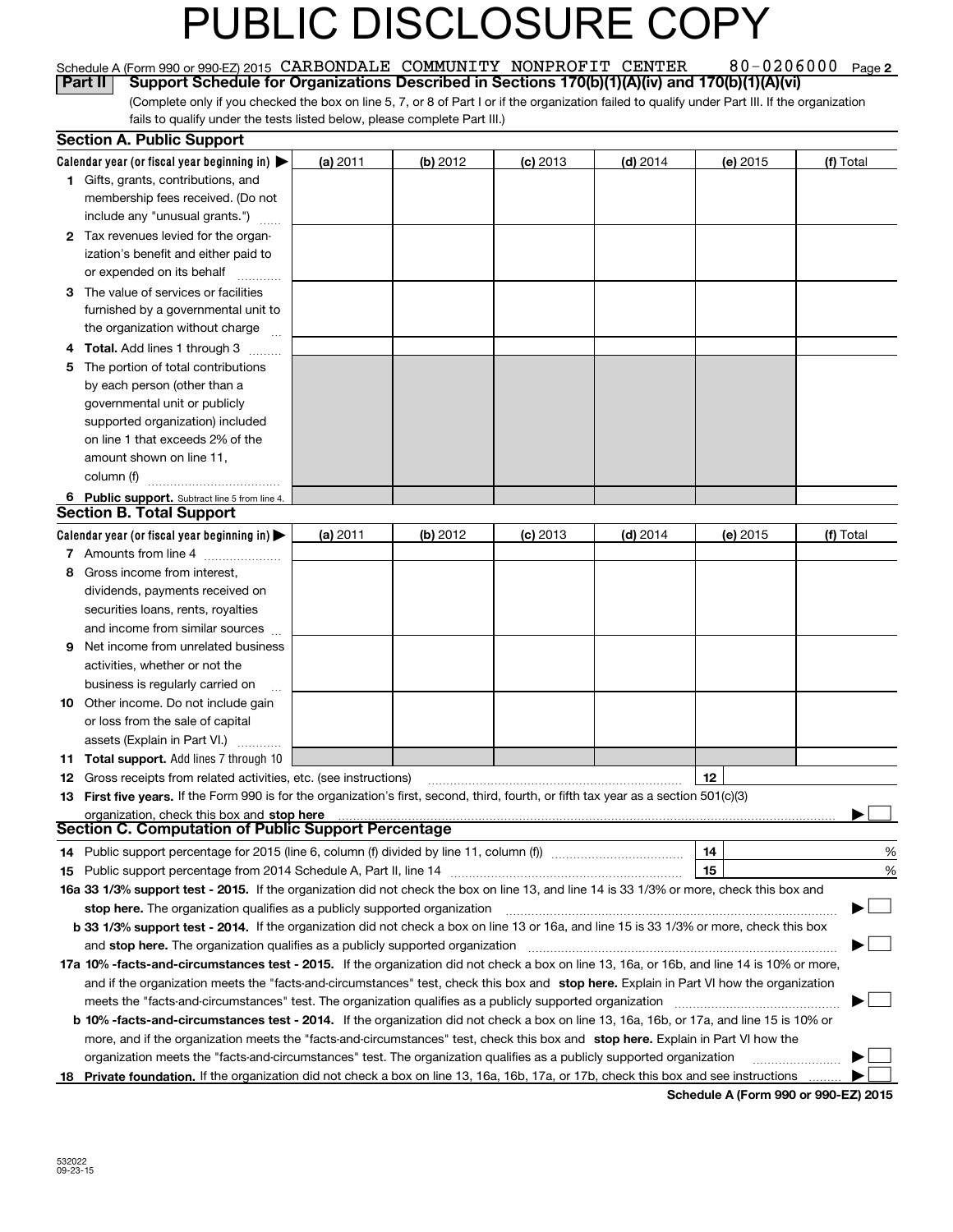|    | Schedule A (Form 990 or 990-EZ) 2015 CARBONDALE COMMUNITY NONPROFIT CENTER                                                                      |          |          |            |            | 80-0206000 | Page 2    |
|----|-------------------------------------------------------------------------------------------------------------------------------------------------|----------|----------|------------|------------|------------|-----------|
|    | Support Schedule for Organizations Described in Sections 170(b)(1)(A)(iv) and 170(b)(1)(A)(vi)<br><b>Part II</b>                                |          |          |            |            |            |           |
|    | (Complete only if you checked the box on line 5, 7, or 8 of Part I or if the organization failed to qualify under Part III. If the organization |          |          |            |            |            |           |
|    | fails to qualify under the tests listed below, please complete Part III.)                                                                       |          |          |            |            |            |           |
|    | <b>Section A. Public Support</b>                                                                                                                |          |          |            |            |            |           |
|    | Calendar year (or fiscal year beginning in)                                                                                                     | (a) 2011 | (b) 2012 | $(c)$ 2013 | $(d)$ 2014 | (e) 2015   | (f) Total |
|    | 1 Gifts, grants, contributions, and                                                                                                             |          |          |            |            |            |           |
|    | membership fees received. (Do not<br>include any "unusual grants.")                                                                             |          |          |            |            |            |           |
|    |                                                                                                                                                 |          |          |            |            |            |           |
|    | 2 Tax revenues levied for the organ-<br>ization's benefit and either paid to                                                                    |          |          |            |            |            |           |
|    |                                                                                                                                                 |          |          |            |            |            |           |
|    | or expended on its behalf                                                                                                                       |          |          |            |            |            |           |
| З. | The value of services or facilities                                                                                                             |          |          |            |            |            |           |
|    | furnished by a governmental unit to                                                                                                             |          |          |            |            |            |           |
|    | the organization without charge                                                                                                                 |          |          |            |            |            |           |
| 4  | Total. Add lines 1 through 3<br>.                                                                                                               |          |          |            |            |            |           |
| 5  | The portion of total contributions                                                                                                              |          |          |            |            |            |           |
|    | by each person (other than a                                                                                                                    |          |          |            |            |            |           |
|    | governmental unit or publicly<br>supported organization) included                                                                               |          |          |            |            |            |           |
|    | on line 1 that exceeds 2% of the                                                                                                                |          |          |            |            |            |           |
|    | amount shown on line 11,                                                                                                                        |          |          |            |            |            |           |
|    | column (f)                                                                                                                                      |          |          |            |            |            |           |
|    |                                                                                                                                                 |          |          |            |            |            |           |
| 6  | Public support. Subtract line 5 from line 4.<br><b>Section B. Total Support</b>                                                                 |          |          |            |            |            |           |
|    | Calendar year (or fiscal year beginning in)                                                                                                     | (a) 2011 | (b) 2012 | $(c)$ 2013 | $(d)$ 2014 | (e) 2015   | (f) Total |
|    | 7 Amounts from line 4                                                                                                                           |          |          |            |            |            |           |
| 8  | Gross income from interest,                                                                                                                     |          |          |            |            |            |           |
|    | dividends, payments received on                                                                                                                 |          |          |            |            |            |           |
|    | securities loans, rents, royalties                                                                                                              |          |          |            |            |            |           |
|    | and income from similar sources                                                                                                                 |          |          |            |            |            |           |
| 9  | Net income from unrelated business                                                                                                              |          |          |            |            |            |           |
|    | activities, whether or not the                                                                                                                  |          |          |            |            |            |           |
|    | business is regularly carried on                                                                                                                |          |          |            |            |            |           |
|    | 10 Other income. Do not include gain                                                                                                            |          |          |            |            |            |           |
|    | or loss from the sale of capital                                                                                                                |          |          |            |            |            |           |
|    | assets (Explain in Part VI.)                                                                                                                    |          |          |            |            |            |           |
|    | <b>11 Total support.</b> Add lines 7 through 10                                                                                                 |          |          |            |            |            |           |
| 12 | Gross receipts from related activities, etc. (see instructions)                                                                                 |          |          |            |            | 12         |           |
|    | 13 First five years. If the Form 990 is for the organization's first, second, third, fourth, or fifth tax year as a section 501(c)(3)           |          |          |            |            |            |           |
|    | organization, check this box and stop here                                                                                                      |          |          |            |            |            |           |
|    | <b>Section C. Computation of Public Support Percentage</b>                                                                                      |          |          |            |            |            |           |
|    |                                                                                                                                                 |          |          |            |            | 14         | %         |
| 15 |                                                                                                                                                 |          |          |            |            | 15         | %         |
|    | 16a 33 1/3% support test - 2015. If the organization did not check the box on line 13, and line 14 is 33 1/3% or more, check this box and       |          |          |            |            |            |           |
|    | stop here. The organization qualifies as a publicly supported organization                                                                      |          |          |            |            |            |           |
|    | b 33 1/3% support test - 2014. If the organization did not check a box on line 13 or 16a, and line 15 is 33 1/3% or more, check this box        |          |          |            |            |            |           |
|    |                                                                                                                                                 |          |          |            |            |            |           |
|    | 17a 10% -facts-and-circumstances test - 2015. If the organization did not check a box on line 13, 16a, or 16b, and line 14 is 10% or more,      |          |          |            |            |            |           |
|    | and if the organization meets the "facts-and-circumstances" test, check this box and stop here. Explain in Part VI how the organization         |          |          |            |            |            |           |
|    |                                                                                                                                                 |          |          |            |            |            |           |
|    | <b>b 10% -facts-and-circumstances test - 2014.</b> If the organization did not check a box on line 13, 16a, 16b, or 17a, and line 15 is 10% or  |          |          |            |            |            |           |
|    | more, and if the organization meets the "facts-and-circumstances" test, check this box and stop here. Explain in Part VI how the                |          |          |            |            |            |           |
|    | organization meets the "facts-and-circumstances" test. The organization qualifies as a publicly supported organization                          |          |          |            |            |            |           |
|    | 18 Private foundation. If the organization did not check a box on line 13, 16a, 16b, 17a, or 17b, check this box and see instructions           |          |          |            |            |            |           |

**■** organization meets the "facts-and-circumstances" test. The organization qualifies as a publicly supported organization *maching meets* the organization did not check a box on line 13, 16a, 16b, 17a, or 17b, check this If the organization did not check a box on line 13, 16a, 16b, 17a, or 17b, check this box and see instructions <br>Sebedule A (Ferm 000 er 000 E7)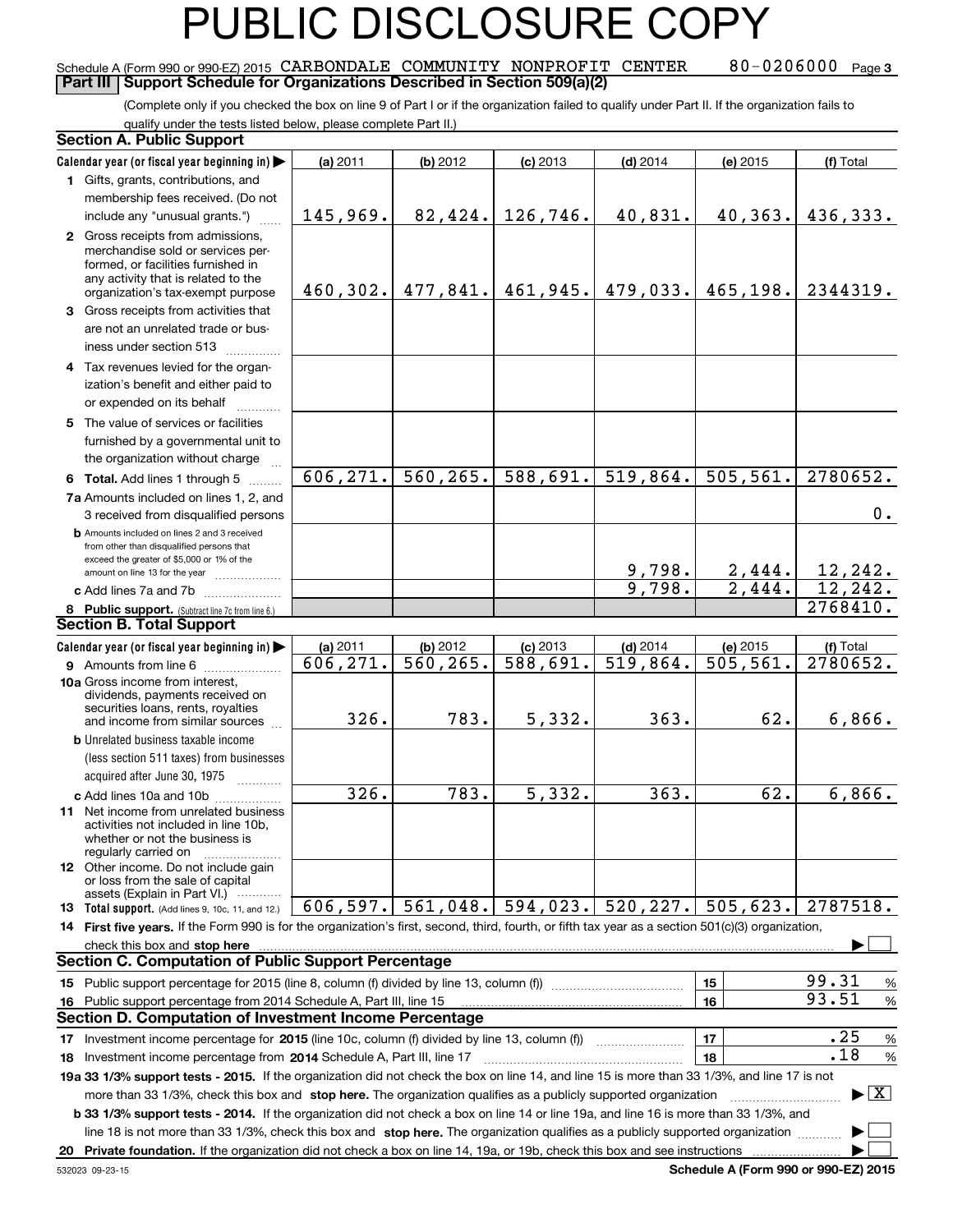### PUBLIC DISCLOSURE

#### $80 - 0206000$  Page 3 Schedule A (Form 990 or 990-EZ) 2015 CARBONDALE COMMUNITY NONPROFIT CENTER 80–0206000 page<br>LPart III LSupport Schedule for Organizations Described in Section 509(a)(2) **Part III** Support Schedule for Organizations Described in Section 509(a)(2)

(Complete only if you checked the box on line 9 of Part I or if the organization failed to qualify under Part II. If the organization fails to qualify under the tests listed below, please complete Part II.)

#### 8 Public support. (Subtract line 7c from line 6.)<br>ection B. Total Support **b** Amounts included on lines 2 and 3 received from other than disqualified persons that exceed the greater of \$5,000 or 1% of the amount on line 13 for the year  $\ldots$ ............... **13 Total support.** (Add lines 9, 10c, 11, and 12.) **Calendar year (or fiscal year beginning in) | Calendar year (or fiscal year beginning in) | (a)** 2011 **| (b)** 2012 **| (c)** 2013 **| (d)** 2014 **| (e)** 2015 **| (f) 1**Gifts, grants, contributions, and **2** Gross receipts from admissions, **3** Gross receipts from activities that **4**Tax revenues levied for the organ-**5** The value of services or facilities **6 Total.** Add lines 1 through 5  $\ldots$ ... **7a**Amounts included on lines 1, 2, and **c** Add lines 7a and 7b  $\ldots$  $\ldots$  $\ldots$ **(a)** 2011 **| (b)** 2012 **| (c)** 2013 **| (d)** 2014 **| (e)** 2015 **| (f) 9** Amounts from line 6 <sub>…………………</sub><br>0e Gross income from interest **10a**Gross income from interest, **b** Unrelated business taxable income **c** Add lines 10a and 10b .................<br>Net income from unrelated busines **11** Net income from unrelated business **12** Other income. Do not include gain **14 First five years.** If the Form 990 is for the organization's first, second, third, fourth, or fifth tax year as a section 501(c)(3) organization, **stop here** check this box and | **1516151617** Investment income percentage for 2015 (line 10c, column (f) divided by line 13, column (f)) **18 2014** Investment income percentage from Schedule A, Part III, line 17 ~~~~~~~~~~~~~~~~~~**19a 33 1/3% support tests - 2015.** If the organization did not check the box on line 14, and line 15 is more than 33 1/3%, and line 17 is not **20Private foundation.**  If the organization did not check a box on line 14, 19a, or 19b, check this box and see instructions <sup>|</sup> **1718b 33 1/3% support tests - 2014.** If the organization did not check a box on line 14 or line 19a, and line 16 is more than 33 1/3%, and more than 33 1/3%, check this box and stop here. The organization qualifies as a publicly supported organization <br>23 1/3% our port to the 2014, if the organization did not obook a box on line 14 or line 19 and line 16 is line 18 is not more than 33 1/3%, check this box and stop here. The organization qualifies as a publicly supported organization  $\ldots$   $\blacksquare$ (less section 511 taxes) from businesses acquired after June 30, 1975 (a) 2011 11 | **(b)** 2012 | **(c)** 2013 | **(d)** 2014 | **(e)** 2015 | **(f)** Total membership fees received. (Do not include any "unusual grants.") merchandise sold or services performed, or facilities furnished in any activity that is related to the organization's tax-exempt purpose are not an unrelated trade or business under section 513  $\quad$ ization's benefit and either paid to or expended on its behalf  $^{+}_{-}\,$   $^{+}\,$   $^{+}\,$ furnished by a governmental unit to the organization without charge 3 received from disqualified persons (a) 2011 11 | **(b)** 2012 | **(c)** 2013 | **(d)** 2014 | **(e)** 2015 | **(f)** Total dividends, payments received on securities loans, rents, royalties and income from similar sources activities not included in line 10b, whether or not the business is regularly carried on or loss from the sale of capital assets (Explain in Part VI.) ............ Public support percentage for 2015 (line 8, column (f) divided by line 13, column (f)) ~~~~~~~~~~~~Public support percentage from 2014 Schedule A, Part III, line 15 % 99.31 % 93.51 ~~~~~~~~ % .25 % .18 **Section A. Public Support Section B. Total Support Section C. Computation of Public Support Percentage Section D. Computation of Investment Income Percentage**  $\mathcal{L}^{\text{max}}$  $\boxed{\text{X}}$  $\mathcal{L}^{\text{max}}$  $\mathcal{L}^{\text{max}}$ 145,969. 82,424. 126,746. 40,831. 40,363. 436,333. 460,302. 477,841. 461,945. 479,033. 465,198. 2344319. 606,271. 560,265. 588,691. 519,864. 505,561. 2780652. 606,271. 560,265. 588,691. 519,864. 505,561. 2780652. 0. <u>9,798. 2,444. 12,242.</u><br>9,798. 2,444. 12,242. 9,798. 2,444. 12,242.<br>2769410 2768410. <mark>326. 783. 5,332. 363. 62. 6,866.</mark> <mark>326. 783. 5,332. 363. 62. 6,866.</mark> 2787518.  $606, 597.$  561,048. 594,023. 520,227. 505,623.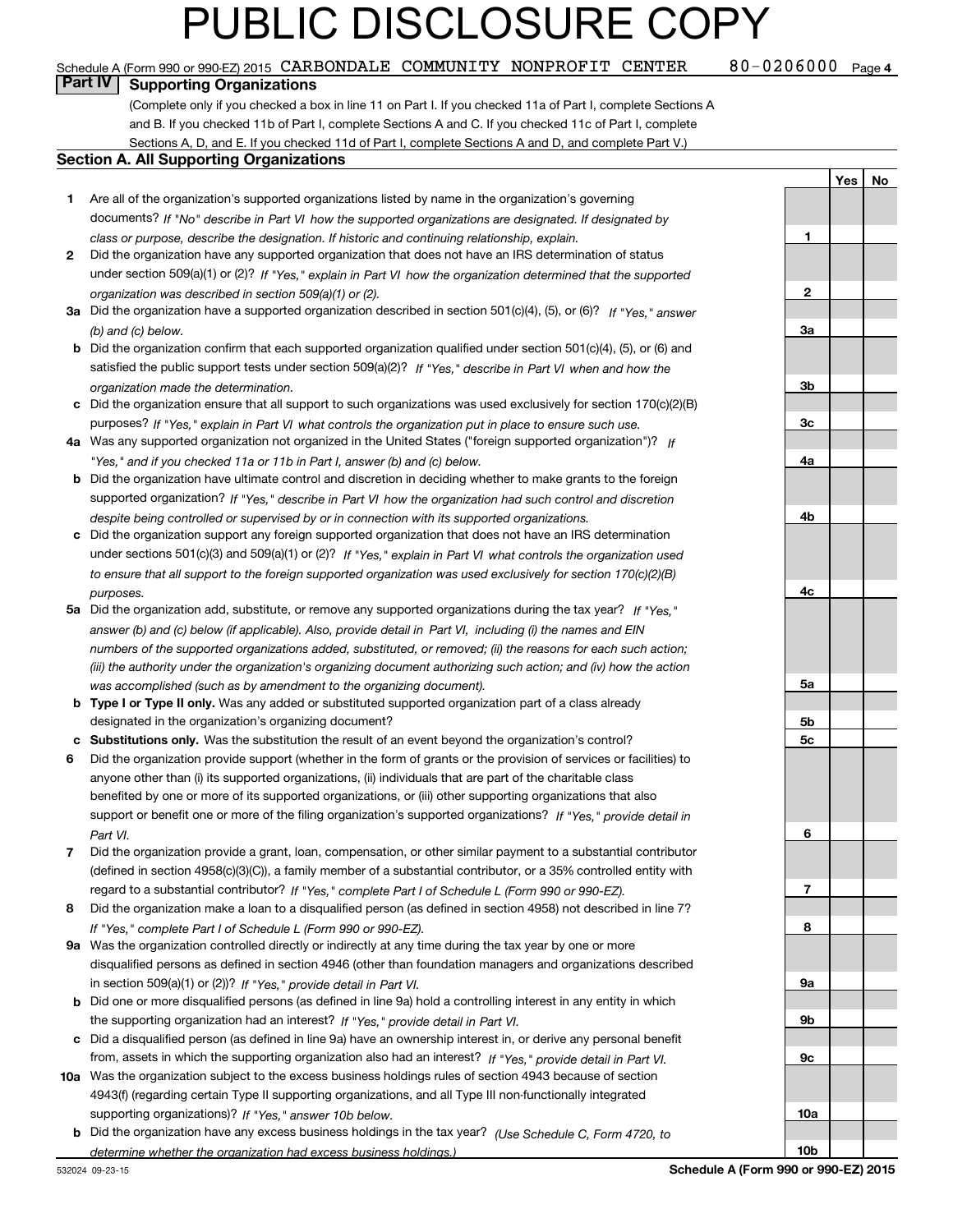#### 80-0206000 <sub>Page 4</sub> Schedule A (Form 990 or 990-EZ) 2015 CARBONDALE COMMUNITY NONPROFIT CENTER  $80$  – 0206000 page page  $\overline{\phantom{a}}$

**Part IV Supporting Organizations**

(Complete only if you checked a box in line 11 on Part I. If you checked 11a of Part I, complete Sections A and B. If you checked 11b of Part I, complete Sections A and C. If you checked 11c of Part I, complete Sections A, D, and E. If you checked 11d of Part I, complete Sections A and D, and complete Part V.)

#### **Section A. All Supporting Organizations**

- **1** Are all of the organization's supported organizations listed by name in the organization's governing *If "No" describe in how the supported organizations are designated. If designated by* documents? *Part VI class or purpose, describe the designation. If historic and continuing relationship, explain.*
- **2** Did the organization have any supported organization that does not have an IRS determination of status under section 509(a)(1) or (2)? If "Yes," explain in Part VI how the organization determined that the supported<br>... *organization was described in section 509(a)(1) or (2).*
- **3a** Did the organization have a supported organization described in section 501(c)(4), (5), or (6)? If "Yes," answer *(b) and (c) below.*
- **b** Did the organization confirm that each supported organization qualified under section 501(c)(4), (5), or (6) and satisfied the public support tests under section 509(a)(2)? If "Yes," describe in Part VI when and how the *organization made the determination.*
- **c**Did the organization ensure that all support to such organizations was used exclusively for section 170(c)(2)(B) purposes? If "Yes," explain in Part VI what controls the organization put in place to ensure such use.
- **4a***If* Was any supported organization not organized in the United States ("foreign supported organization")? *"Yes," and if you checked 11a or 11b in Part I, answer (b) and (c) below.*
- **b** Did the organization have ultimate control and discretion in deciding whether to make grants to the foreign supported organization? If "Yes," describe in Part VI how the organization had such control and discretion *despite being controlled or supervised by or in connection with its supported organizations.*
- **c** Did the organization support any foreign supported organization that does not have an IRS determination under sections 501(c)(3) and 509(a)(1) or (2)? If "Yes," explain in Part VI what controls the organization used *to ensure that all support to the foreign supported organization was used exclusively for section 170(c)(2)(B) purposes.*
- **5a***If "Yes,"* Did the organization add, substitute, or remove any supported organizations during the tax year? answer (b) and (c) below (if applicable). Also, provide detail in Part VI, including (i) the names and EIN *numbers of the supported organizations added, substituted, or removed; (ii) the reasons for each such action; (iii) the authority under the organization's organizing document authorizing such action; and (iv) how the action was accomplished (such as by amendment to the organizing document).*
- **b** Type I or Type II only. Was any added or substituted supported organization part of a class already designated in the organization's organizing document?
- **cSubstitutions only.**  Was the substitution the result of an event beyond the organization's control?
- **6** Did the organization provide support (whether in the form of grants or the provision of services or facilities) to *If "Yes," provide detail in* support or benefit one or more of the filing organization's supported organizations? anyone other than (i) its supported organizations, (ii) individuals that are part of the charitable class benefited by one or more of its supported organizations, or (iii) other supporting organizations that also *Part VI.*
- **7**Did the organization provide a grant, loan, compensation, or other similar payment to a substantial contributor *If "Yes," complete Part I of Schedule L (Form 990 or 990-EZ).* regard to a substantial contributor? (defined in section 4958(c)(3)(C)), a family member of a substantial contributor, or a 35% controlled entity with
- **8** Did the organization make a loan to a disqualified person (as defined in section 4958) not described in line 7? *If "Yes," complete Part I of Schedule L (Form 990 or 990-EZ).*
- **9a** Was the organization controlled directly or indirectly at any time during the tax year by one or more in section 509(a)(1) or (2))? If "Yes," *provide detail in Part VI.* disqualified persons as defined in section 4946 (other than foundation managers and organizations described
- **b** Did one or more disqualified persons (as defined in line 9a) hold a controlling interest in any entity in which the supporting organization had an interest? If "Yes," provide detail in Part VI.
- **c**Did a disqualified person (as defined in line 9a) have an ownership interest in, or derive any personal benefit from, assets in which the supporting organization also had an interest? If "Yes," provide detail in Part VI.
- **10a** Was the organization subject to the excess business holdings rules of section 4943 because of section supporting organizations)? If "Yes," answer 10b below. 4943(f) (regarding certain Type II supporting organizations, and all Type III non-functionally integrated
- **b** Did the organization have any excess business holdings in the tax year? (Use Schedule C, Form 4720, to *determine whether the organization had excess business holdings.)*

**123a3b3c4a4b4c5a5b5c6789a 9b9c10a**

**Yes**

 **No**

**10b**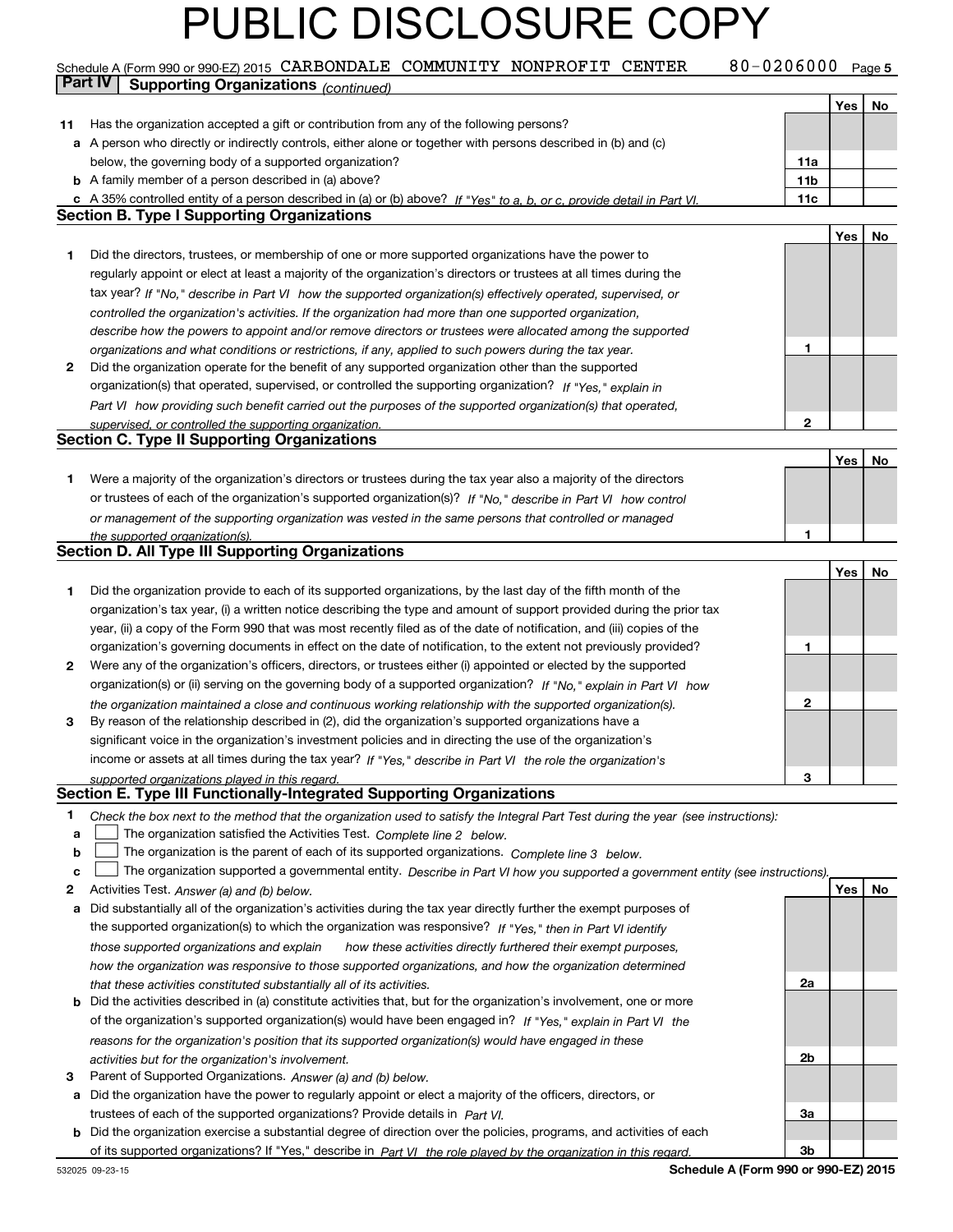### Schedule A (Form 990 or 990-EZ) 2015 CARBONDALE COMMUNITY NONPROFIT CENTER  $80$  – 0206000 Page 5<br>Part IV L. Supporting Organizations *(University of the Community of No*negation of the Cardiac **Part IV | Supporting Organizations** *(continued)*

T

|    |                                                                                                                                                                                                        |                 | Yes | No |
|----|--------------------------------------------------------------------------------------------------------------------------------------------------------------------------------------------------------|-----------------|-----|----|
| 11 | Has the organization accepted a gift or contribution from any of the following persons?                                                                                                                |                 |     |    |
|    | a A person who directly or indirectly controls, either alone or together with persons described in (b) and (c)                                                                                         |                 |     |    |
|    | below, the governing body of a supported organization?                                                                                                                                                 | 11a             |     |    |
|    | <b>b</b> A family member of a person described in (a) above?                                                                                                                                           | 11 <sub>b</sub> |     |    |
|    | c A 35% controlled entity of a person described in (a) or (b) above? If "Yes" to a, b, or c, provide detail in Part VI.                                                                                | 11c             |     |    |
|    | <b>Section B. Type I Supporting Organizations</b>                                                                                                                                                      |                 |     |    |
|    |                                                                                                                                                                                                        |                 | Yes | No |
| 1  | Did the directors, trustees, or membership of one or more supported organizations have the power to                                                                                                    |                 |     |    |
|    | regularly appoint or elect at least a majority of the organization's directors or trustees at all times during the                                                                                     |                 |     |    |
|    | tax year? If "No," describe in Part VI how the supported organization(s) effectively operated, supervised, or                                                                                          |                 |     |    |
|    | controlled the organization's activities. If the organization had more than one supported organization,                                                                                                |                 |     |    |
|    | describe how the powers to appoint and/or remove directors or trustees were allocated among the supported                                                                                              |                 |     |    |
|    | organizations and what conditions or restrictions, if any, applied to such powers during the tax year.                                                                                                 | 1               |     |    |
| 2  | Did the organization operate for the benefit of any supported organization other than the supported                                                                                                    |                 |     |    |
|    |                                                                                                                                                                                                        |                 |     |    |
|    | organization(s) that operated, supervised, or controlled the supporting organization? If "Yes," explain in                                                                                             |                 |     |    |
|    | Part VI how providing such benefit carried out the purposes of the supported organization(s) that operated,                                                                                            |                 |     |    |
|    | supervised, or controlled the supporting organization.<br><b>Section C. Type II Supporting Organizations</b>                                                                                           | $\mathbf{2}$    |     |    |
|    |                                                                                                                                                                                                        |                 |     |    |
|    |                                                                                                                                                                                                        |                 | Yes | No |
| 1. | Were a majority of the organization's directors or trustees during the tax year also a majority of the directors                                                                                       |                 |     |    |
|    | or trustees of each of the organization's supported organization(s)? If "No," describe in Part VI how control                                                                                          |                 |     |    |
|    | or management of the supporting organization was vested in the same persons that controlled or managed                                                                                                 |                 |     |    |
|    | the supported organization(s).                                                                                                                                                                         | 1               |     |    |
|    | <b>Section D. All Type III Supporting Organizations</b>                                                                                                                                                |                 |     |    |
|    |                                                                                                                                                                                                        |                 | Yes | No |
| 1  | Did the organization provide to each of its supported organizations, by the last day of the fifth month of the                                                                                         |                 |     |    |
|    | organization's tax year, (i) a written notice describing the type and amount of support provided during the prior tax                                                                                  |                 |     |    |
|    | year, (ii) a copy of the Form 990 that was most recently filed as of the date of notification, and (iii) copies of the                                                                                 |                 |     |    |
|    | organization's governing documents in effect on the date of notification, to the extent not previously provided?                                                                                       | 1               |     |    |
| 2  | Were any of the organization's officers, directors, or trustees either (i) appointed or elected by the supported                                                                                       |                 |     |    |
|    | organization(s) or (ii) serving on the governing body of a supported organization? If "No," explain in Part VI how                                                                                     |                 |     |    |
|    | the organization maintained a close and continuous working relationship with the supported organization(s).                                                                                            | $\mathbf{2}$    |     |    |
| 3  | By reason of the relationship described in (2), did the organization's supported organizations have a                                                                                                  |                 |     |    |
|    | significant voice in the organization's investment policies and in directing the use of the organization's                                                                                             |                 |     |    |
|    | income or assets at all times during the tax year? If "Yes," describe in Part VI the role the organization's                                                                                           |                 |     |    |
|    | supported organizations played in this regard.                                                                                                                                                         | з               |     |    |
|    | Section E. Type III Functionally-Integrated Supporting Organizations                                                                                                                                   |                 |     |    |
| 1  | Check the box next to the method that the organization used to satisfy the Integral Part Test during the year (see instructions):                                                                      |                 |     |    |
| a  | The organization satisfied the Activities Test. Complete line 2 below.                                                                                                                                 |                 |     |    |
| b  | The organization is the parent of each of its supported organizations. Complete line 3 below.                                                                                                          |                 |     |    |
| c  | The organization supported a governmental entity. Describe in Part VI how you supported a government entity (see instructions).                                                                        |                 |     |    |
| 2  | Activities Test. Answer (a) and (b) below.                                                                                                                                                             |                 | Yes | No |
| а  | Did substantially all of the organization's activities during the tax year directly further the exempt purposes of                                                                                     |                 |     |    |
|    | the supported organization(s) to which the organization was responsive? If "Yes," then in Part VI identify                                                                                             |                 |     |    |
|    | those supported organizations and explain<br>how these activities directly furthered their exempt purposes,                                                                                            |                 |     |    |
|    | how the organization was responsive to those supported organizations, and how the organization determined                                                                                              |                 |     |    |
|    |                                                                                                                                                                                                        | 2a              |     |    |
|    | that these activities constituted substantially all of its activities.<br><b>b</b> Did the activities described in (a) constitute activities that, but for the organization's involvement, one or more |                 |     |    |
|    | of the organization's supported organization(s) would have been engaged in? If "Yes," explain in Part VI the                                                                                           |                 |     |    |
|    |                                                                                                                                                                                                        |                 |     |    |
|    | reasons for the organization's position that its supported organization(s) would have engaged in these                                                                                                 |                 |     |    |
|    | activities but for the organization's involvement.                                                                                                                                                     | 2b              |     |    |
| 3  | Parent of Supported Organizations. Answer (a) and (b) below.                                                                                                                                           |                 |     |    |
|    | a Did the organization have the power to regularly appoint or elect a majority of the officers, directors, or                                                                                          |                 |     |    |
|    | trustees of each of the supported organizations? Provide details in Part VI.                                                                                                                           | За              |     |    |
|    | <b>b</b> Did the organization exercise a substantial degree of direction over the policies, programs, and activities of each                                                                           |                 |     |    |
|    | of its supported organizations? If "Yes," describe in Part VI the role played by the organization in this regard.                                                                                      | Зb              |     |    |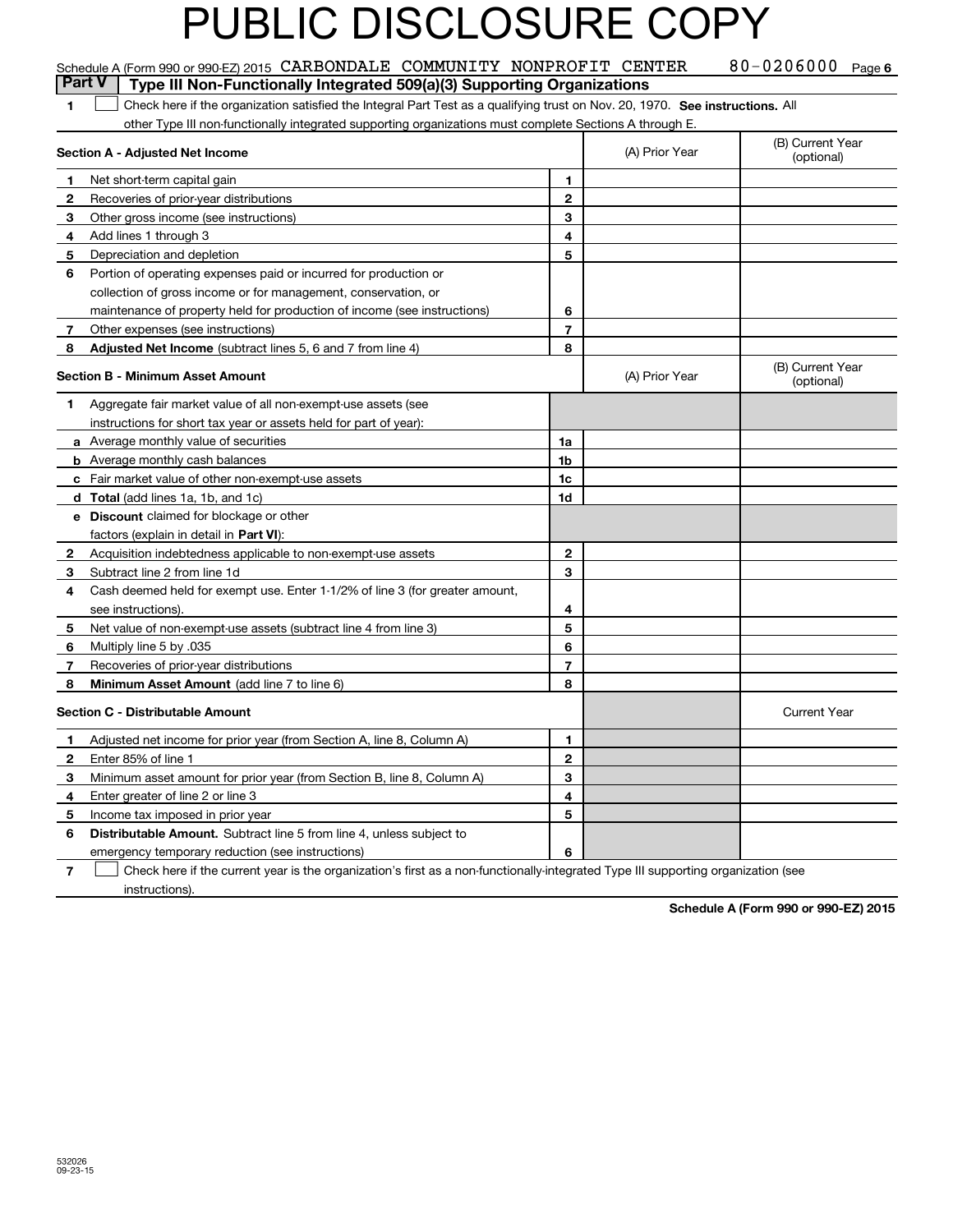|                | Schedule A (Form 990 or 990-EZ) 2015 CARBONDALE COMMUNITY NONPROFIT CENTER                                                    |                |                | 80-0206000 Page 6              |
|----------------|-------------------------------------------------------------------------------------------------------------------------------|----------------|----------------|--------------------------------|
|                | <b>Part V</b><br>Type III Non-Functionally Integrated 509(a)(3) Supporting Organizations                                      |                |                |                                |
| $\mathbf{1}$   | Check here if the organization satisfied the Integral Part Test as a qualifying trust on Nov. 20, 1970. See instructions. All |                |                |                                |
|                | other Type III non-functionally integrated supporting organizations must complete Sections A through E.                       |                |                |                                |
|                | Section A - Adjusted Net Income                                                                                               |                | (A) Prior Year | (B) Current Year<br>(optional) |
| $\mathbf 1$    | Net short-term capital gain                                                                                                   | 1              |                |                                |
| $\mathbf{2}$   | Recoveries of prior-year distributions                                                                                        | $\overline{2}$ |                |                                |
| 3              | Other gross income (see instructions)                                                                                         | 3              |                |                                |
| 4              | Add lines 1 through 3                                                                                                         | 4              |                |                                |
| 5              | Depreciation and depletion                                                                                                    | 5              |                |                                |
| 6              | Portion of operating expenses paid or incurred for production or                                                              |                |                |                                |
|                | collection of gross income or for management, conservation, or                                                                |                |                |                                |
|                | maintenance of property held for production of income (see instructions)                                                      | 6              |                |                                |
| $\overline{7}$ | Other expenses (see instructions)                                                                                             | 7              |                |                                |
| 8              | <b>Adjusted Net Income</b> (subtract lines 5, 6 and 7 from line 4)                                                            | 8              |                |                                |
|                | Section B - Minimum Asset Amount                                                                                              |                | (A) Prior Year | (B) Current Year<br>(optional) |
| 1              | Aggregate fair market value of all non-exempt-use assets (see                                                                 |                |                |                                |
|                | instructions for short tax year or assets held for part of year):                                                             |                |                |                                |
|                | a Average monthly value of securities                                                                                         | 1a             |                |                                |
|                | <b>b</b> Average monthly cash balances                                                                                        | 1b             |                |                                |
|                | c Fair market value of other non-exempt-use assets                                                                            | 1c             |                |                                |
|                | <b>d</b> Total (add lines 1a, 1b, and 1c)                                                                                     | 1d             |                |                                |
|                | e Discount claimed for blockage or other                                                                                      |                |                |                                |
|                | factors (explain in detail in Part VI):                                                                                       |                |                |                                |
| $\mathbf{2}$   | Acquisition indebtedness applicable to non-exempt-use assets                                                                  | $\mathbf{2}$   |                |                                |
| 3              | Subtract line 2 from line 1d                                                                                                  | 3              |                |                                |
| 4              | Cash deemed held for exempt use. Enter 1-1/2% of line 3 (for greater amount,                                                  |                |                |                                |
|                | see instructions).                                                                                                            | 4              |                |                                |
| 5              | Net value of non-exempt-use assets (subtract line 4 from line 3)                                                              | 5              |                |                                |
| 6              | Multiply line 5 by .035                                                                                                       | 6              |                |                                |
| 7              | Recoveries of prior-year distributions                                                                                        | $\overline{7}$ |                |                                |
| 8              | Minimum Asset Amount (add line 7 to line 6)                                                                                   | 8              |                |                                |
|                | <b>Section C - Distributable Amount</b>                                                                                       |                |                | <b>Current Year</b>            |
| $\mathbf{1}$   | Adjusted net income for prior year (from Section A, line 8, Column A)                                                         | 1              |                |                                |
| $\mathbf{2}$   | Enter 85% of line 1                                                                                                           | $\mathbf 2$    |                |                                |
| 3              | Minimum asset amount for prior year (from Section B, line 8, Column A)                                                        | 3              |                |                                |
| 4              | Enter greater of line 2 or line 3                                                                                             | 4              |                |                                |
| 5              | Income tax imposed in prior year                                                                                              | 5              |                |                                |
| 6              | <b>Distributable Amount.</b> Subtract line 5 from line 4, unless subject to                                                   |                |                |                                |
|                | emergency temporary reduction (see instructions)                                                                              | 6              |                |                                |

**7** Check here if the current year is the organization's first as a non-functionally-integrated Type III supporting organization (see instructions).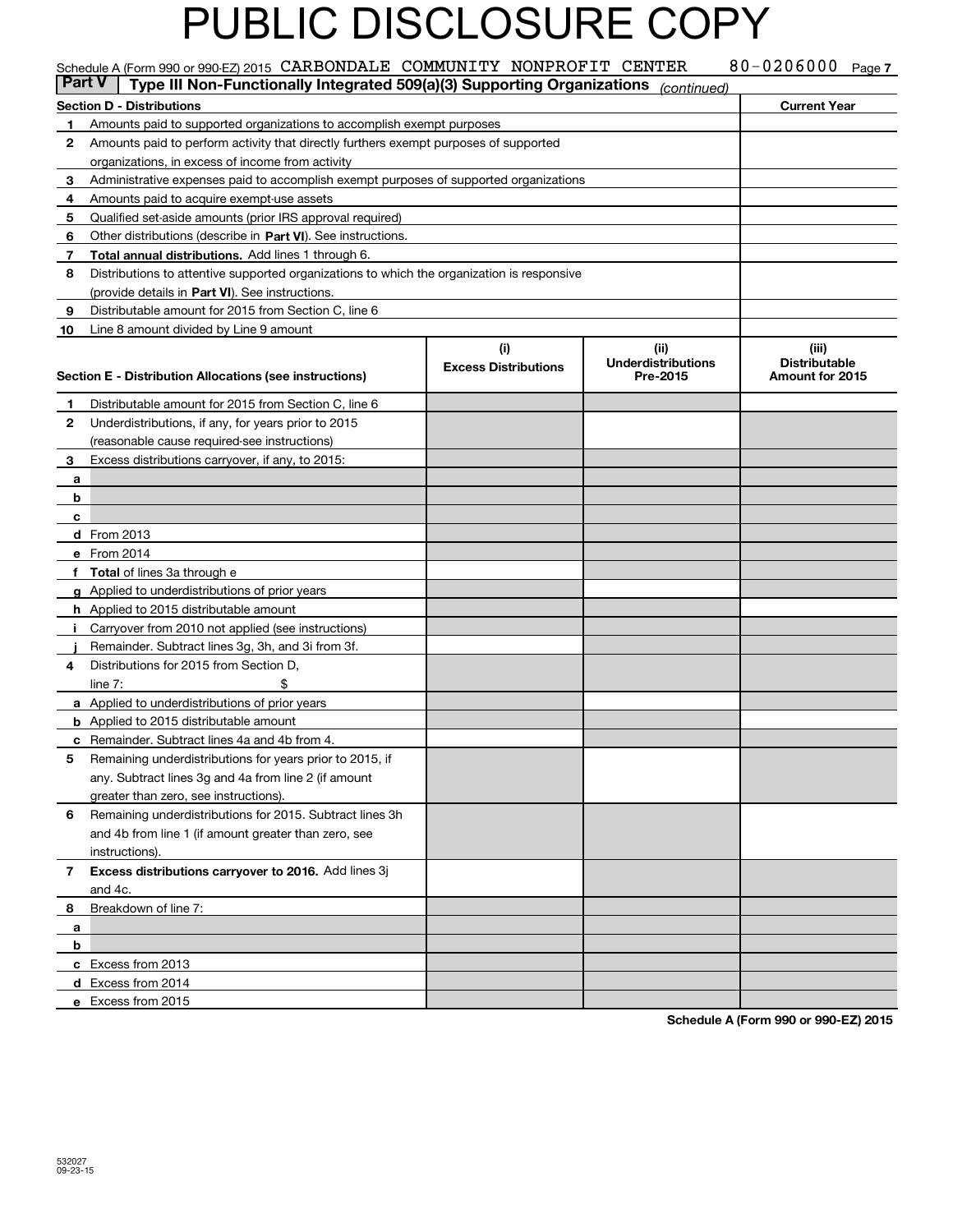|    | Schedule A (Form 990 or 990-EZ) 2015 CARBONDALE COMMUNITY NONPROFIT CENTER                         |                             |                                       | 80-0206000                              | Page 7 |  |  |  |
|----|----------------------------------------------------------------------------------------------------|-----------------------------|---------------------------------------|-----------------------------------------|--------|--|--|--|
|    | Type III Non-Functionally Integrated 509(a)(3) Supporting Organizations<br>  Part V<br>(continued) |                             |                                       |                                         |        |  |  |  |
|    | <b>Section D - Distributions</b>                                                                   |                             |                                       | <b>Current Year</b>                     |        |  |  |  |
| 1  | Amounts paid to supported organizations to accomplish exempt purposes                              |                             |                                       |                                         |        |  |  |  |
| 2  | Amounts paid to perform activity that directly furthers exempt purposes of supported               |                             |                                       |                                         |        |  |  |  |
|    | organizations, in excess of income from activity                                                   |                             |                                       |                                         |        |  |  |  |
| 3  | Administrative expenses paid to accomplish exempt purposes of supported organizations              |                             |                                       |                                         |        |  |  |  |
| 4  | Amounts paid to acquire exempt-use assets                                                          |                             |                                       |                                         |        |  |  |  |
| 5  | Qualified set-aside amounts (prior IRS approval required)                                          |                             |                                       |                                         |        |  |  |  |
| 6  | Other distributions (describe in Part VI). See instructions.                                       |                             |                                       |                                         |        |  |  |  |
| 7  | Total annual distributions. Add lines 1 through 6.                                                 |                             |                                       |                                         |        |  |  |  |
| 8  | Distributions to attentive supported organizations to which the organization is responsive         |                             |                                       |                                         |        |  |  |  |
|    | (provide details in Part VI). See instructions.                                                    |                             |                                       |                                         |        |  |  |  |
| 9  | Distributable amount for 2015 from Section C, line 6                                               |                             |                                       |                                         |        |  |  |  |
| 10 | Line 8 amount divided by Line 9 amount                                                             |                             |                                       |                                         |        |  |  |  |
|    |                                                                                                    | (i)                         | (ii)                                  | (iii)                                   |        |  |  |  |
|    | Section E - Distribution Allocations (see instructions)                                            | <b>Excess Distributions</b> | <b>Underdistributions</b><br>Pre-2015 | <b>Distributable</b><br>Amount for 2015 |        |  |  |  |
|    |                                                                                                    |                             |                                       |                                         |        |  |  |  |
| 1  | Distributable amount for 2015 from Section C, line 6                                               |                             |                                       |                                         |        |  |  |  |
| 2  | Underdistributions, if any, for years prior to 2015                                                |                             |                                       |                                         |        |  |  |  |
|    | (reasonable cause required-see instructions)                                                       |                             |                                       |                                         |        |  |  |  |
| 3  | Excess distributions carryover, if any, to 2015:                                                   |                             |                                       |                                         |        |  |  |  |
| а  |                                                                                                    |                             |                                       |                                         |        |  |  |  |
| b  |                                                                                                    |                             |                                       |                                         |        |  |  |  |
| c  |                                                                                                    |                             |                                       |                                         |        |  |  |  |
|    | d From 2013                                                                                        |                             |                                       |                                         |        |  |  |  |
|    | e From 2014                                                                                        |                             |                                       |                                         |        |  |  |  |
|    | <b>Total</b> of lines 3a through e                                                                 |                             |                                       |                                         |        |  |  |  |
|    | g Applied to underdistributions of prior years                                                     |                             |                                       |                                         |        |  |  |  |
|    | <b>h</b> Applied to 2015 distributable amount                                                      |                             |                                       |                                         |        |  |  |  |
|    | Carryover from 2010 not applied (see instructions)                                                 |                             |                                       |                                         |        |  |  |  |
|    | Remainder. Subtract lines 3g, 3h, and 3i from 3f.                                                  |                             |                                       |                                         |        |  |  |  |
| 4  | Distributions for 2015 from Section D,                                                             |                             |                                       |                                         |        |  |  |  |
|    | line $7:$                                                                                          |                             |                                       |                                         |        |  |  |  |
|    | a Applied to underdistributions of prior years                                                     |                             |                                       |                                         |        |  |  |  |
|    | <b>b</b> Applied to 2015 distributable amount                                                      |                             |                                       |                                         |        |  |  |  |
|    | <b>c</b> Remainder. Subtract lines 4a and 4b from 4.                                               |                             |                                       |                                         |        |  |  |  |
| 5  | Remaining underdistributions for years prior to 2015, if                                           |                             |                                       |                                         |        |  |  |  |
|    | any. Subtract lines 3g and 4a from line 2 (if amount                                               |                             |                                       |                                         |        |  |  |  |
|    | greater than zero, see instructions).                                                              |                             |                                       |                                         |        |  |  |  |
| 6  | Remaining underdistributions for 2015. Subtract lines 3h                                           |                             |                                       |                                         |        |  |  |  |
|    | and 4b from line 1 (if amount greater than zero, see                                               |                             |                                       |                                         |        |  |  |  |
|    | instructions).                                                                                     |                             |                                       |                                         |        |  |  |  |
| 7  | Excess distributions carryover to 2016. Add lines 3j                                               |                             |                                       |                                         |        |  |  |  |
|    | and 4c.                                                                                            |                             |                                       |                                         |        |  |  |  |
| 8  | Breakdown of line 7:                                                                               |                             |                                       |                                         |        |  |  |  |
| a  |                                                                                                    |                             |                                       |                                         |        |  |  |  |
| b  |                                                                                                    |                             |                                       |                                         |        |  |  |  |
|    | c Excess from 2013                                                                                 |                             |                                       |                                         |        |  |  |  |
|    | d Excess from 2014                                                                                 |                             |                                       |                                         |        |  |  |  |
|    | e Excess from 2015                                                                                 |                             |                                       |                                         |        |  |  |  |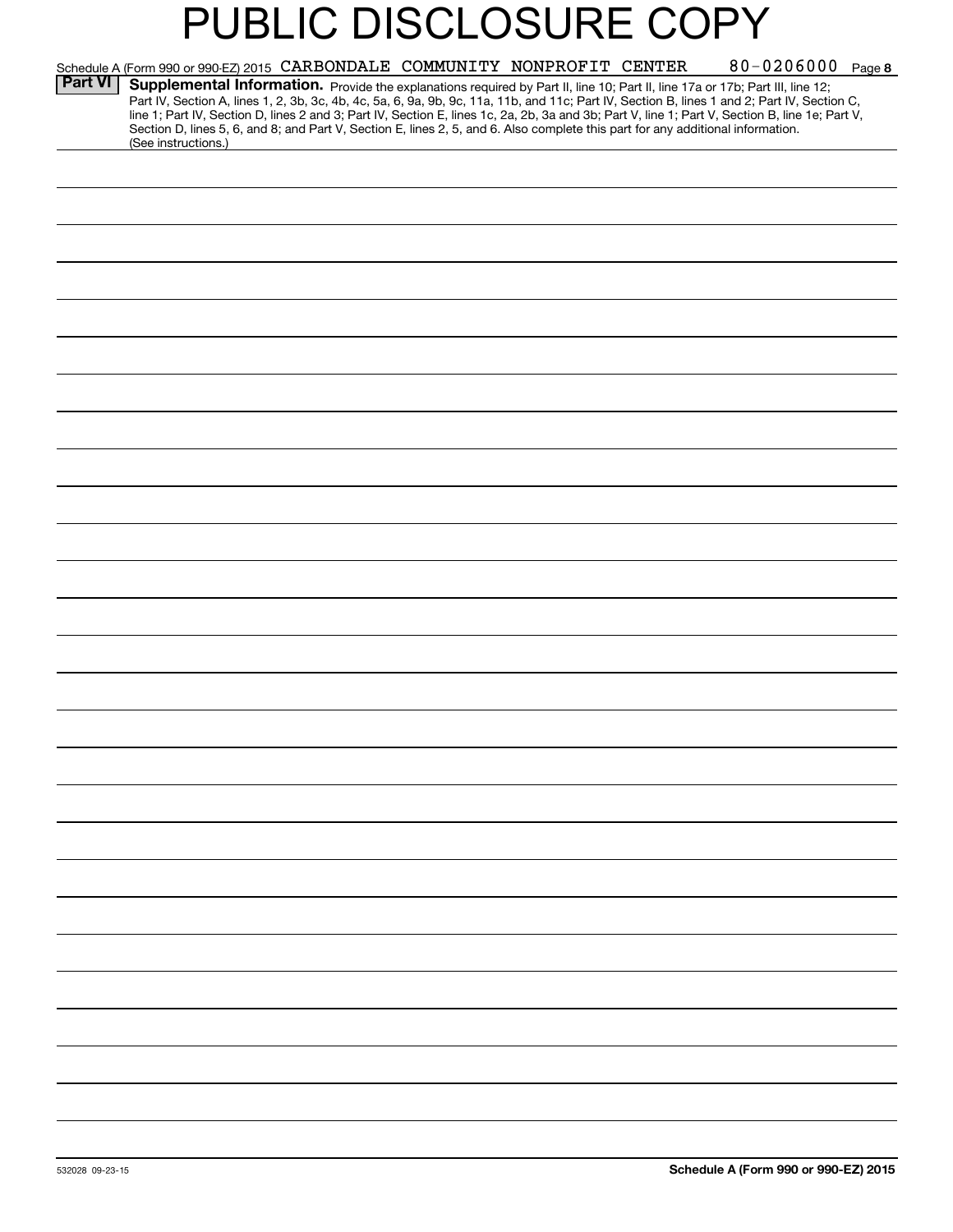|                | 80-0206000 Page 8<br>Schedule A (Form 990 or 990-EZ) 2015 CARBONDALE COMMUNITY NONPROFIT CENTER                                                                                                                                                                                                                                                                                                                                                                                                                                                                                            |
|----------------|--------------------------------------------------------------------------------------------------------------------------------------------------------------------------------------------------------------------------------------------------------------------------------------------------------------------------------------------------------------------------------------------------------------------------------------------------------------------------------------------------------------------------------------------------------------------------------------------|
| <b>Part VI</b> | Supplemental Information. Provide the explanations required by Part II, line 10; Part II, line 17a or 17b; Part III, line 12;<br>Part IV, Section A, lines 1, 2, 3b, 3c, 4b, 4c, 5a, 6, 9a, 9b, 9c, 11a, 11b, and 11c; Part IV, Section B, lines 1 and 2; Part IV, Section C,<br>line 1; Part IV, Section D, lines 2 and 3; Part IV, Section E, lines 1c, 2a, 2b, 3a and 3b; Part V, line 1; Part V, Section B, line 1e; Part V,<br>Section D, lines 5, 6, and 8; and Part V, Section E, lines 2, 5, and 6. Also complete this part for any additional information.<br>(See instructions.) |
|                |                                                                                                                                                                                                                                                                                                                                                                                                                                                                                                                                                                                            |
|                |                                                                                                                                                                                                                                                                                                                                                                                                                                                                                                                                                                                            |
|                |                                                                                                                                                                                                                                                                                                                                                                                                                                                                                                                                                                                            |
|                |                                                                                                                                                                                                                                                                                                                                                                                                                                                                                                                                                                                            |
|                |                                                                                                                                                                                                                                                                                                                                                                                                                                                                                                                                                                                            |
|                |                                                                                                                                                                                                                                                                                                                                                                                                                                                                                                                                                                                            |
|                |                                                                                                                                                                                                                                                                                                                                                                                                                                                                                                                                                                                            |
|                |                                                                                                                                                                                                                                                                                                                                                                                                                                                                                                                                                                                            |
|                |                                                                                                                                                                                                                                                                                                                                                                                                                                                                                                                                                                                            |
|                |                                                                                                                                                                                                                                                                                                                                                                                                                                                                                                                                                                                            |
|                |                                                                                                                                                                                                                                                                                                                                                                                                                                                                                                                                                                                            |
|                |                                                                                                                                                                                                                                                                                                                                                                                                                                                                                                                                                                                            |
|                |                                                                                                                                                                                                                                                                                                                                                                                                                                                                                                                                                                                            |
|                |                                                                                                                                                                                                                                                                                                                                                                                                                                                                                                                                                                                            |
|                |                                                                                                                                                                                                                                                                                                                                                                                                                                                                                                                                                                                            |
|                |                                                                                                                                                                                                                                                                                                                                                                                                                                                                                                                                                                                            |
|                |                                                                                                                                                                                                                                                                                                                                                                                                                                                                                                                                                                                            |
|                |                                                                                                                                                                                                                                                                                                                                                                                                                                                                                                                                                                                            |
|                |                                                                                                                                                                                                                                                                                                                                                                                                                                                                                                                                                                                            |
|                |                                                                                                                                                                                                                                                                                                                                                                                                                                                                                                                                                                                            |
|                |                                                                                                                                                                                                                                                                                                                                                                                                                                                                                                                                                                                            |
|                |                                                                                                                                                                                                                                                                                                                                                                                                                                                                                                                                                                                            |
|                |                                                                                                                                                                                                                                                                                                                                                                                                                                                                                                                                                                                            |
|                |                                                                                                                                                                                                                                                                                                                                                                                                                                                                                                                                                                                            |
|                |                                                                                                                                                                                                                                                                                                                                                                                                                                                                                                                                                                                            |
|                |                                                                                                                                                                                                                                                                                                                                                                                                                                                                                                                                                                                            |
|                |                                                                                                                                                                                                                                                                                                                                                                                                                                                                                                                                                                                            |
|                |                                                                                                                                                                                                                                                                                                                                                                                                                                                                                                                                                                                            |
|                |                                                                                                                                                                                                                                                                                                                                                                                                                                                                                                                                                                                            |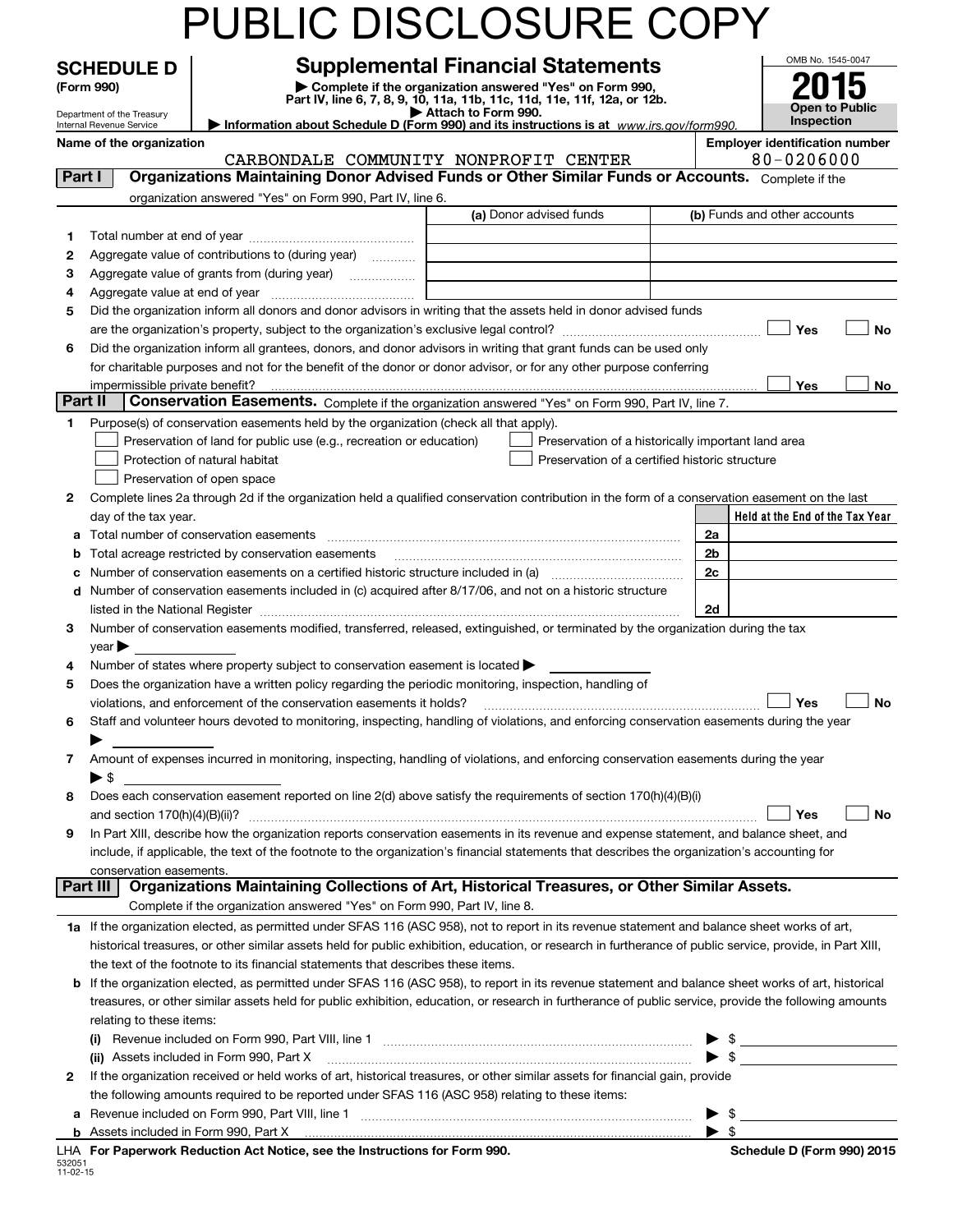|         |                            |                                                                                                        | PUBLIC DISCLOSURE COPY                                                                                                                                                                                                                                                                                     |                          |                                                           |
|---------|----------------------------|--------------------------------------------------------------------------------------------------------|------------------------------------------------------------------------------------------------------------------------------------------------------------------------------------------------------------------------------------------------------------------------------------------------------------|--------------------------|-----------------------------------------------------------|
|         | <b>SCHEDULE D</b>          |                                                                                                        | <b>Supplemental Financial Statements</b>                                                                                                                                                                                                                                                                   |                          | OMB No. 1545-0047                                         |
|         | (Form 990)                 |                                                                                                        | Complete if the organization answered "Yes" on Form 990,                                                                                                                                                                                                                                                   |                          |                                                           |
|         | Department of the Treasury |                                                                                                        | Part IV, line 6, 7, 8, 9, 10, 11a, 11b, 11c, 11d, 11e, 11f, 12a, or 12b.<br>Attach to Form 990.                                                                                                                                                                                                            |                          | <b>Open to Public</b>                                     |
|         | Internal Revenue Service   |                                                                                                        | Information about Schedule D (Form 990) and its instructions is at www.irs.gov/form990.                                                                                                                                                                                                                    |                          | Inspection                                                |
|         | Name of the organization   |                                                                                                        | CARBONDALE COMMUNITY NONPROFIT CENTER                                                                                                                                                                                                                                                                      |                          | <b>Employer identification number</b><br>$80 - 0206000$   |
| Part I  |                            |                                                                                                        | Organizations Maintaining Donor Advised Funds or Other Similar Funds or Accounts. Complete if the                                                                                                                                                                                                          |                          |                                                           |
|         |                            | organization answered "Yes" on Form 990, Part IV, line 6.                                              |                                                                                                                                                                                                                                                                                                            |                          |                                                           |
|         |                            |                                                                                                        | (a) Donor advised funds                                                                                                                                                                                                                                                                                    |                          | (b) Funds and other accounts                              |
| 1       |                            |                                                                                                        |                                                                                                                                                                                                                                                                                                            |                          |                                                           |
| 2       |                            | Aggregate value of contributions to (during year)                                                      |                                                                                                                                                                                                                                                                                                            |                          |                                                           |
| 3       |                            | Aggregate value of grants from (during year)                                                           |                                                                                                                                                                                                                                                                                                            |                          |                                                           |
| 4       |                            |                                                                                                        |                                                                                                                                                                                                                                                                                                            |                          |                                                           |
| 5       |                            |                                                                                                        | Did the organization inform all donors and donor advisors in writing that the assets held in donor advised funds                                                                                                                                                                                           |                          | Yes<br><b>No</b>                                          |
| 6       |                            |                                                                                                        | Did the organization inform all grantees, donors, and donor advisors in writing that grant funds can be used only                                                                                                                                                                                          |                          |                                                           |
|         |                            |                                                                                                        | for charitable purposes and not for the benefit of the donor or donor advisor, or for any other purpose conferring                                                                                                                                                                                         |                          |                                                           |
|         |                            |                                                                                                        |                                                                                                                                                                                                                                                                                                            |                          | <b>Yes</b><br>No                                          |
| Part II |                            |                                                                                                        | Conservation Easements. Complete if the organization answered "Yes" on Form 990, Part IV, line 7.                                                                                                                                                                                                          |                          |                                                           |
| 1       |                            | Purpose(s) of conservation easements held by the organization (check all that apply).                  |                                                                                                                                                                                                                                                                                                            |                          |                                                           |
|         |                            | Preservation of land for public use (e.g., recreation or education)                                    | Preservation of a historically important land area                                                                                                                                                                                                                                                         |                          |                                                           |
|         |                            | Protection of natural habitat                                                                          | Preservation of a certified historic structure                                                                                                                                                                                                                                                             |                          |                                                           |
|         |                            | Preservation of open space                                                                             |                                                                                                                                                                                                                                                                                                            |                          |                                                           |
| 2       |                            |                                                                                                        | Complete lines 2a through 2d if the organization held a qualified conservation contribution in the form of a conservation easement on the last                                                                                                                                                             |                          |                                                           |
|         | day of the tax year.       |                                                                                                        |                                                                                                                                                                                                                                                                                                            |                          | Held at the End of the Tax Year                           |
| а       |                            | Total number of conservation easements                                                                 |                                                                                                                                                                                                                                                                                                            | 2a<br>2 <sub>b</sub>     |                                                           |
| b<br>с  |                            | Total acreage restricted by conservation easements                                                     |                                                                                                                                                                                                                                                                                                            | 2c                       |                                                           |
| d       |                            |                                                                                                        | Number of conservation easements included in (c) acquired after 8/17/06, and not on a historic structure                                                                                                                                                                                                   |                          |                                                           |
|         |                            |                                                                                                        | listed in the National Register [11] manufactured in the National Property of the National Register [11] manufactured in the National Register [11] manufactured in the National Register [11] manufactured in the National Pr                                                                             | 2d                       |                                                           |
| 3       |                            |                                                                                                        | Number of conservation easements modified, transferred, released, extinguished, or terminated by the organization during the tax                                                                                                                                                                           |                          |                                                           |
|         | $year \blacktriangleright$ |                                                                                                        |                                                                                                                                                                                                                                                                                                            |                          |                                                           |
| 4       |                            | Number of states where property subject to conservation easement is located $\blacktriangleright$      |                                                                                                                                                                                                                                                                                                            |                          |                                                           |
| 5       |                            | Does the organization have a written policy regarding the periodic monitoring, inspection, handling of |                                                                                                                                                                                                                                                                                                            |                          |                                                           |
|         |                            | violations, and enforcement of the conservation easements it holds?                                    |                                                                                                                                                                                                                                                                                                            |                          | Yes<br>Nο                                                 |
| 6       |                            |                                                                                                        | Staff and volunteer hours devoted to monitoring, inspecting, handling of violations, and enforcing conservation easements during the year                                                                                                                                                                  |                          |                                                           |
| 7       |                            |                                                                                                        | Amount of expenses incurred in monitoring, inspecting, handling of violations, and enforcing conservation easements during the year                                                                                                                                                                        |                          |                                                           |
|         | $\blacktriangleright$ \$   |                                                                                                        |                                                                                                                                                                                                                                                                                                            |                          |                                                           |
| 8       |                            |                                                                                                        | Does each conservation easement reported on line 2(d) above satisfy the requirements of section 170(h)(4)(B)(i)                                                                                                                                                                                            |                          |                                                           |
|         |                            |                                                                                                        |                                                                                                                                                                                                                                                                                                            |                          | Yes<br>No                                                 |
| 9       |                            |                                                                                                        | In Part XIII, describe how the organization reports conservation easements in its revenue and expense statement, and balance sheet, and                                                                                                                                                                    |                          |                                                           |
|         |                            |                                                                                                        | include, if applicable, the text of the footnote to the organization's financial statements that describes the organization's accounting for                                                                                                                                                               |                          |                                                           |
|         | conservation easements.    |                                                                                                        |                                                                                                                                                                                                                                                                                                            |                          |                                                           |
|         | Part III                   |                                                                                                        | Organizations Maintaining Collections of Art, Historical Treasures, or Other Similar Assets.                                                                                                                                                                                                               |                          |                                                           |
|         |                            | Complete if the organization answered "Yes" on Form 990, Part IV, line 8.                              |                                                                                                                                                                                                                                                                                                            |                          |                                                           |
|         |                            |                                                                                                        | 1a If the organization elected, as permitted under SFAS 116 (ASC 958), not to report in its revenue statement and balance sheet works of art,<br>historical treasures, or other similar assets held for public exhibition, education, or research in furtherance of public service, provide, in Part XIII, |                          |                                                           |
|         |                            | the text of the footnote to its financial statements that describes these items.                       |                                                                                                                                                                                                                                                                                                            |                          |                                                           |
| b       |                            |                                                                                                        | If the organization elected, as permitted under SFAS 116 (ASC 958), to report in its revenue statement and balance sheet works of art, historical                                                                                                                                                          |                          |                                                           |
|         |                            |                                                                                                        | treasures, or other similar assets held for public exhibition, education, or research in furtherance of public service, provide the following amounts                                                                                                                                                      |                          |                                                           |
|         | relating to these items:   |                                                                                                        |                                                                                                                                                                                                                                                                                                            |                          |                                                           |
|         |                            |                                                                                                        |                                                                                                                                                                                                                                                                                                            |                          | <u> 1999 - Johann Barbara, martxa alemani</u> ar alemania |
|         |                            | (ii) Assets included in Form 990, Part X                                                               |                                                                                                                                                                                                                                                                                                            | $\blacktriangleright$ \$ |                                                           |
| 2       |                            |                                                                                                        | If the organization received or held works of art, historical treasures, or other similar assets for financial gain, provide                                                                                                                                                                               |                          |                                                           |
|         |                            | the following amounts required to be reported under SFAS 116 (ASC 958) relating to these items:        |                                                                                                                                                                                                                                                                                                            |                          |                                                           |
| а       |                            |                                                                                                        |                                                                                                                                                                                                                                                                                                            |                          | \$                                                        |
|         |                            | LHA For Paperwork Reduction Act Notice, see the Instructions for Form 990.                             |                                                                                                                                                                                                                                                                                                            |                          | -\$                                                       |
|         |                            |                                                                                                        |                                                                                                                                                                                                                                                                                                            |                          | Schedule D (Form 990) 2015                                |

| 532051   |  |
|----------|--|
| 11-02-15 |  |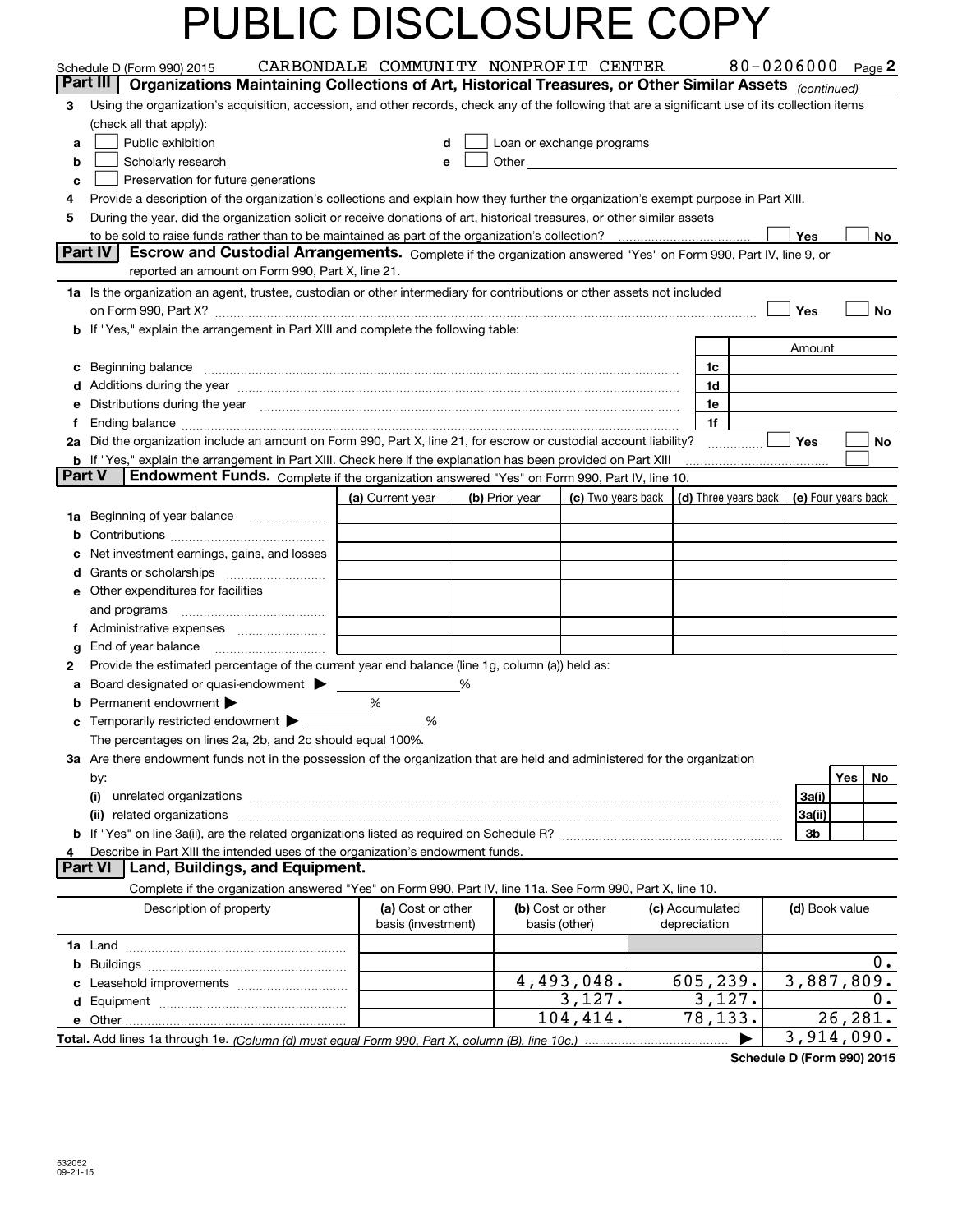| Part III<br>Organizations Maintaining Collections of Art, Historical Treasures, or Other Similar Assets (continued)<br>Using the organization's acquisition, accession, and other records, check any of the following that are a significant use of its collection items<br>3<br>(check all that apply):<br>Public exhibition<br>Loan or exchange programs<br>d<br>a<br>Scholarly research<br>b<br>е<br>Preservation for future generations<br>с<br>Provide a description of the organization's collections and explain how they further the organization's exempt purpose in Part XIII.<br>4<br>During the year, did the organization solicit or receive donations of art, historical treasures, or other similar assets<br>5<br>to be sold to raise funds rather than to be maintained as part of the organization's collection?<br>Yes<br>No<br>. <u>.</u><br>Part IV<br>Escrow and Custodial Arrangements. Complete if the organization answered "Yes" on Form 990, Part IV, line 9, or<br>reported an amount on Form 990, Part X, line 21.<br>1a Is the organization an agent, trustee, custodian or other intermediary for contributions or other assets not included<br>Yes<br>No<br>on Form 990, Part X? [11] matter contracts and contracts and contracts are contracted as a form 990, Part X?<br>b If "Yes," explain the arrangement in Part XIII and complete the following table:<br>Amount<br>Beginning balance <b>contract to the contract of the contract of the contract of the contract of the contract of the contract of the contract of the contract of the contract of the contract of the contract of the contract of</b><br>1c<br>c<br>d Additions during the year measurement contains and a state of the year measurement of the year measurement of<br>1d<br>Distributions during the year manufactured and continuum and contract the state of the state of the state of the state of the state of the state of the state of the state of the state of the state of the state of the state<br>1e<br>е<br>1f<br>f<br>2a Did the organization include an amount on Form 990, Part X, line 21, for escrow or custodial account liability?<br>Yes<br>No<br><b>b</b> If "Yes," explain the arrangement in Part XIII. Check here if the explanation has been provided on Part XIII<br><b>Part V</b><br>Endowment Funds. Complete if the organization answered "Yes" on Form 990, Part IV, line 10.<br>(d) Three years back   (e) Four years back<br>(a) Current year<br>(b) Prior year<br>(c) Two years back<br>1a Beginning of year balance<br>b<br>Net investment earnings, gains, and losses<br>с<br>d<br>e Other expenditures for facilities<br>and programs<br>Ť.<br>g<br>Provide the estimated percentage of the current year end balance (line 1g, column (a)) held as:<br>2<br>Board designated or quasi-endowment > _____<br>%<br>а<br>%<br>Permanent endowment $\blacktriangleright$<br>b<br>Temporarily restricted endowment $\blacktriangleright$<br>%<br>с<br>The percentages on lines 2a, 2b, and 2c should equal 100%.<br>3a Are there endowment funds not in the possession of the organization that are held and administered for the organization<br>Yes<br>No<br>by:<br>3a(i)<br>(i)<br>3a(ii)<br>3b<br>Describe in Part XIII the intended uses of the organization's endowment funds.<br>4<br><b>Part VI</b><br>Land, Buildings, and Equipment.<br>Complete if the organization answered "Yes" on Form 990, Part IV, line 11a. See Form 990, Part X, line 10.<br>Description of property<br>(a) Cost or other<br>(b) Cost or other<br>(c) Accumulated<br>(d) Book value<br>basis (investment)<br>depreciation<br>basis (other)<br>1a<br>0.<br>b<br>3,887,809.<br>4,493,048.<br>605,239.<br>c<br>3,127.<br>3,127.<br>0.<br>d<br>26,281.<br>104,414.<br>78,133.<br>3,914,090. | Schedule D (Form 990) 2015 | CARBONDALE COMMUNITY NONPROFIT CENTER |  |  |  |  |  | 80-0206000 Page 2 |  |
|-----------------------------------------------------------------------------------------------------------------------------------------------------------------------------------------------------------------------------------------------------------------------------------------------------------------------------------------------------------------------------------------------------------------------------------------------------------------------------------------------------------------------------------------------------------------------------------------------------------------------------------------------------------------------------------------------------------------------------------------------------------------------------------------------------------------------------------------------------------------------------------------------------------------------------------------------------------------------------------------------------------------------------------------------------------------------------------------------------------------------------------------------------------------------------------------------------------------------------------------------------------------------------------------------------------------------------------------------------------------------------------------------------------------------------------------------------------------------------------------------------------------------------------------------------------------------------------------------------------------------------------------------------------------------------------------------------------------------------------------------------------------------------------------------------------------------------------------------------------------------------------------------------------------------------------------------------------------------------------------------------------------------------------------------------------------------------------------------------------------------------------------------------------------------------------------------------------------------------------------------------------------------------------------------------------------------------------------------------------------------------------------------------------------------------------------------------------------------------------------------------------------------------------------------------------------------------------------------------------------------------------------------------------------------------------------------------------------------------------------------------------------------------------------------------------------------------------------------------------------------------------------------------------------------------------------------------------------------------------------------------------------------------------------------------------------------------------------------------------------------------------------------------------------------------------------------------------------------------------------------------------------------------------------------------------------------------------------------------------------------------------------------------------------------------------------------------------------------------------------------------------------------------------------------------------------------------------------------------------------------------------------------------------------------------------------------------------------------------------------------------------------------------------------------------------------------|----------------------------|---------------------------------------|--|--|--|--|--|-------------------|--|
|                                                                                                                                                                                                                                                                                                                                                                                                                                                                                                                                                                                                                                                                                                                                                                                                                                                                                                                                                                                                                                                                                                                                                                                                                                                                                                                                                                                                                                                                                                                                                                                                                                                                                                                                                                                                                                                                                                                                                                                                                                                                                                                                                                                                                                                                                                                                                                                                                                                                                                                                                                                                                                                                                                                                                                                                                                                                                                                                                                                                                                                                                                                                                                                                                                                                                                                                                                                                                                                                                                                                                                                                                                                                                                                                                                                                                       |                            |                                       |  |  |  |  |  |                   |  |
|                                                                                                                                                                                                                                                                                                                                                                                                                                                                                                                                                                                                                                                                                                                                                                                                                                                                                                                                                                                                                                                                                                                                                                                                                                                                                                                                                                                                                                                                                                                                                                                                                                                                                                                                                                                                                                                                                                                                                                                                                                                                                                                                                                                                                                                                                                                                                                                                                                                                                                                                                                                                                                                                                                                                                                                                                                                                                                                                                                                                                                                                                                                                                                                                                                                                                                                                                                                                                                                                                                                                                                                                                                                                                                                                                                                                                       |                            |                                       |  |  |  |  |  |                   |  |
|                                                                                                                                                                                                                                                                                                                                                                                                                                                                                                                                                                                                                                                                                                                                                                                                                                                                                                                                                                                                                                                                                                                                                                                                                                                                                                                                                                                                                                                                                                                                                                                                                                                                                                                                                                                                                                                                                                                                                                                                                                                                                                                                                                                                                                                                                                                                                                                                                                                                                                                                                                                                                                                                                                                                                                                                                                                                                                                                                                                                                                                                                                                                                                                                                                                                                                                                                                                                                                                                                                                                                                                                                                                                                                                                                                                                                       |                            |                                       |  |  |  |  |  |                   |  |
|                                                                                                                                                                                                                                                                                                                                                                                                                                                                                                                                                                                                                                                                                                                                                                                                                                                                                                                                                                                                                                                                                                                                                                                                                                                                                                                                                                                                                                                                                                                                                                                                                                                                                                                                                                                                                                                                                                                                                                                                                                                                                                                                                                                                                                                                                                                                                                                                                                                                                                                                                                                                                                                                                                                                                                                                                                                                                                                                                                                                                                                                                                                                                                                                                                                                                                                                                                                                                                                                                                                                                                                                                                                                                                                                                                                                                       |                            |                                       |  |  |  |  |  |                   |  |
|                                                                                                                                                                                                                                                                                                                                                                                                                                                                                                                                                                                                                                                                                                                                                                                                                                                                                                                                                                                                                                                                                                                                                                                                                                                                                                                                                                                                                                                                                                                                                                                                                                                                                                                                                                                                                                                                                                                                                                                                                                                                                                                                                                                                                                                                                                                                                                                                                                                                                                                                                                                                                                                                                                                                                                                                                                                                                                                                                                                                                                                                                                                                                                                                                                                                                                                                                                                                                                                                                                                                                                                                                                                                                                                                                                                                                       |                            |                                       |  |  |  |  |  |                   |  |
|                                                                                                                                                                                                                                                                                                                                                                                                                                                                                                                                                                                                                                                                                                                                                                                                                                                                                                                                                                                                                                                                                                                                                                                                                                                                                                                                                                                                                                                                                                                                                                                                                                                                                                                                                                                                                                                                                                                                                                                                                                                                                                                                                                                                                                                                                                                                                                                                                                                                                                                                                                                                                                                                                                                                                                                                                                                                                                                                                                                                                                                                                                                                                                                                                                                                                                                                                                                                                                                                                                                                                                                                                                                                                                                                                                                                                       |                            |                                       |  |  |  |  |  |                   |  |
|                                                                                                                                                                                                                                                                                                                                                                                                                                                                                                                                                                                                                                                                                                                                                                                                                                                                                                                                                                                                                                                                                                                                                                                                                                                                                                                                                                                                                                                                                                                                                                                                                                                                                                                                                                                                                                                                                                                                                                                                                                                                                                                                                                                                                                                                                                                                                                                                                                                                                                                                                                                                                                                                                                                                                                                                                                                                                                                                                                                                                                                                                                                                                                                                                                                                                                                                                                                                                                                                                                                                                                                                                                                                                                                                                                                                                       |                            |                                       |  |  |  |  |  |                   |  |
|                                                                                                                                                                                                                                                                                                                                                                                                                                                                                                                                                                                                                                                                                                                                                                                                                                                                                                                                                                                                                                                                                                                                                                                                                                                                                                                                                                                                                                                                                                                                                                                                                                                                                                                                                                                                                                                                                                                                                                                                                                                                                                                                                                                                                                                                                                                                                                                                                                                                                                                                                                                                                                                                                                                                                                                                                                                                                                                                                                                                                                                                                                                                                                                                                                                                                                                                                                                                                                                                                                                                                                                                                                                                                                                                                                                                                       |                            |                                       |  |  |  |  |  |                   |  |
|                                                                                                                                                                                                                                                                                                                                                                                                                                                                                                                                                                                                                                                                                                                                                                                                                                                                                                                                                                                                                                                                                                                                                                                                                                                                                                                                                                                                                                                                                                                                                                                                                                                                                                                                                                                                                                                                                                                                                                                                                                                                                                                                                                                                                                                                                                                                                                                                                                                                                                                                                                                                                                                                                                                                                                                                                                                                                                                                                                                                                                                                                                                                                                                                                                                                                                                                                                                                                                                                                                                                                                                                                                                                                                                                                                                                                       |                            |                                       |  |  |  |  |  |                   |  |
|                                                                                                                                                                                                                                                                                                                                                                                                                                                                                                                                                                                                                                                                                                                                                                                                                                                                                                                                                                                                                                                                                                                                                                                                                                                                                                                                                                                                                                                                                                                                                                                                                                                                                                                                                                                                                                                                                                                                                                                                                                                                                                                                                                                                                                                                                                                                                                                                                                                                                                                                                                                                                                                                                                                                                                                                                                                                                                                                                                                                                                                                                                                                                                                                                                                                                                                                                                                                                                                                                                                                                                                                                                                                                                                                                                                                                       |                            |                                       |  |  |  |  |  |                   |  |
|                                                                                                                                                                                                                                                                                                                                                                                                                                                                                                                                                                                                                                                                                                                                                                                                                                                                                                                                                                                                                                                                                                                                                                                                                                                                                                                                                                                                                                                                                                                                                                                                                                                                                                                                                                                                                                                                                                                                                                                                                                                                                                                                                                                                                                                                                                                                                                                                                                                                                                                                                                                                                                                                                                                                                                                                                                                                                                                                                                                                                                                                                                                                                                                                                                                                                                                                                                                                                                                                                                                                                                                                                                                                                                                                                                                                                       |                            |                                       |  |  |  |  |  |                   |  |
|                                                                                                                                                                                                                                                                                                                                                                                                                                                                                                                                                                                                                                                                                                                                                                                                                                                                                                                                                                                                                                                                                                                                                                                                                                                                                                                                                                                                                                                                                                                                                                                                                                                                                                                                                                                                                                                                                                                                                                                                                                                                                                                                                                                                                                                                                                                                                                                                                                                                                                                                                                                                                                                                                                                                                                                                                                                                                                                                                                                                                                                                                                                                                                                                                                                                                                                                                                                                                                                                                                                                                                                                                                                                                                                                                                                                                       |                            |                                       |  |  |  |  |  |                   |  |
|                                                                                                                                                                                                                                                                                                                                                                                                                                                                                                                                                                                                                                                                                                                                                                                                                                                                                                                                                                                                                                                                                                                                                                                                                                                                                                                                                                                                                                                                                                                                                                                                                                                                                                                                                                                                                                                                                                                                                                                                                                                                                                                                                                                                                                                                                                                                                                                                                                                                                                                                                                                                                                                                                                                                                                                                                                                                                                                                                                                                                                                                                                                                                                                                                                                                                                                                                                                                                                                                                                                                                                                                                                                                                                                                                                                                                       |                            |                                       |  |  |  |  |  |                   |  |
|                                                                                                                                                                                                                                                                                                                                                                                                                                                                                                                                                                                                                                                                                                                                                                                                                                                                                                                                                                                                                                                                                                                                                                                                                                                                                                                                                                                                                                                                                                                                                                                                                                                                                                                                                                                                                                                                                                                                                                                                                                                                                                                                                                                                                                                                                                                                                                                                                                                                                                                                                                                                                                                                                                                                                                                                                                                                                                                                                                                                                                                                                                                                                                                                                                                                                                                                                                                                                                                                                                                                                                                                                                                                                                                                                                                                                       |                            |                                       |  |  |  |  |  |                   |  |
|                                                                                                                                                                                                                                                                                                                                                                                                                                                                                                                                                                                                                                                                                                                                                                                                                                                                                                                                                                                                                                                                                                                                                                                                                                                                                                                                                                                                                                                                                                                                                                                                                                                                                                                                                                                                                                                                                                                                                                                                                                                                                                                                                                                                                                                                                                                                                                                                                                                                                                                                                                                                                                                                                                                                                                                                                                                                                                                                                                                                                                                                                                                                                                                                                                                                                                                                                                                                                                                                                                                                                                                                                                                                                                                                                                                                                       |                            |                                       |  |  |  |  |  |                   |  |
|                                                                                                                                                                                                                                                                                                                                                                                                                                                                                                                                                                                                                                                                                                                                                                                                                                                                                                                                                                                                                                                                                                                                                                                                                                                                                                                                                                                                                                                                                                                                                                                                                                                                                                                                                                                                                                                                                                                                                                                                                                                                                                                                                                                                                                                                                                                                                                                                                                                                                                                                                                                                                                                                                                                                                                                                                                                                                                                                                                                                                                                                                                                                                                                                                                                                                                                                                                                                                                                                                                                                                                                                                                                                                                                                                                                                                       |                            |                                       |  |  |  |  |  |                   |  |
|                                                                                                                                                                                                                                                                                                                                                                                                                                                                                                                                                                                                                                                                                                                                                                                                                                                                                                                                                                                                                                                                                                                                                                                                                                                                                                                                                                                                                                                                                                                                                                                                                                                                                                                                                                                                                                                                                                                                                                                                                                                                                                                                                                                                                                                                                                                                                                                                                                                                                                                                                                                                                                                                                                                                                                                                                                                                                                                                                                                                                                                                                                                                                                                                                                                                                                                                                                                                                                                                                                                                                                                                                                                                                                                                                                                                                       |                            |                                       |  |  |  |  |  |                   |  |
|                                                                                                                                                                                                                                                                                                                                                                                                                                                                                                                                                                                                                                                                                                                                                                                                                                                                                                                                                                                                                                                                                                                                                                                                                                                                                                                                                                                                                                                                                                                                                                                                                                                                                                                                                                                                                                                                                                                                                                                                                                                                                                                                                                                                                                                                                                                                                                                                                                                                                                                                                                                                                                                                                                                                                                                                                                                                                                                                                                                                                                                                                                                                                                                                                                                                                                                                                                                                                                                                                                                                                                                                                                                                                                                                                                                                                       |                            |                                       |  |  |  |  |  |                   |  |
|                                                                                                                                                                                                                                                                                                                                                                                                                                                                                                                                                                                                                                                                                                                                                                                                                                                                                                                                                                                                                                                                                                                                                                                                                                                                                                                                                                                                                                                                                                                                                                                                                                                                                                                                                                                                                                                                                                                                                                                                                                                                                                                                                                                                                                                                                                                                                                                                                                                                                                                                                                                                                                                                                                                                                                                                                                                                                                                                                                                                                                                                                                                                                                                                                                                                                                                                                                                                                                                                                                                                                                                                                                                                                                                                                                                                                       |                            |                                       |  |  |  |  |  |                   |  |
|                                                                                                                                                                                                                                                                                                                                                                                                                                                                                                                                                                                                                                                                                                                                                                                                                                                                                                                                                                                                                                                                                                                                                                                                                                                                                                                                                                                                                                                                                                                                                                                                                                                                                                                                                                                                                                                                                                                                                                                                                                                                                                                                                                                                                                                                                                                                                                                                                                                                                                                                                                                                                                                                                                                                                                                                                                                                                                                                                                                                                                                                                                                                                                                                                                                                                                                                                                                                                                                                                                                                                                                                                                                                                                                                                                                                                       |                            |                                       |  |  |  |  |  |                   |  |
|                                                                                                                                                                                                                                                                                                                                                                                                                                                                                                                                                                                                                                                                                                                                                                                                                                                                                                                                                                                                                                                                                                                                                                                                                                                                                                                                                                                                                                                                                                                                                                                                                                                                                                                                                                                                                                                                                                                                                                                                                                                                                                                                                                                                                                                                                                                                                                                                                                                                                                                                                                                                                                                                                                                                                                                                                                                                                                                                                                                                                                                                                                                                                                                                                                                                                                                                                                                                                                                                                                                                                                                                                                                                                                                                                                                                                       |                            |                                       |  |  |  |  |  |                   |  |
|                                                                                                                                                                                                                                                                                                                                                                                                                                                                                                                                                                                                                                                                                                                                                                                                                                                                                                                                                                                                                                                                                                                                                                                                                                                                                                                                                                                                                                                                                                                                                                                                                                                                                                                                                                                                                                                                                                                                                                                                                                                                                                                                                                                                                                                                                                                                                                                                                                                                                                                                                                                                                                                                                                                                                                                                                                                                                                                                                                                                                                                                                                                                                                                                                                                                                                                                                                                                                                                                                                                                                                                                                                                                                                                                                                                                                       |                            |                                       |  |  |  |  |  |                   |  |
|                                                                                                                                                                                                                                                                                                                                                                                                                                                                                                                                                                                                                                                                                                                                                                                                                                                                                                                                                                                                                                                                                                                                                                                                                                                                                                                                                                                                                                                                                                                                                                                                                                                                                                                                                                                                                                                                                                                                                                                                                                                                                                                                                                                                                                                                                                                                                                                                                                                                                                                                                                                                                                                                                                                                                                                                                                                                                                                                                                                                                                                                                                                                                                                                                                                                                                                                                                                                                                                                                                                                                                                                                                                                                                                                                                                                                       |                            |                                       |  |  |  |  |  |                   |  |
|                                                                                                                                                                                                                                                                                                                                                                                                                                                                                                                                                                                                                                                                                                                                                                                                                                                                                                                                                                                                                                                                                                                                                                                                                                                                                                                                                                                                                                                                                                                                                                                                                                                                                                                                                                                                                                                                                                                                                                                                                                                                                                                                                                                                                                                                                                                                                                                                                                                                                                                                                                                                                                                                                                                                                                                                                                                                                                                                                                                                                                                                                                                                                                                                                                                                                                                                                                                                                                                                                                                                                                                                                                                                                                                                                                                                                       |                            |                                       |  |  |  |  |  |                   |  |
|                                                                                                                                                                                                                                                                                                                                                                                                                                                                                                                                                                                                                                                                                                                                                                                                                                                                                                                                                                                                                                                                                                                                                                                                                                                                                                                                                                                                                                                                                                                                                                                                                                                                                                                                                                                                                                                                                                                                                                                                                                                                                                                                                                                                                                                                                                                                                                                                                                                                                                                                                                                                                                                                                                                                                                                                                                                                                                                                                                                                                                                                                                                                                                                                                                                                                                                                                                                                                                                                                                                                                                                                                                                                                                                                                                                                                       |                            |                                       |  |  |  |  |  |                   |  |
|                                                                                                                                                                                                                                                                                                                                                                                                                                                                                                                                                                                                                                                                                                                                                                                                                                                                                                                                                                                                                                                                                                                                                                                                                                                                                                                                                                                                                                                                                                                                                                                                                                                                                                                                                                                                                                                                                                                                                                                                                                                                                                                                                                                                                                                                                                                                                                                                                                                                                                                                                                                                                                                                                                                                                                                                                                                                                                                                                                                                                                                                                                                                                                                                                                                                                                                                                                                                                                                                                                                                                                                                                                                                                                                                                                                                                       |                            |                                       |  |  |  |  |  |                   |  |
|                                                                                                                                                                                                                                                                                                                                                                                                                                                                                                                                                                                                                                                                                                                                                                                                                                                                                                                                                                                                                                                                                                                                                                                                                                                                                                                                                                                                                                                                                                                                                                                                                                                                                                                                                                                                                                                                                                                                                                                                                                                                                                                                                                                                                                                                                                                                                                                                                                                                                                                                                                                                                                                                                                                                                                                                                                                                                                                                                                                                                                                                                                                                                                                                                                                                                                                                                                                                                                                                                                                                                                                                                                                                                                                                                                                                                       |                            |                                       |  |  |  |  |  |                   |  |
|                                                                                                                                                                                                                                                                                                                                                                                                                                                                                                                                                                                                                                                                                                                                                                                                                                                                                                                                                                                                                                                                                                                                                                                                                                                                                                                                                                                                                                                                                                                                                                                                                                                                                                                                                                                                                                                                                                                                                                                                                                                                                                                                                                                                                                                                                                                                                                                                                                                                                                                                                                                                                                                                                                                                                                                                                                                                                                                                                                                                                                                                                                                                                                                                                                                                                                                                                                                                                                                                                                                                                                                                                                                                                                                                                                                                                       |                            |                                       |  |  |  |  |  |                   |  |
|                                                                                                                                                                                                                                                                                                                                                                                                                                                                                                                                                                                                                                                                                                                                                                                                                                                                                                                                                                                                                                                                                                                                                                                                                                                                                                                                                                                                                                                                                                                                                                                                                                                                                                                                                                                                                                                                                                                                                                                                                                                                                                                                                                                                                                                                                                                                                                                                                                                                                                                                                                                                                                                                                                                                                                                                                                                                                                                                                                                                                                                                                                                                                                                                                                                                                                                                                                                                                                                                                                                                                                                                                                                                                                                                                                                                                       |                            |                                       |  |  |  |  |  |                   |  |
|                                                                                                                                                                                                                                                                                                                                                                                                                                                                                                                                                                                                                                                                                                                                                                                                                                                                                                                                                                                                                                                                                                                                                                                                                                                                                                                                                                                                                                                                                                                                                                                                                                                                                                                                                                                                                                                                                                                                                                                                                                                                                                                                                                                                                                                                                                                                                                                                                                                                                                                                                                                                                                                                                                                                                                                                                                                                                                                                                                                                                                                                                                                                                                                                                                                                                                                                                                                                                                                                                                                                                                                                                                                                                                                                                                                                                       |                            |                                       |  |  |  |  |  |                   |  |
|                                                                                                                                                                                                                                                                                                                                                                                                                                                                                                                                                                                                                                                                                                                                                                                                                                                                                                                                                                                                                                                                                                                                                                                                                                                                                                                                                                                                                                                                                                                                                                                                                                                                                                                                                                                                                                                                                                                                                                                                                                                                                                                                                                                                                                                                                                                                                                                                                                                                                                                                                                                                                                                                                                                                                                                                                                                                                                                                                                                                                                                                                                                                                                                                                                                                                                                                                                                                                                                                                                                                                                                                                                                                                                                                                                                                                       |                            |                                       |  |  |  |  |  |                   |  |
|                                                                                                                                                                                                                                                                                                                                                                                                                                                                                                                                                                                                                                                                                                                                                                                                                                                                                                                                                                                                                                                                                                                                                                                                                                                                                                                                                                                                                                                                                                                                                                                                                                                                                                                                                                                                                                                                                                                                                                                                                                                                                                                                                                                                                                                                                                                                                                                                                                                                                                                                                                                                                                                                                                                                                                                                                                                                                                                                                                                                                                                                                                                                                                                                                                                                                                                                                                                                                                                                                                                                                                                                                                                                                                                                                                                                                       |                            |                                       |  |  |  |  |  |                   |  |
|                                                                                                                                                                                                                                                                                                                                                                                                                                                                                                                                                                                                                                                                                                                                                                                                                                                                                                                                                                                                                                                                                                                                                                                                                                                                                                                                                                                                                                                                                                                                                                                                                                                                                                                                                                                                                                                                                                                                                                                                                                                                                                                                                                                                                                                                                                                                                                                                                                                                                                                                                                                                                                                                                                                                                                                                                                                                                                                                                                                                                                                                                                                                                                                                                                                                                                                                                                                                                                                                                                                                                                                                                                                                                                                                                                                                                       |                            |                                       |  |  |  |  |  |                   |  |
|                                                                                                                                                                                                                                                                                                                                                                                                                                                                                                                                                                                                                                                                                                                                                                                                                                                                                                                                                                                                                                                                                                                                                                                                                                                                                                                                                                                                                                                                                                                                                                                                                                                                                                                                                                                                                                                                                                                                                                                                                                                                                                                                                                                                                                                                                                                                                                                                                                                                                                                                                                                                                                                                                                                                                                                                                                                                                                                                                                                                                                                                                                                                                                                                                                                                                                                                                                                                                                                                                                                                                                                                                                                                                                                                                                                                                       |                            |                                       |  |  |  |  |  |                   |  |
|                                                                                                                                                                                                                                                                                                                                                                                                                                                                                                                                                                                                                                                                                                                                                                                                                                                                                                                                                                                                                                                                                                                                                                                                                                                                                                                                                                                                                                                                                                                                                                                                                                                                                                                                                                                                                                                                                                                                                                                                                                                                                                                                                                                                                                                                                                                                                                                                                                                                                                                                                                                                                                                                                                                                                                                                                                                                                                                                                                                                                                                                                                                                                                                                                                                                                                                                                                                                                                                                                                                                                                                                                                                                                                                                                                                                                       |                            |                                       |  |  |  |  |  |                   |  |
|                                                                                                                                                                                                                                                                                                                                                                                                                                                                                                                                                                                                                                                                                                                                                                                                                                                                                                                                                                                                                                                                                                                                                                                                                                                                                                                                                                                                                                                                                                                                                                                                                                                                                                                                                                                                                                                                                                                                                                                                                                                                                                                                                                                                                                                                                                                                                                                                                                                                                                                                                                                                                                                                                                                                                                                                                                                                                                                                                                                                                                                                                                                                                                                                                                                                                                                                                                                                                                                                                                                                                                                                                                                                                                                                                                                                                       |                            |                                       |  |  |  |  |  |                   |  |
|                                                                                                                                                                                                                                                                                                                                                                                                                                                                                                                                                                                                                                                                                                                                                                                                                                                                                                                                                                                                                                                                                                                                                                                                                                                                                                                                                                                                                                                                                                                                                                                                                                                                                                                                                                                                                                                                                                                                                                                                                                                                                                                                                                                                                                                                                                                                                                                                                                                                                                                                                                                                                                                                                                                                                                                                                                                                                                                                                                                                                                                                                                                                                                                                                                                                                                                                                                                                                                                                                                                                                                                                                                                                                                                                                                                                                       |                            |                                       |  |  |  |  |  |                   |  |
|                                                                                                                                                                                                                                                                                                                                                                                                                                                                                                                                                                                                                                                                                                                                                                                                                                                                                                                                                                                                                                                                                                                                                                                                                                                                                                                                                                                                                                                                                                                                                                                                                                                                                                                                                                                                                                                                                                                                                                                                                                                                                                                                                                                                                                                                                                                                                                                                                                                                                                                                                                                                                                                                                                                                                                                                                                                                                                                                                                                                                                                                                                                                                                                                                                                                                                                                                                                                                                                                                                                                                                                                                                                                                                                                                                                                                       |                            |                                       |  |  |  |  |  |                   |  |
|                                                                                                                                                                                                                                                                                                                                                                                                                                                                                                                                                                                                                                                                                                                                                                                                                                                                                                                                                                                                                                                                                                                                                                                                                                                                                                                                                                                                                                                                                                                                                                                                                                                                                                                                                                                                                                                                                                                                                                                                                                                                                                                                                                                                                                                                                                                                                                                                                                                                                                                                                                                                                                                                                                                                                                                                                                                                                                                                                                                                                                                                                                                                                                                                                                                                                                                                                                                                                                                                                                                                                                                                                                                                                                                                                                                                                       |                            |                                       |  |  |  |  |  |                   |  |
|                                                                                                                                                                                                                                                                                                                                                                                                                                                                                                                                                                                                                                                                                                                                                                                                                                                                                                                                                                                                                                                                                                                                                                                                                                                                                                                                                                                                                                                                                                                                                                                                                                                                                                                                                                                                                                                                                                                                                                                                                                                                                                                                                                                                                                                                                                                                                                                                                                                                                                                                                                                                                                                                                                                                                                                                                                                                                                                                                                                                                                                                                                                                                                                                                                                                                                                                                                                                                                                                                                                                                                                                                                                                                                                                                                                                                       |                            |                                       |  |  |  |  |  |                   |  |
|                                                                                                                                                                                                                                                                                                                                                                                                                                                                                                                                                                                                                                                                                                                                                                                                                                                                                                                                                                                                                                                                                                                                                                                                                                                                                                                                                                                                                                                                                                                                                                                                                                                                                                                                                                                                                                                                                                                                                                                                                                                                                                                                                                                                                                                                                                                                                                                                                                                                                                                                                                                                                                                                                                                                                                                                                                                                                                                                                                                                                                                                                                                                                                                                                                                                                                                                                                                                                                                                                                                                                                                                                                                                                                                                                                                                                       |                            |                                       |  |  |  |  |  |                   |  |
|                                                                                                                                                                                                                                                                                                                                                                                                                                                                                                                                                                                                                                                                                                                                                                                                                                                                                                                                                                                                                                                                                                                                                                                                                                                                                                                                                                                                                                                                                                                                                                                                                                                                                                                                                                                                                                                                                                                                                                                                                                                                                                                                                                                                                                                                                                                                                                                                                                                                                                                                                                                                                                                                                                                                                                                                                                                                                                                                                                                                                                                                                                                                                                                                                                                                                                                                                                                                                                                                                                                                                                                                                                                                                                                                                                                                                       |                            |                                       |  |  |  |  |  |                   |  |
|                                                                                                                                                                                                                                                                                                                                                                                                                                                                                                                                                                                                                                                                                                                                                                                                                                                                                                                                                                                                                                                                                                                                                                                                                                                                                                                                                                                                                                                                                                                                                                                                                                                                                                                                                                                                                                                                                                                                                                                                                                                                                                                                                                                                                                                                                                                                                                                                                                                                                                                                                                                                                                                                                                                                                                                                                                                                                                                                                                                                                                                                                                                                                                                                                                                                                                                                                                                                                                                                                                                                                                                                                                                                                                                                                                                                                       |                            |                                       |  |  |  |  |  |                   |  |
|                                                                                                                                                                                                                                                                                                                                                                                                                                                                                                                                                                                                                                                                                                                                                                                                                                                                                                                                                                                                                                                                                                                                                                                                                                                                                                                                                                                                                                                                                                                                                                                                                                                                                                                                                                                                                                                                                                                                                                                                                                                                                                                                                                                                                                                                                                                                                                                                                                                                                                                                                                                                                                                                                                                                                                                                                                                                                                                                                                                                                                                                                                                                                                                                                                                                                                                                                                                                                                                                                                                                                                                                                                                                                                                                                                                                                       |                            |                                       |  |  |  |  |  |                   |  |
|                                                                                                                                                                                                                                                                                                                                                                                                                                                                                                                                                                                                                                                                                                                                                                                                                                                                                                                                                                                                                                                                                                                                                                                                                                                                                                                                                                                                                                                                                                                                                                                                                                                                                                                                                                                                                                                                                                                                                                                                                                                                                                                                                                                                                                                                                                                                                                                                                                                                                                                                                                                                                                                                                                                                                                                                                                                                                                                                                                                                                                                                                                                                                                                                                                                                                                                                                                                                                                                                                                                                                                                                                                                                                                                                                                                                                       |                            |                                       |  |  |  |  |  |                   |  |
|                                                                                                                                                                                                                                                                                                                                                                                                                                                                                                                                                                                                                                                                                                                                                                                                                                                                                                                                                                                                                                                                                                                                                                                                                                                                                                                                                                                                                                                                                                                                                                                                                                                                                                                                                                                                                                                                                                                                                                                                                                                                                                                                                                                                                                                                                                                                                                                                                                                                                                                                                                                                                                                                                                                                                                                                                                                                                                                                                                                                                                                                                                                                                                                                                                                                                                                                                                                                                                                                                                                                                                                                                                                                                                                                                                                                                       |                            |                                       |  |  |  |  |  |                   |  |
|                                                                                                                                                                                                                                                                                                                                                                                                                                                                                                                                                                                                                                                                                                                                                                                                                                                                                                                                                                                                                                                                                                                                                                                                                                                                                                                                                                                                                                                                                                                                                                                                                                                                                                                                                                                                                                                                                                                                                                                                                                                                                                                                                                                                                                                                                                                                                                                                                                                                                                                                                                                                                                                                                                                                                                                                                                                                                                                                                                                                                                                                                                                                                                                                                                                                                                                                                                                                                                                                                                                                                                                                                                                                                                                                                                                                                       |                            |                                       |  |  |  |  |  |                   |  |
|                                                                                                                                                                                                                                                                                                                                                                                                                                                                                                                                                                                                                                                                                                                                                                                                                                                                                                                                                                                                                                                                                                                                                                                                                                                                                                                                                                                                                                                                                                                                                                                                                                                                                                                                                                                                                                                                                                                                                                                                                                                                                                                                                                                                                                                                                                                                                                                                                                                                                                                                                                                                                                                                                                                                                                                                                                                                                                                                                                                                                                                                                                                                                                                                                                                                                                                                                                                                                                                                                                                                                                                                                                                                                                                                                                                                                       |                            |                                       |  |  |  |  |  |                   |  |
|                                                                                                                                                                                                                                                                                                                                                                                                                                                                                                                                                                                                                                                                                                                                                                                                                                                                                                                                                                                                                                                                                                                                                                                                                                                                                                                                                                                                                                                                                                                                                                                                                                                                                                                                                                                                                                                                                                                                                                                                                                                                                                                                                                                                                                                                                                                                                                                                                                                                                                                                                                                                                                                                                                                                                                                                                                                                                                                                                                                                                                                                                                                                                                                                                                                                                                                                                                                                                                                                                                                                                                                                                                                                                                                                                                                                                       |                            |                                       |  |  |  |  |  |                   |  |

**Total.** Add lines 1a through 1e. *(Column (d) must equal Form 990. Part X, column (B), line 10c.) …………………………………* 

**Schedule D (Form 990) 2015**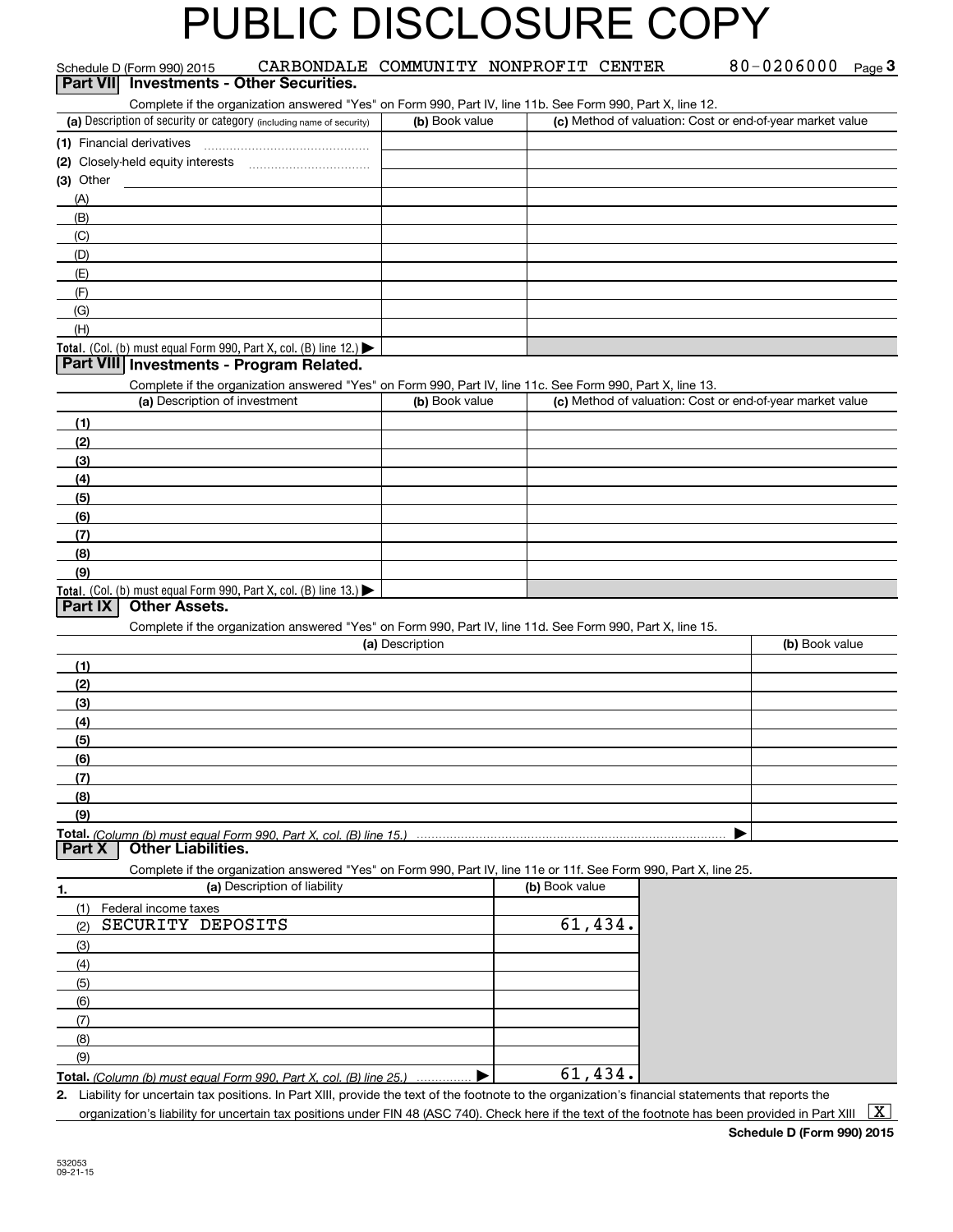|                 | Schedule D (Form 990) 2015    |                                                                      |                 | CARBONDALE COMMUNITY NONPROFIT CENTER                                                                             | 80-0206000<br>Page $3$                                                                                                                               |
|-----------------|-------------------------------|----------------------------------------------------------------------|-----------------|-------------------------------------------------------------------------------------------------------------------|------------------------------------------------------------------------------------------------------------------------------------------------------|
| <b>Part VII</b> |                               | <b>Investments - Other Securities.</b>                               |                 |                                                                                                                   |                                                                                                                                                      |
|                 |                               |                                                                      |                 | Complete if the organization answered "Yes" on Form 990, Part IV, line 11b. See Form 990, Part X, line 12.        |                                                                                                                                                      |
|                 |                               | (a) Description of security or category (including name of security) | (b) Book value  |                                                                                                                   | (c) Method of valuation: Cost or end-of-year market value                                                                                            |
|                 | (1) Financial derivatives     |                                                                      |                 |                                                                                                                   |                                                                                                                                                      |
|                 |                               |                                                                      |                 |                                                                                                                   |                                                                                                                                                      |
| $(3)$ Other     |                               |                                                                      |                 |                                                                                                                   |                                                                                                                                                      |
| (A)             |                               |                                                                      |                 |                                                                                                                   |                                                                                                                                                      |
| (B)             |                               |                                                                      |                 |                                                                                                                   |                                                                                                                                                      |
| (C)             |                               |                                                                      |                 |                                                                                                                   |                                                                                                                                                      |
| (D)             |                               |                                                                      |                 |                                                                                                                   |                                                                                                                                                      |
| (E)             |                               |                                                                      |                 |                                                                                                                   |                                                                                                                                                      |
| (F)             |                               |                                                                      |                 |                                                                                                                   |                                                                                                                                                      |
| (G)             |                               |                                                                      |                 |                                                                                                                   |                                                                                                                                                      |
| (H)             |                               |                                                                      |                 |                                                                                                                   |                                                                                                                                                      |
|                 |                               | Total. (Col. (b) must equal Form 990, Part X, col. (B) line 12.)     |                 |                                                                                                                   |                                                                                                                                                      |
|                 |                               | Part VIII Investments - Program Related.                             |                 |                                                                                                                   |                                                                                                                                                      |
|                 |                               |                                                                      |                 | Complete if the organization answered "Yes" on Form 990, Part IV, line 11c. See Form 990, Part X, line 13.        |                                                                                                                                                      |
|                 | (a) Description of investment |                                                                      | (b) Book value  |                                                                                                                   | (c) Method of valuation: Cost or end-of-year market value                                                                                            |
| (1)             |                               |                                                                      |                 |                                                                                                                   |                                                                                                                                                      |
| (2)             |                               |                                                                      |                 |                                                                                                                   |                                                                                                                                                      |
| (3)             |                               |                                                                      |                 |                                                                                                                   |                                                                                                                                                      |
| (4)             |                               |                                                                      |                 |                                                                                                                   |                                                                                                                                                      |
| (5)             |                               |                                                                      |                 |                                                                                                                   |                                                                                                                                                      |
| (6)             |                               |                                                                      |                 |                                                                                                                   |                                                                                                                                                      |
| (7)             |                               |                                                                      |                 |                                                                                                                   |                                                                                                                                                      |
| (8)             |                               |                                                                      |                 |                                                                                                                   |                                                                                                                                                      |
| (9)             |                               |                                                                      |                 |                                                                                                                   |                                                                                                                                                      |
| <b>Part IX</b>  | <b>Other Assets.</b>          | Total. (Col. (b) must equal Form 990, Part X, col. (B) line 13.)     |                 |                                                                                                                   |                                                                                                                                                      |
|                 |                               |                                                                      |                 | Complete if the organization answered "Yes" on Form 990, Part IV, line 11d. See Form 990, Part X, line 15.        |                                                                                                                                                      |
|                 |                               |                                                                      | (a) Description |                                                                                                                   | (b) Book value                                                                                                                                       |
| (1)             |                               |                                                                      |                 |                                                                                                                   |                                                                                                                                                      |
| (2)             |                               |                                                                      |                 |                                                                                                                   |                                                                                                                                                      |
| (3)             |                               |                                                                      |                 |                                                                                                                   |                                                                                                                                                      |
| (4)             |                               |                                                                      |                 |                                                                                                                   |                                                                                                                                                      |
| (5)             |                               |                                                                      |                 |                                                                                                                   |                                                                                                                                                      |
| (6)             |                               |                                                                      |                 |                                                                                                                   |                                                                                                                                                      |
| (7)             |                               |                                                                      |                 |                                                                                                                   |                                                                                                                                                      |
| (8)             |                               |                                                                      |                 |                                                                                                                   |                                                                                                                                                      |
| (9)             |                               |                                                                      |                 |                                                                                                                   |                                                                                                                                                      |
|                 |                               | Total. (Column (b) must equal Form 990. Part X. col. (B) line 15.)   |                 |                                                                                                                   |                                                                                                                                                      |
| Part X          | <b>Other Liabilities.</b>     |                                                                      |                 |                                                                                                                   |                                                                                                                                                      |
|                 |                               |                                                                      |                 | Complete if the organization answered "Yes" on Form 990, Part IV, line 11e or 11f. See Form 990, Part X, line 25. |                                                                                                                                                      |
| 1.              |                               | (a) Description of liability                                         |                 | (b) Book value                                                                                                    |                                                                                                                                                      |
| (1)             | Federal income taxes          |                                                                      |                 |                                                                                                                   |                                                                                                                                                      |
| (2)             | SECURITY DEPOSITS             |                                                                      |                 | 61,434.                                                                                                           |                                                                                                                                                      |
| (3)             |                               |                                                                      |                 |                                                                                                                   |                                                                                                                                                      |
| (4)             |                               |                                                                      |                 |                                                                                                                   |                                                                                                                                                      |
| (5)             |                               |                                                                      |                 |                                                                                                                   |                                                                                                                                                      |
| (6)             |                               |                                                                      |                 |                                                                                                                   |                                                                                                                                                      |
| (7)             |                               |                                                                      |                 |                                                                                                                   |                                                                                                                                                      |
| (8)             |                               |                                                                      |                 |                                                                                                                   |                                                                                                                                                      |
| (9)             |                               |                                                                      |                 |                                                                                                                   |                                                                                                                                                      |
|                 |                               | Total. (Column (b) must equal Form 990, Part X, col. (B) line 25.)   |                 | 61,434.                                                                                                           |                                                                                                                                                      |
|                 |                               |                                                                      |                 |                                                                                                                   | 2. Liability for uncertain tax positions. In Part XIII, provide the text of the footnote to the organization's financial statements that reports the |

organization's liability for uncertain tax positions under FIN 48 (ASC 740). Check here if the text of the footnote has been provided in Part XIII  $~\boxed{\rm X}$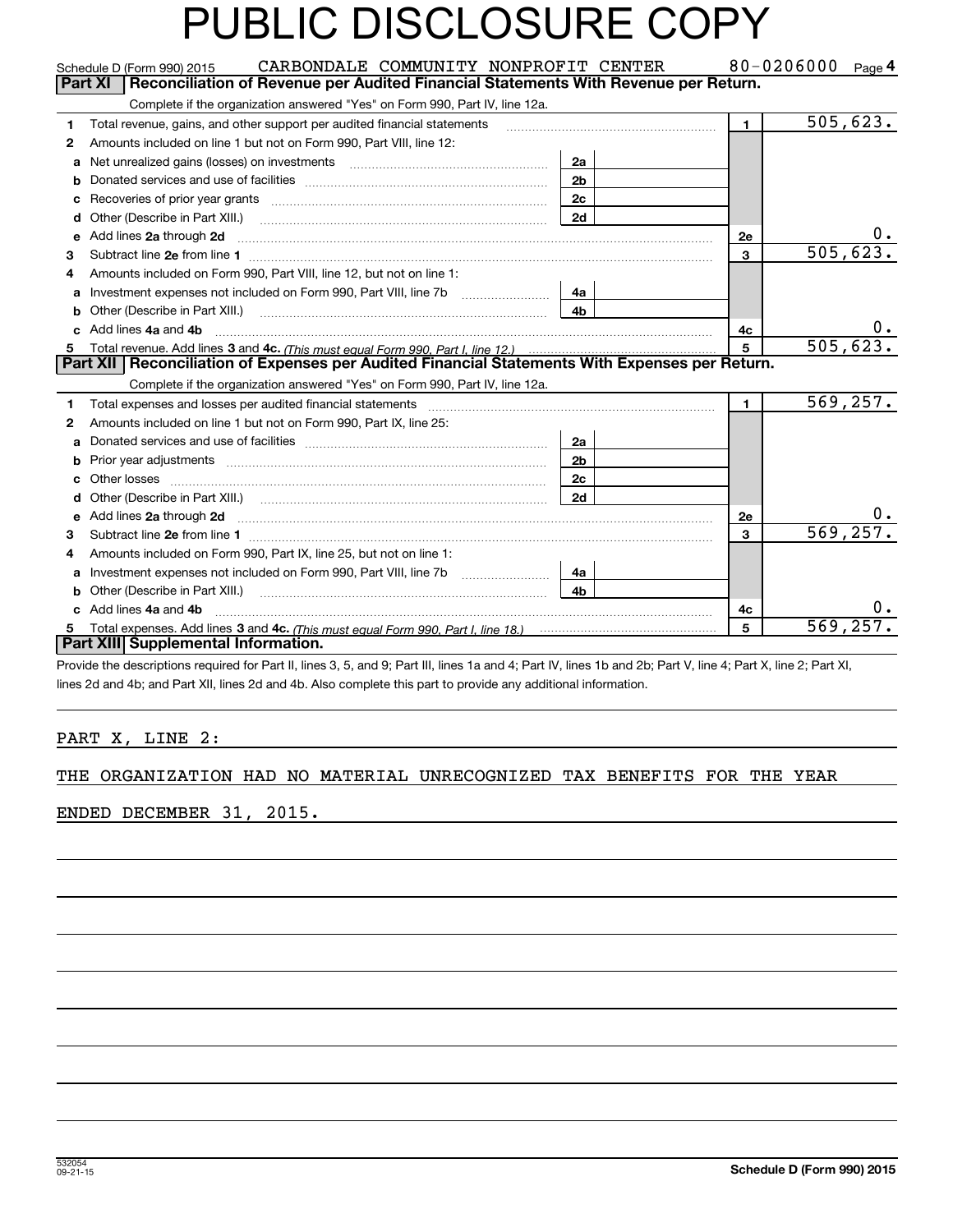|              | CARBONDALE COMMUNITY NONPROFIT CENTER<br>Schedule D (Form 990) 2015                                                                                                                                                                  |                |                | 80-0206000 $_{Page}$ 4 |
|--------------|--------------------------------------------------------------------------------------------------------------------------------------------------------------------------------------------------------------------------------------|----------------|----------------|------------------------|
|              | <b>Part XI</b><br>Reconciliation of Revenue per Audited Financial Statements With Revenue per Return.                                                                                                                                |                |                |                        |
|              | Complete if the organization answered "Yes" on Form 990, Part IV, line 12a.                                                                                                                                                          |                |                |                        |
| 1            | Total revenue, gains, and other support per audited financial statements                                                                                                                                                             |                | $\blacksquare$ | 505,623.               |
| $\mathbf{2}$ | Amounts included on line 1 but not on Form 990, Part VIII, line 12:                                                                                                                                                                  |                |                |                        |
| a            | Net unrealized gains (losses) on investments [11] matter than the unrealized main states on investments [11] matter was not unrealized matter was also had a matter was determined to the unrealized matter was determined to        | 2a             |                |                        |
| b            |                                                                                                                                                                                                                                      | 2 <sub>b</sub> |                |                        |
| с            | Recoveries of prior year grants [11,111] [11] Recoveries of prior year grants [11] [11] Recoveries (11] [11] R                                                                                                                       | 2c             |                |                        |
| d            |                                                                                                                                                                                                                                      | 2d             |                |                        |
| е            | Add lines 2a through 2d                                                                                                                                                                                                              |                | 2e             |                        |
| 3            |                                                                                                                                                                                                                                      |                | $\overline{3}$ | 505, 623.              |
| 4            | Amounts included on Form 990. Part VIII. line 12, but not on line 1:                                                                                                                                                                 |                |                |                        |
| a            |                                                                                                                                                                                                                                      | 4a             |                |                        |
|              |                                                                                                                                                                                                                                      | 4 <sub>b</sub> |                |                        |
| c.           | Add lines 4a and 4b                                                                                                                                                                                                                  |                | 4c             | 0.                     |
| 5            |                                                                                                                                                                                                                                      |                | 5              | 505, 623.              |
|              | Part XII   Reconciliation of Expenses per Audited Financial Statements With Expenses per Return.                                                                                                                                     |                |                |                        |
|              | Complete if the organization answered "Yes" on Form 990, Part IV, line 12a.                                                                                                                                                          |                |                |                        |
| 1            | Total expenses and losses per audited financial statements [11] [11] Total expenses and losses per audited financial statements [11] [11] Total expenses and losses per audited financial statements                                 |                | $\mathbf{1}$   | 569, 257.              |
| $\mathbf{2}$ | Amounts included on line 1 but not on Form 990, Part IX, line 25:                                                                                                                                                                    |                |                |                        |
| a            |                                                                                                                                                                                                                                      | 2a             |                |                        |
| b            | Prior year adjustments www.communication.com/www.communication.com/www.com/                                                                                                                                                          | 2 <sub>b</sub> |                |                        |
| c            |                                                                                                                                                                                                                                      | 2 <sub>c</sub> |                |                        |
| d            | Other (Describe in Part XIII.) (COLORADIAL CONSERVISTION) (CONSERVISTION) (CONSERVISTION)                                                                                                                                            | 2d             |                |                        |
| е            | Add lines 2a through 2d <b>contained a contained a contained a contained a contained a contained a contained a contained a contact a contact a contact a contact a contact a contact a contact a contact a contact a contact a c</b> |                | 2e             | о.                     |
| 3            |                                                                                                                                                                                                                                      |                | 3              | 569, 257.              |
| 4            | Amounts included on Form 990, Part IX, line 25, but not on line 1:                                                                                                                                                                   |                |                |                        |
| a            |                                                                                                                                                                                                                                      | 4a             |                |                        |
|              | Other (Describe in Part XIII.) <b>Construction Contract Construction</b> Chern Construction Chern Chern Chern Chern Chern Chern Chern Chern Chern Chern Chern Chern Chern Chern Chern Chern Chern Chern Chern Chern Chern Chern Che  | 4 <sub>b</sub> |                |                        |
| c            | Add lines 4a and 4b                                                                                                                                                                                                                  |                | 4с             | $0$ .                  |
| 5            |                                                                                                                                                                                                                                      |                | 5              | 569, 257.              |
|              | Part XIII Supplemental Information.                                                                                                                                                                                                  |                |                |                        |
|              | Provide the descriptions required for Part II, lines 3, 5, and 9; Part III, lines 1a and 4; Part IV, lines 1b and 2b; Part V, line 4; Part X, line 2; Part XI,                                                                       |                |                |                        |

lines 2d and 4b; and Part XII, lines 2d and 4b. Also complete this part to provide any additional information.

### PART X, LINE 2:

#### THE ORGANIZATION HAD NO MATERIAL UNRECOGNIZED TAX BENEFITS FOR THE YEAR

### ENDED DECEMBER 31, 2015.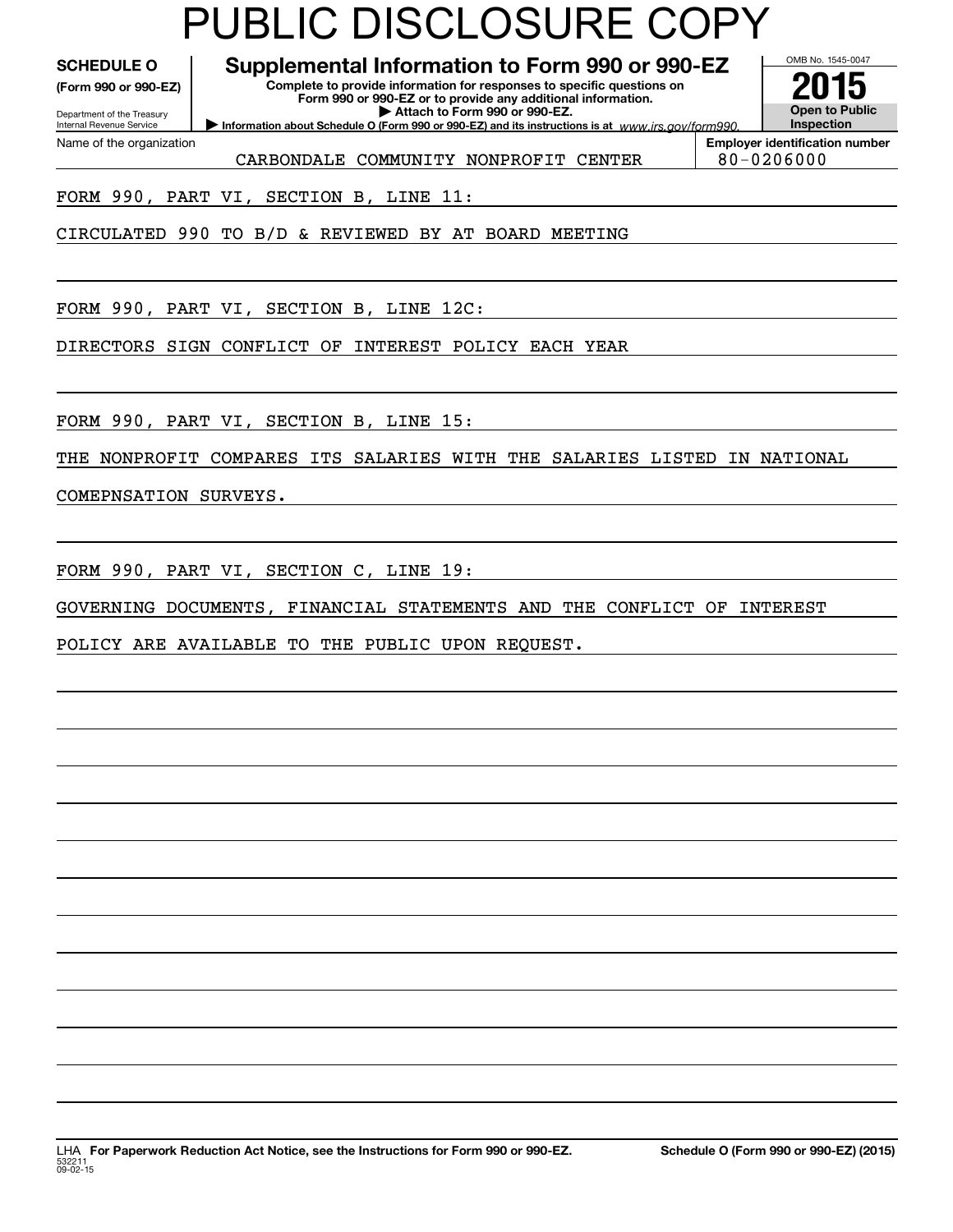**(Form 990 or 990-EZ)**

Department of the Treasury Internal Revenue Service Name of the organization

**Complete to provide information for responses to specific questions on SCHEDULE O Supplemental Information to Form 990 or 990-EZ**

**Form 990 or 990-EZ or to provide any additional information. | Attach to Form 990 or 990-EZ.**

**Information about Schedule O (Form 990 or 990-EZ) and its instructions is at**  $www.irs.gov/form990.$ 

**InspectionEmployer identification number**

OMB No. 1545-0047

**Open to Public**

**2015**

CARBONDALE COMMUNITY NONPROFIT CENTER | 80-0206000

FORM 990, PART VI, SECTION B, LINE 11:

CIRCULATED 990 TO B/D & REVIEWED BY AT BOARD MEETING

FORM 990, PART VI, SECTION B, LINE 12C:

DIRECTORS SIGN CONFLICT OF INTEREST POLICY EACH YEAR

FORM 990, PART VI, SECTION B, LINE 15:

THE NONPROFIT COMPARES ITS SALARIES WITH THE SALARIES LISTED IN NATIONAL

COMEPNSATION SURVEYS.

FORM 990, PART VI, SECTION C, LINE 19:

GOVERNING DOCUMENTS, FINANCIAL STATEMENTS AND THE CONFLICT OF INTEREST

POLICY ARE AVAILABLE TO THE PUBLIC UPON REQUEST.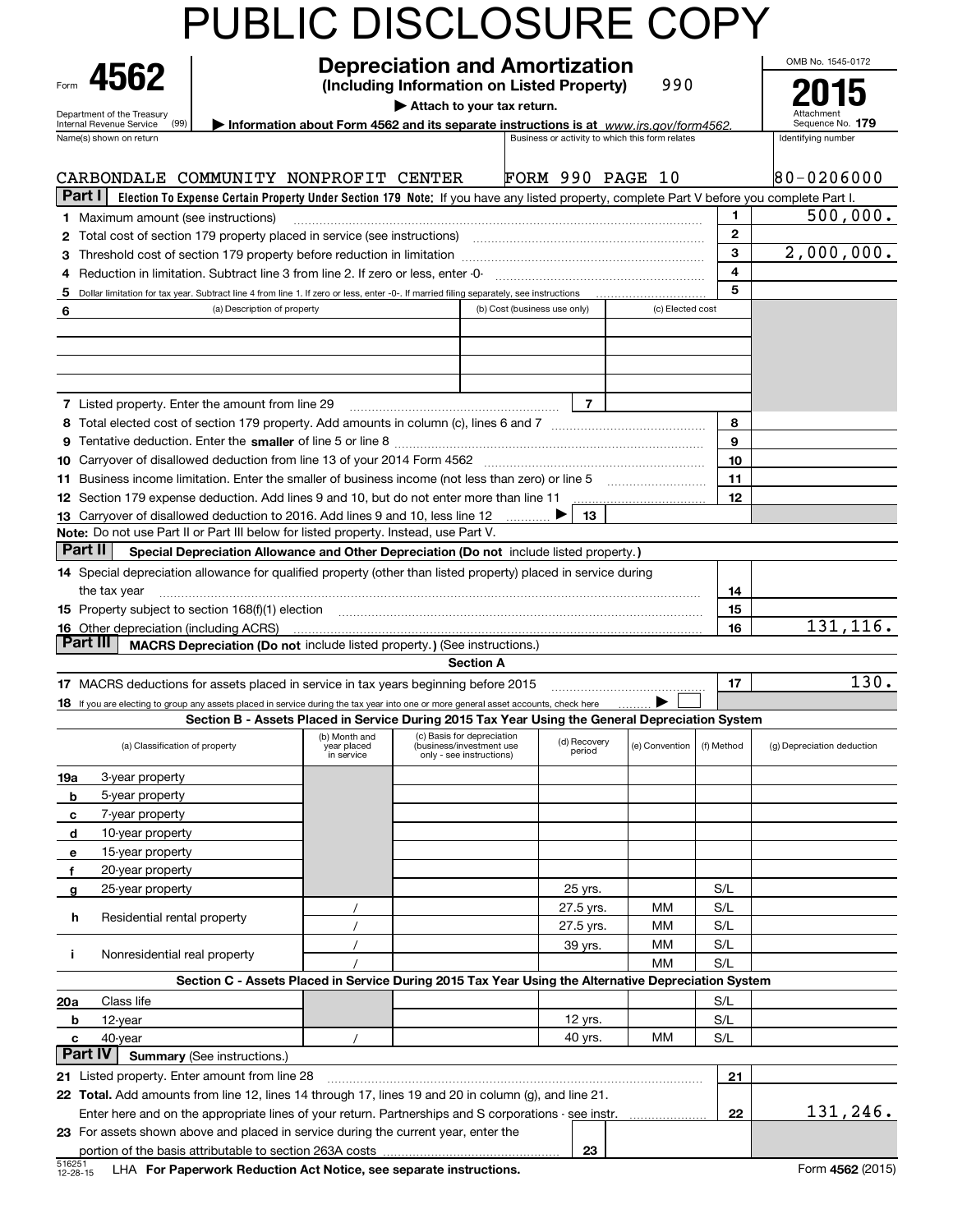|                                                                                                                                                                        | PUBLIC DISCLOSURE COPY                                                                              |                                            |                                                                                    |                              |                         |                                                 |                         |                                                                                                                                           |
|------------------------------------------------------------------------------------------------------------------------------------------------------------------------|-----------------------------------------------------------------------------------------------------|--------------------------------------------|------------------------------------------------------------------------------------|------------------------------|-------------------------|-------------------------------------------------|-------------------------|-------------------------------------------------------------------------------------------------------------------------------------------|
| 4562                                                                                                                                                                   | OMB No. 1545-0172<br>5                                                                              |                                            |                                                                                    |                              |                         |                                                 |                         |                                                                                                                                           |
|                                                                                                                                                                        |                                                                                                     |                                            |                                                                                    |                              |                         |                                                 |                         |                                                                                                                                           |
| Department of the Treasury<br>(99)<br>Internal Revenue Service                                                                                                         | Information about Form 4562 and its separate instructions is at www.irs.gov/form4562.               |                                            | Attach to your tax return.                                                         |                              |                         |                                                 |                         | Sequence No. 179                                                                                                                          |
| Name(s) shown on return                                                                                                                                                |                                                                                                     |                                            |                                                                                    |                              |                         | Business or activity to which this form relates |                         | Identifying number                                                                                                                        |
| CARBONDALE COMMUNITY NONPROFIT CENTER                                                                                                                                  |                                                                                                     |                                            |                                                                                    |                              | <b>FORM 990 PAGE 10</b> |                                                 |                         | $80 - 0206000$                                                                                                                            |
| Part I                                                                                                                                                                 |                                                                                                     |                                            |                                                                                    |                              |                         |                                                 |                         | Election To Expense Certain Property Under Section 179 Note: If you have any listed property, complete Part V before you complete Part I. |
| <b>1</b> Maximum amount (see instructions)                                                                                                                             |                                                                                                     |                                            |                                                                                    |                              |                         |                                                 | 1                       | 500,000.                                                                                                                                  |
| 2 Total cost of section 179 property placed in service (see instructions)                                                                                              |                                                                                                     |                                            |                                                                                    |                              |                         |                                                 | $\mathbf{2}$            |                                                                                                                                           |
| 3                                                                                                                                                                      |                                                                                                     |                                            |                                                                                    |                              |                         |                                                 | 3                       | 2,000,000.                                                                                                                                |
| Reduction in limitation. Subtract line 3 from line 2. If zero or less, enter -0-<br>4                                                                                  |                                                                                                     |                                            |                                                                                    |                              |                         |                                                 | $\overline{\mathbf{4}}$ |                                                                                                                                           |
| Dollar limitation for tax year. Subtract line 4 from line 1. If zero or less, enter -0-. If married filing separately, see instructions<br>5                           |                                                                                                     |                                            |                                                                                    |                              |                         |                                                 | 5                       |                                                                                                                                           |
| 6                                                                                                                                                                      | (a) Description of property                                                                         |                                            |                                                                                    | (b) Cost (business use only) |                         | (c) Elected cost                                |                         |                                                                                                                                           |
|                                                                                                                                                                        |                                                                                                     |                                            |                                                                                    |                              |                         |                                                 |                         |                                                                                                                                           |
|                                                                                                                                                                        |                                                                                                     |                                            |                                                                                    |                              |                         |                                                 |                         |                                                                                                                                           |
|                                                                                                                                                                        |                                                                                                     |                                            |                                                                                    |                              |                         |                                                 |                         |                                                                                                                                           |
|                                                                                                                                                                        |                                                                                                     |                                            |                                                                                    |                              |                         |                                                 |                         |                                                                                                                                           |
| <b>7</b> Listed property. Enter the amount from line 29                                                                                                                |                                                                                                     |                                            |                                                                                    |                              | $\overline{7}$          |                                                 |                         |                                                                                                                                           |
|                                                                                                                                                                        |                                                                                                     |                                            |                                                                                    |                              |                         |                                                 | 8                       |                                                                                                                                           |
|                                                                                                                                                                        |                                                                                                     |                                            |                                                                                    |                              |                         |                                                 | 9                       |                                                                                                                                           |
|                                                                                                                                                                        |                                                                                                     |                                            |                                                                                    |                              |                         |                                                 |                         |                                                                                                                                           |
|                                                                                                                                                                        |                                                                                                     |                                            |                                                                                    |                              |                         |                                                 | 10                      |                                                                                                                                           |
| 11 Business income limitation. Enter the smaller of business income (not less than zero) or line 5                                                                     |                                                                                                     |                                            |                                                                                    |                              |                         |                                                 | 11                      |                                                                                                                                           |
| 12 Section 179 expense deduction. Add lines 9 and 10, but do not enter more than line 11                                                                               |                                                                                                     |                                            |                                                                                    |                              |                         |                                                 | 12                      |                                                                                                                                           |
| 13 Carryover of disallowed deduction to 2016. Add lines 9 and 10, less line 12<br>Note: Do not use Part II or Part III below for listed property. Instead, use Part V. |                                                                                                     |                                            |                                                                                    |                              | 13                      |                                                 |                         |                                                                                                                                           |
| Part II                                                                                                                                                                |                                                                                                     |                                            |                                                                                    |                              |                         |                                                 |                         |                                                                                                                                           |
|                                                                                                                                                                        | Special Depreciation Allowance and Other Depreciation (Do not include listed property.)             |                                            |                                                                                    |                              |                         |                                                 |                         |                                                                                                                                           |
| 14 Special depreciation allowance for qualified property (other than listed property) placed in service during                                                         |                                                                                                     |                                            |                                                                                    |                              |                         |                                                 |                         |                                                                                                                                           |
| the tax year                                                                                                                                                           |                                                                                                     |                                            |                                                                                    |                              |                         |                                                 | 14                      |                                                                                                                                           |
| 15 Property subject to section 168(f)(1) election material content and content to the section 168(f)(1) election                                                       |                                                                                                     |                                            |                                                                                    |                              |                         |                                                 | 15                      |                                                                                                                                           |
| <b>16</b> Other depreciation (including ACRS)<br>Part III                                                                                                              |                                                                                                     |                                            |                                                                                    |                              |                         |                                                 | 16                      | 131, 116.                                                                                                                                 |
|                                                                                                                                                                        | MACRS Depreciation (Do not include listed property.) (See instructions.)                            |                                            |                                                                                    |                              |                         |                                                 |                         |                                                                                                                                           |
|                                                                                                                                                                        |                                                                                                     |                                            |                                                                                    | <b>Section A</b>             |                         |                                                 |                         |                                                                                                                                           |
| 17 MACRS deductions for assets placed in service in tax years beginning before 2015                                                                                    |                                                                                                     |                                            |                                                                                    |                              |                         |                                                 | 17                      | $\overline{130}$ .                                                                                                                        |
| 18 If you are electing to group any assets placed in service during the tax year into one or more general asset accounts, check here                                   |                                                                                                     |                                            |                                                                                    |                              |                         | ⋗                                               |                         |                                                                                                                                           |
|                                                                                                                                                                        | Section B - Assets Placed in Service During 2015 Tax Year Using the General Depreciation System     |                                            |                                                                                    |                              |                         |                                                 |                         |                                                                                                                                           |
| (a) Classification of property                                                                                                                                         |                                                                                                     | (b) Month and<br>year placed<br>in service | (c) Basis for depreciation<br>(business/investment use<br>only - see instructions) |                              | (d) Recovery<br>period  | (e) Convention                                  | (f) Method              | (g) Depreciation deduction                                                                                                                |
| 3-year property<br>19a                                                                                                                                                 |                                                                                                     |                                            |                                                                                    |                              |                         |                                                 |                         |                                                                                                                                           |
| 5-year property<br>b                                                                                                                                                   |                                                                                                     |                                            |                                                                                    |                              |                         |                                                 |                         |                                                                                                                                           |
| 7-year property<br>c                                                                                                                                                   |                                                                                                     |                                            |                                                                                    |                              |                         |                                                 |                         |                                                                                                                                           |
| 10-year property<br>d                                                                                                                                                  |                                                                                                     |                                            |                                                                                    |                              |                         |                                                 |                         |                                                                                                                                           |
| 15-year property<br>е                                                                                                                                                  |                                                                                                     |                                            |                                                                                    |                              |                         |                                                 |                         |                                                                                                                                           |
| 20-year property<br>f                                                                                                                                                  |                                                                                                     |                                            |                                                                                    |                              |                         |                                                 |                         |                                                                                                                                           |
| 25-year property<br>g                                                                                                                                                  |                                                                                                     |                                            |                                                                                    |                              | 25 yrs.                 |                                                 | S/L                     |                                                                                                                                           |
|                                                                                                                                                                        |                                                                                                     |                                            |                                                                                    |                              | 27.5 yrs.               | MМ                                              | S/L                     |                                                                                                                                           |
| Residential rental property<br>h                                                                                                                                       |                                                                                                     |                                            |                                                                                    |                              | 27.5 yrs.               | MМ                                              | S/L                     |                                                                                                                                           |
|                                                                                                                                                                        |                                                                                                     |                                            |                                                                                    |                              | 39 yrs.                 | ΜМ                                              | S/L                     |                                                                                                                                           |
| Nonresidential real property<br>j.                                                                                                                                     |                                                                                                     |                                            |                                                                                    |                              |                         | MМ                                              | S/L                     |                                                                                                                                           |
|                                                                                                                                                                        | Section C - Assets Placed in Service During 2015 Tax Year Using the Alternative Depreciation System |                                            |                                                                                    |                              |                         |                                                 |                         |                                                                                                                                           |
| 20 a<br>Class life                                                                                                                                                     |                                                                                                     |                                            |                                                                                    |                              |                         |                                                 | S/L                     |                                                                                                                                           |
| 12-year<br>b                                                                                                                                                           |                                                                                                     |                                            |                                                                                    |                              | 12 yrs.                 |                                                 | S/L                     |                                                                                                                                           |
| 40-year<br>c                                                                                                                                                           |                                                                                                     |                                            |                                                                                    |                              | 40 yrs.                 | MМ                                              | S/L                     |                                                                                                                                           |
| Part IV                                                                                                                                                                | <b>Summary (See instructions.)</b>                                                                  |                                            |                                                                                    |                              |                         |                                                 |                         |                                                                                                                                           |
| 21 Listed property. Enter amount from line 28                                                                                                                          |                                                                                                     |                                            |                                                                                    |                              |                         |                                                 | 21                      |                                                                                                                                           |
| 22 Total. Add amounts from line 12, lines 14 through 17, lines 19 and 20 in column (g), and line 21.                                                                   |                                                                                                     |                                            |                                                                                    |                              |                         |                                                 |                         |                                                                                                                                           |
|                                                                                                                                                                        |                                                                                                     |                                            |                                                                                    |                              |                         |                                                 | 22                      | 131,246.                                                                                                                                  |
|                                                                                                                                                                        |                                                                                                     |                                            |                                                                                    |                              |                         |                                                 |                         |                                                                                                                                           |
| 23 For assets shown above and placed in service during the current year, enter the                                                                                     |                                                                                                     |                                            |                                                                                    |                              | 23                      |                                                 |                         |                                                                                                                                           |
| 516251<br>12-28-15                                                                                                                                                     | LHA For Paperwork Reduction Act Notice, see separate instructions.                                  |                                            |                                                                                    |                              |                         |                                                 |                         | Form 4562 (2015)                                                                                                                          |
|                                                                                                                                                                        |                                                                                                     |                                            |                                                                                    |                              |                         |                                                 |                         |                                                                                                                                           |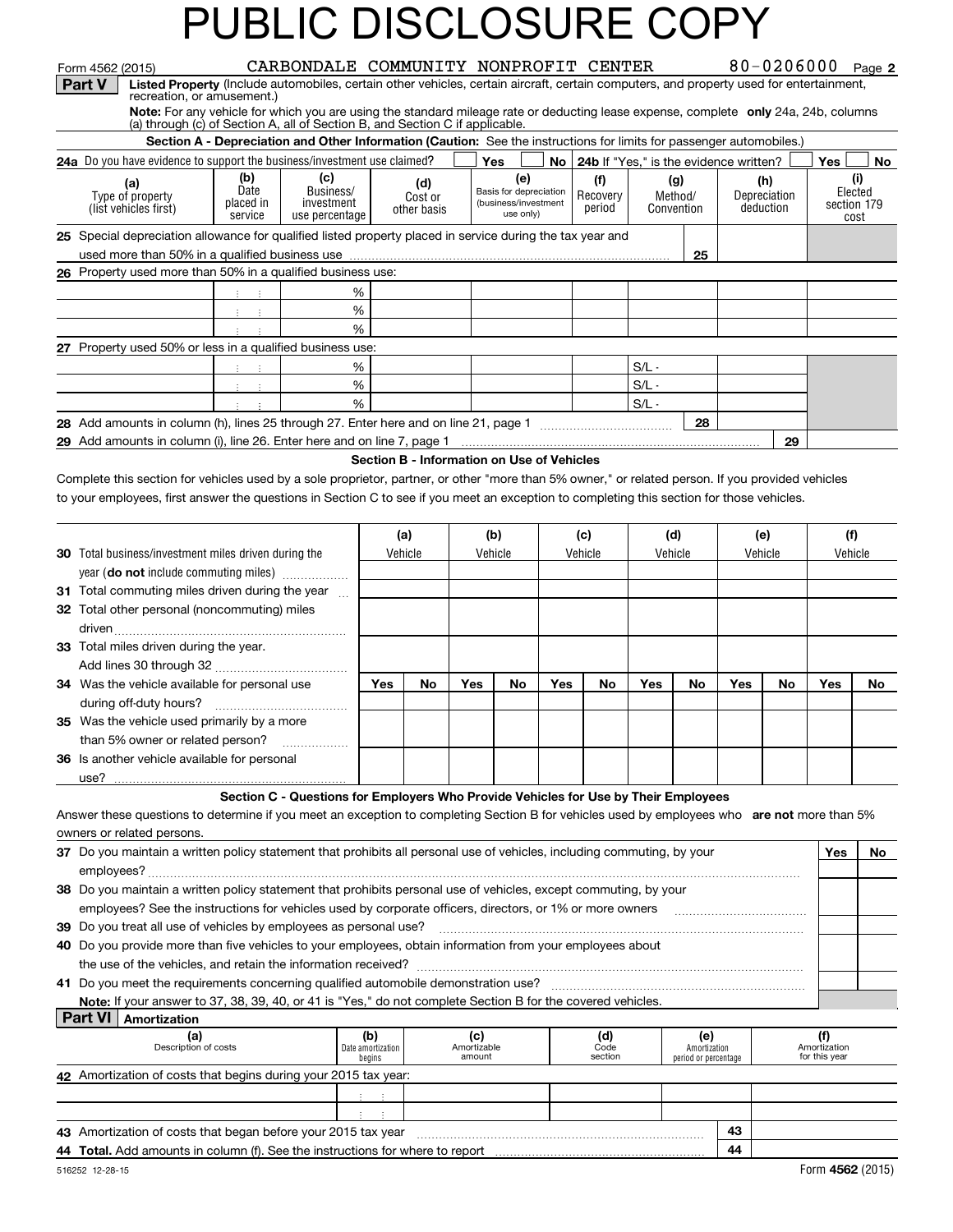|                | Form 4562 (2015)                                                                                                                                                  |                                                                                                                      | CARBONDALE COMMUNITY NONPROFIT CENTER                                               |                                            |                        |                       |                                                |      |                    |                                        |                                      |     |                           | 80-0206000 Page 2             |         |
|----------------|-------------------------------------------------------------------------------------------------------------------------------------------------------------------|----------------------------------------------------------------------------------------------------------------------|-------------------------------------------------------------------------------------|--------------------------------------------|------------------------|-----------------------|------------------------------------------------|------|--------------------|----------------------------------------|--------------------------------------|-----|---------------------------|-------------------------------|---------|
| <b>Part V</b>  | Listed Property (Include automobiles, certain other vehicles, certain aircraft, certain computers, and property used for entertainment,                           |                                                                                                                      |                                                                                     |                                            |                        |                       |                                                |      |                    |                                        |                                      |     |                           |                               |         |
|                | recreation, or amusement.)<br>Note: For any vehicle for which you are using the standard mileage rate or deducting lease expense, complete only 24a, 24b, columns |                                                                                                                      |                                                                                     |                                            |                        |                       |                                                |      |                    |                                        |                                      |     |                           |                               |         |
|                | (a) through (c) of Section A, all of Section B, and Section C if applicable.                                                                                      |                                                                                                                      |                                                                                     |                                            |                        |                       |                                                |      |                    |                                        |                                      |     |                           |                               |         |
|                |                                                                                                                                                                   | Section A - Depreciation and Other Information (Caution: See the instructions for limits for passenger automobiles.) |                                                                                     |                                            |                        |                       |                                                |      |                    |                                        |                                      |     |                           |                               |         |
|                | 24a Do you have evidence to support the business/investment use claimed?                                                                                          |                                                                                                                      |                                                                                     |                                            |                        |                       | Yes                                            | No l |                    | 24b If "Yes," is the evidence written? |                                      |     |                           | Yes                           | No      |
|                | (a)                                                                                                                                                               | (b)<br>Date                                                                                                          | (c)<br>Business/                                                                    |                                            | (d)                    |                       | (e)                                            |      | (f)                | (g)                                    |                                      |     | (h)                       |                               | (i)     |
|                | Type of property<br>(list vehicles first)                                                                                                                         | placed in                                                                                                            | investment                                                                          |                                            | Cost or<br>other basis |                       | Basis for depreciation<br>(business/investment |      | Recovery<br>period | Convention                             | Method/                              |     | Depreciation<br>deduction | section 179                   | Elected |
|                |                                                                                                                                                                   | service                                                                                                              | use percentage                                                                      |                                            |                        |                       | use only)                                      |      |                    |                                        |                                      |     |                           |                               | cost    |
|                | 25 Special depreciation allowance for qualified listed property placed in service during the tax year and                                                         |                                                                                                                      |                                                                                     |                                            |                        |                       |                                                |      |                    |                                        |                                      |     |                           |                               |         |
|                |                                                                                                                                                                   |                                                                                                                      |                                                                                     |                                            |                        |                       |                                                |      |                    |                                        | 25                                   |     |                           |                               |         |
|                | 26 Property used more than 50% in a qualified business use:                                                                                                       |                                                                                                                      |                                                                                     |                                            |                        |                       |                                                |      |                    |                                        |                                      |     |                           |                               |         |
|                |                                                                                                                                                                   | $\frac{1}{2}$ $\frac{1}{2}$ $\frac{1}{2}$                                                                            |                                                                                     | %                                          |                        |                       |                                                |      |                    |                                        |                                      |     |                           |                               |         |
|                |                                                                                                                                                                   | 王 王                                                                                                                  |                                                                                     | %                                          |                        |                       |                                                |      |                    |                                        |                                      |     |                           |                               |         |
|                |                                                                                                                                                                   | $\mathcal{X}^{\mathcal{A}}$ , $\mathcal{X}^{\mathcal{A}}$                                                            |                                                                                     | %                                          |                        |                       |                                                |      |                    |                                        |                                      |     |                           |                               |         |
|                | 27 Property used 50% or less in a qualified business use:                                                                                                         |                                                                                                                      |                                                                                     |                                            |                        |                       |                                                |      |                    |                                        |                                      |     |                           |                               |         |
|                |                                                                                                                                                                   | $\mathbb{R}^n \times \mathbb{R}$                                                                                     |                                                                                     | %<br>%                                     |                        |                       |                                                |      |                    | $S/L -$<br>$S/L -$                     |                                      |     |                           |                               |         |
|                |                                                                                                                                                                   | 生产生<br>$\Gamma_{\rm{eff}}=1$                                                                                         |                                                                                     | %                                          |                        |                       |                                                |      |                    | $S/L -$                                |                                      |     |                           |                               |         |
|                |                                                                                                                                                                   |                                                                                                                      |                                                                                     |                                            |                        |                       |                                                |      |                    |                                        | 28                                   |     |                           |                               |         |
|                |                                                                                                                                                                   |                                                                                                                      |                                                                                     |                                            |                        |                       |                                                |      |                    |                                        |                                      |     | 29                        |                               |         |
|                |                                                                                                                                                                   |                                                                                                                      |                                                                                     | Section B - Information on Use of Vehicles |                        |                       |                                                |      |                    |                                        |                                      |     |                           |                               |         |
|                | Complete this section for vehicles used by a sole proprietor, partner, or other "more than 5% owner," or related person. If you provided vehicles                 |                                                                                                                      |                                                                                     |                                            |                        |                       |                                                |      |                    |                                        |                                      |     |                           |                               |         |
|                | to your employees, first answer the questions in Section C to see if you meet an exception to completing this section for those vehicles.                         |                                                                                                                      |                                                                                     |                                            |                        |                       |                                                |      |                    |                                        |                                      |     |                           |                               |         |
|                |                                                                                                                                                                   |                                                                                                                      |                                                                                     |                                            |                        |                       |                                                |      |                    |                                        |                                      |     |                           |                               |         |
|                |                                                                                                                                                                   |                                                                                                                      |                                                                                     |                                            | (a)                    |                       | (b)                                            |      | (c)                | (d)                                    |                                      |     | (e)                       | (f)                           |         |
|                | <b>30</b> Total business/investment miles driven during the                                                                                                       |                                                                                                                      |                                                                                     |                                            | Vehicle                |                       | Vehicle                                        |      | Vehicle<br>Vehicle |                                        | Vehicle                              |     |                           | Vehicle                       |         |
|                | year (do not include commuting miles)                                                                                                                             |                                                                                                                      |                                                                                     |                                            |                        |                       |                                                |      |                    |                                        |                                      |     |                           |                               |         |
|                | 31 Total commuting miles driven during the year                                                                                                                   |                                                                                                                      |                                                                                     |                                            |                        |                       |                                                |      |                    |                                        |                                      |     |                           |                               |         |
|                | 32 Total other personal (noncommuting) miles                                                                                                                      |                                                                                                                      |                                                                                     |                                            |                        |                       |                                                |      |                    |                                        |                                      |     |                           |                               |         |
|                |                                                                                                                                                                   |                                                                                                                      |                                                                                     |                                            |                        |                       |                                                |      |                    |                                        |                                      |     |                           |                               |         |
|                | 33 Total miles driven during the year.                                                                                                                            |                                                                                                                      |                                                                                     |                                            |                        |                       |                                                |      |                    |                                        |                                      |     |                           |                               |         |
|                |                                                                                                                                                                   |                                                                                                                      |                                                                                     |                                            |                        |                       |                                                |      |                    |                                        |                                      |     |                           |                               |         |
|                | 34 Was the vehicle available for personal use                                                                                                                     |                                                                                                                      |                                                                                     | Yes                                        | No                     | Yes                   | No                                             | Yes  | No                 | Yes                                    | No                                   | Yes | No                        | Yes                           | No      |
|                |                                                                                                                                                                   |                                                                                                                      |                                                                                     |                                            |                        |                       |                                                |      |                    |                                        |                                      |     |                           |                               |         |
|                | 35 Was the vehicle used primarily by a more                                                                                                                       |                                                                                                                      |                                                                                     |                                            |                        |                       |                                                |      |                    |                                        |                                      |     |                           |                               |         |
|                | than 5% owner or related person?                                                                                                                                  |                                                                                                                      | .                                                                                   |                                            |                        |                       |                                                |      |                    |                                        |                                      |     |                           |                               |         |
|                | <b>36</b> Is another vehicle available for personal                                                                                                               |                                                                                                                      |                                                                                     |                                            |                        |                       |                                                |      |                    |                                        |                                      |     |                           |                               |         |
|                |                                                                                                                                                                   |                                                                                                                      |                                                                                     |                                            |                        |                       |                                                |      |                    |                                        |                                      |     |                           |                               |         |
|                |                                                                                                                                                                   |                                                                                                                      | Section C - Questions for Employers Who Provide Vehicles for Use by Their Employees |                                            |                        |                       |                                                |      |                    |                                        |                                      |     |                           |                               |         |
|                | Answer these questions to determine if you meet an exception to completing Section B for vehicles used by employees who are not more than 5%                      |                                                                                                                      |                                                                                     |                                            |                        |                       |                                                |      |                    |                                        |                                      |     |                           |                               |         |
|                | owners or related persons.                                                                                                                                        |                                                                                                                      |                                                                                     |                                            |                        |                       |                                                |      |                    |                                        |                                      |     |                           |                               |         |
|                | 37 Do you maintain a written policy statement that prohibits all personal use of vehicles, including commuting, by your                                           |                                                                                                                      |                                                                                     |                                            |                        |                       |                                                |      |                    |                                        |                                      |     |                           | Yes                           | No      |
|                |                                                                                                                                                                   |                                                                                                                      |                                                                                     |                                            |                        |                       |                                                |      |                    |                                        |                                      |     |                           |                               |         |
|                | 38 Do you maintain a written policy statement that prohibits personal use of vehicles, except commuting, by your                                                  |                                                                                                                      |                                                                                     |                                            |                        |                       |                                                |      |                    |                                        |                                      |     |                           |                               |         |
|                | employees? See the instructions for vehicles used by corporate officers, directors, or 1% or more owners                                                          |                                                                                                                      |                                                                                     |                                            |                        |                       |                                                |      |                    |                                        |                                      |     |                           |                               |         |
|                | 39 Do you treat all use of vehicles by employees as personal use?                                                                                                 |                                                                                                                      |                                                                                     |                                            |                        |                       |                                                |      |                    |                                        |                                      |     |                           |                               |         |
|                | 40 Do you provide more than five vehicles to your employees, obtain information from your employees about                                                         |                                                                                                                      |                                                                                     |                                            |                        |                       |                                                |      |                    |                                        |                                      |     |                           |                               |         |
|                | 41 Do you meet the requirements concerning qualified automobile demonstration use?                                                                                |                                                                                                                      |                                                                                     |                                            |                        |                       |                                                |      |                    |                                        |                                      |     |                           |                               |         |
|                | Note: If your answer to 37, 38, 39, 40, or 41 is "Yes," do not complete Section B for the covered vehicles.                                                       |                                                                                                                      |                                                                                     |                                            |                        |                       |                                                |      |                    |                                        |                                      |     |                           |                               |         |
| <b>Part VI</b> | Amortization                                                                                                                                                      |                                                                                                                      |                                                                                     |                                            |                        |                       |                                                |      |                    |                                        |                                      |     |                           |                               |         |
|                | (a)                                                                                                                                                               |                                                                                                                      |                                                                                     | (b)                                        |                        | (c)                   |                                                |      | (d)                |                                        | (e)                                  |     |                           | (f)                           |         |
|                | Description of costs                                                                                                                                              |                                                                                                                      |                                                                                     | Date amortization<br>begins                |                        | Amortizable<br>amount |                                                |      | Code<br>section    |                                        | Amortization<br>period or percentage |     |                           | Amortization<br>for this year |         |
|                | 42 Amortization of costs that begins during your 2015 tax year:                                                                                                   |                                                                                                                      |                                                                                     |                                            |                        |                       |                                                |      |                    |                                        |                                      |     |                           |                               |         |
|                |                                                                                                                                                                   |                                                                                                                      |                                                                                     |                                            |                        |                       |                                                |      |                    |                                        |                                      |     |                           |                               |         |

| 43 Amortization of costs that began before your 2015 tax year                        | 43 |  |  |  |  |                 |
|--------------------------------------------------------------------------------------|----|--|--|--|--|-----------------|
| <b>44 Total.</b> Add amounts in column (f). See the instructions for where to report | 44 |  |  |  |  |                 |
| 516252 12-28-15                                                                      |    |  |  |  |  | Form 4562 (2019 |